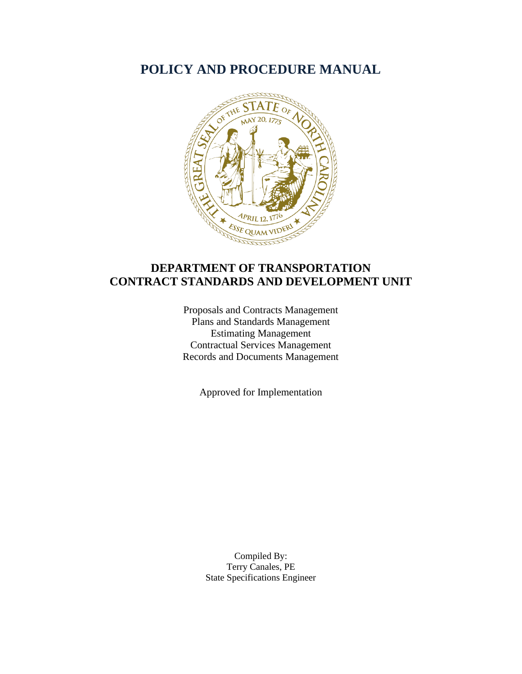# **POLICY AND PROCEDURE MANUAL**



# **DEPARTMENT OF TRANSPORTATION CONTRACT STANDARDS AND DEVELOPMENT UNIT**

Proposals and Contracts Management Plans and Standards Management Estimating Management Contractual Services Management Records and Documents Management

Approved for Implementation

Compiled By: Terry Canales, PE State Specifications Engineer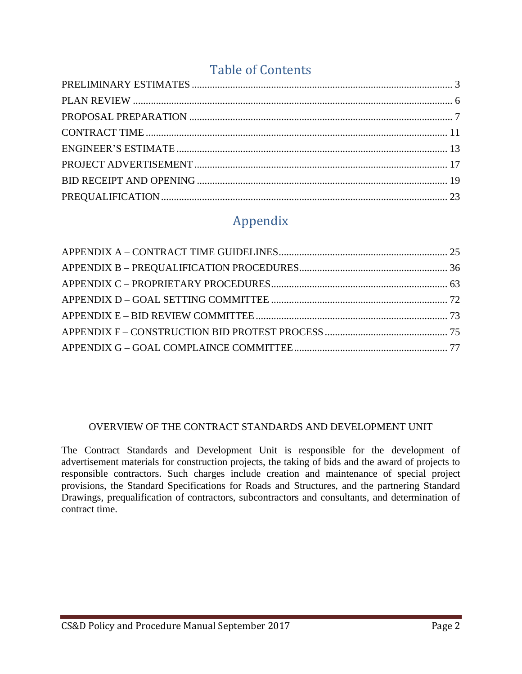# Table of Contents

# Appendix

## OVERVIEW OF THE CONTRACT STANDARDS AND DEVELOPMENT UNIT

The Contract Standards and Development Unit is responsible for the development of advertisement materials for construction projects, the taking of bids and the award of projects to responsible contractors. Such charges include creation and maintenance of special project provisions, the Standard Specifications for Roads and Structures, and the partnering Standard Drawings, prequalification of contractors, subcontractors and consultants, and determination of contract time.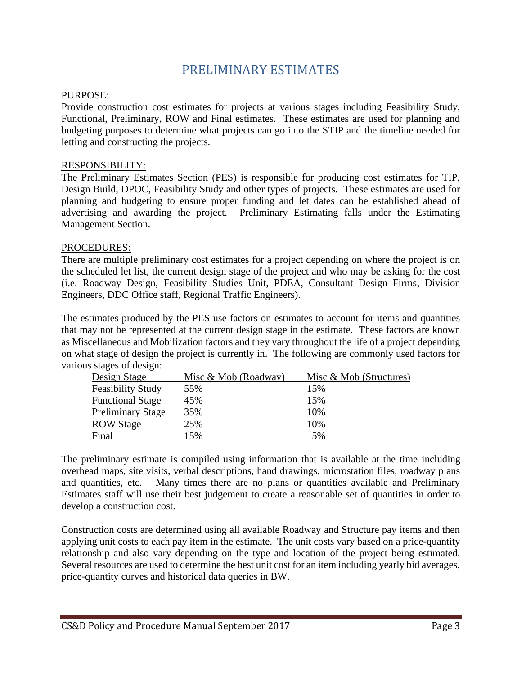# PRELIMINARY ESTIMATES

#### <span id="page-2-0"></span>PURPOSE:

Provide construction cost estimates for projects at various stages including Feasibility Study, Functional, Preliminary, ROW and Final estimates. These estimates are used for planning and budgeting purposes to determine what projects can go into the STIP and the timeline needed for letting and constructing the projects.

#### RESPONSIBILITY:

The Preliminary Estimates Section (PES) is responsible for producing cost estimates for TIP, Design Build, DPOC, Feasibility Study and other types of projects. These estimates are used for planning and budgeting to ensure proper funding and let dates can be established ahead of advertising and awarding the project. Preliminary Estimating falls under the Estimating Management Section.

#### PROCEDURES:

There are multiple preliminary cost estimates for a project depending on where the project is on the scheduled let list, the current design stage of the project and who may be asking for the cost (i.e. Roadway Design, Feasibility Studies Unit, PDEA, Consultant Design Firms, Division Engineers, DDC Office staff, Regional Traffic Engineers).

The estimates produced by the PES use factors on estimates to account for items and quantities that may not be represented at the current design stage in the estimate. These factors are known as Miscellaneous and Mobilization factors and they vary throughout the life of a project depending on what stage of design the project is currently in. The following are commonly used factors for various stages of design:

| Design Stage             | Misc & Mob (Roadway) | Misc $\&$ Mob (Structures) |
|--------------------------|----------------------|----------------------------|
| <b>Feasibility Study</b> | 55%                  | 15%                        |
| <b>Functional Stage</b>  | 45%                  | 15%                        |
| <b>Preliminary Stage</b> | 35%                  | 10%                        |
| <b>ROW Stage</b>         | 25%                  | 10%                        |
| Final                    | 15%                  | 5%                         |

The preliminary estimate is compiled using information that is available at the time including overhead maps, site visits, verbal descriptions, hand drawings, microstation files, roadway plans and quantities, etc. Many times there are no plans or quantities available and Preliminary Estimates staff will use their best judgement to create a reasonable set of quantities in order to develop a construction cost.

Construction costs are determined using all available Roadway and Structure pay items and then applying unit costs to each pay item in the estimate. The unit costs vary based on a price-quantity relationship and also vary depending on the type and location of the project being estimated. Several resources are used to determine the best unit cost for an item including yearly bid averages, price-quantity curves and historical data queries in BW.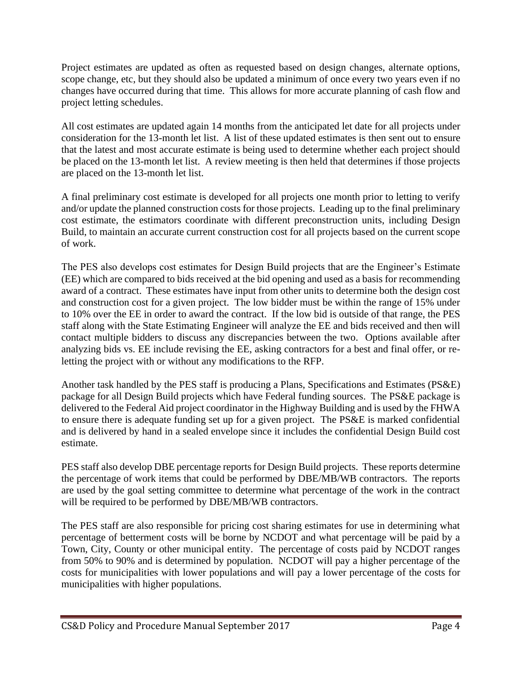Project estimates are updated as often as requested based on design changes, alternate options, scope change, etc, but they should also be updated a minimum of once every two years even if no changes have occurred during that time. This allows for more accurate planning of cash flow and project letting schedules.

All cost estimates are updated again 14 months from the anticipated let date for all projects under consideration for the 13-month let list. A list of these updated estimates is then sent out to ensure that the latest and most accurate estimate is being used to determine whether each project should be placed on the 13-month let list. A review meeting is then held that determines if those projects are placed on the 13-month let list.

A final preliminary cost estimate is developed for all projects one month prior to letting to verify and/or update the planned construction costs for those projects. Leading up to the final preliminary cost estimate, the estimators coordinate with different preconstruction units, including Design Build, to maintain an accurate current construction cost for all projects based on the current scope of work.

The PES also develops cost estimates for Design Build projects that are the Engineer's Estimate (EE) which are compared to bids received at the bid opening and used as a basis for recommending award of a contract. These estimates have input from other units to determine both the design cost and construction cost for a given project. The low bidder must be within the range of 15% under to 10% over the EE in order to award the contract. If the low bid is outside of that range, the PES staff along with the State Estimating Engineer will analyze the EE and bids received and then will contact multiple bidders to discuss any discrepancies between the two. Options available after analyzing bids vs. EE include revising the EE, asking contractors for a best and final offer, or reletting the project with or without any modifications to the RFP.

Another task handled by the PES staff is producing a Plans, Specifications and Estimates (PS&E) package for all Design Build projects which have Federal funding sources. The PS&E package is delivered to the Federal Aid project coordinator in the Highway Building and is used by the FHWA to ensure there is adequate funding set up for a given project. The PS&E is marked confidential and is delivered by hand in a sealed envelope since it includes the confidential Design Build cost estimate.

PES staff also develop DBE percentage reports for Design Build projects. These reports determine the percentage of work items that could be performed by DBE/MB/WB contractors. The reports are used by the goal setting committee to determine what percentage of the work in the contract will be required to be performed by DBE/MB/WB contractors.

The PES staff are also responsible for pricing cost sharing estimates for use in determining what percentage of betterment costs will be borne by NCDOT and what percentage will be paid by a Town, City, County or other municipal entity. The percentage of costs paid by NCDOT ranges from 50% to 90% and is determined by population. NCDOT will pay a higher percentage of the costs for municipalities with lower populations and will pay a lower percentage of the costs for municipalities with higher populations.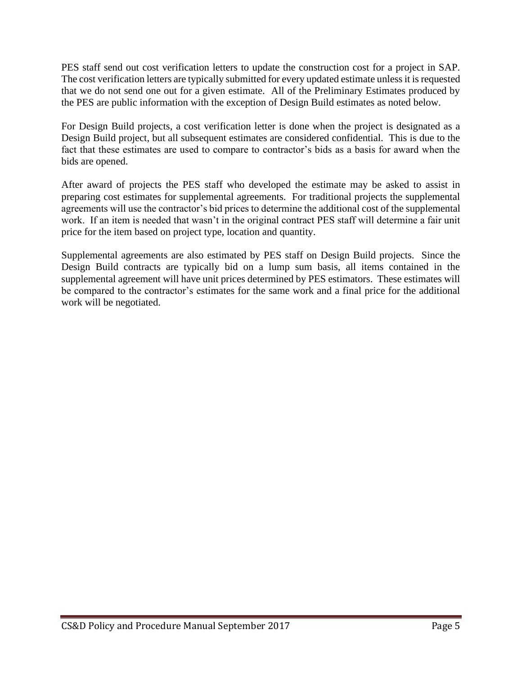PES staff send out cost verification letters to update the construction cost for a project in SAP. The cost verification letters are typically submitted for every updated estimate unless it is requested that we do not send one out for a given estimate. All of the Preliminary Estimates produced by the PES are public information with the exception of Design Build estimates as noted below.

For Design Build projects, a cost verification letter is done when the project is designated as a Design Build project, but all subsequent estimates are considered confidential. This is due to the fact that these estimates are used to compare to contractor's bids as a basis for award when the bids are opened.

After award of projects the PES staff who developed the estimate may be asked to assist in preparing cost estimates for supplemental agreements. For traditional projects the supplemental agreements will use the contractor's bid prices to determine the additional cost of the supplemental work. If an item is needed that wasn't in the original contract PES staff will determine a fair unit price for the item based on project type, location and quantity.

Supplemental agreements are also estimated by PES staff on Design Build projects. Since the Design Build contracts are typically bid on a lump sum basis, all items contained in the supplemental agreement will have unit prices determined by PES estimators. These estimates will be compared to the contractor's estimates for the same work and a final price for the additional work will be negotiated.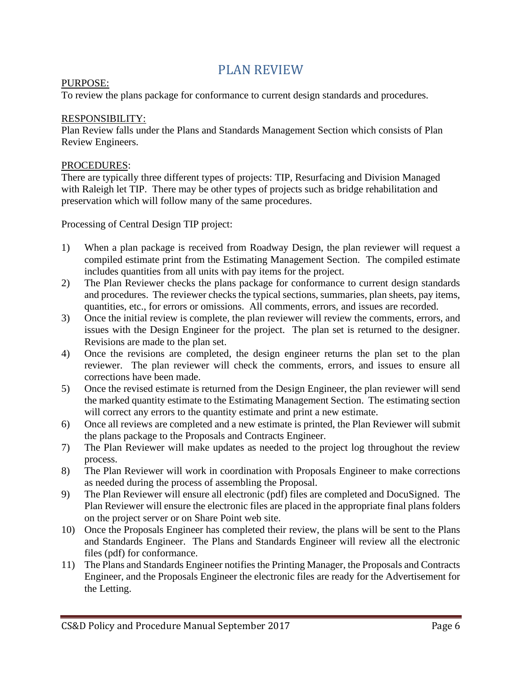# PLAN REVIEW

#### <span id="page-5-0"></span>PURPOSE:

To review the plans package for conformance to current design standards and procedures.

#### RESPONSIBILITY:

Plan Review falls under the Plans and Standards Management Section which consists of Plan Review Engineers.

#### PROCEDURES:

There are typically three different types of projects: TIP, Resurfacing and Division Managed with Raleigh let TIP. There may be other types of projects such as bridge rehabilitation and preservation which will follow many of the same procedures.

Processing of Central Design TIP project:

- 1) When a plan package is received from Roadway Design, the plan reviewer will request a compiled estimate print from the Estimating Management Section. The compiled estimate includes quantities from all units with pay items for the project.
- 2) The Plan Reviewer checks the plans package for conformance to current design standards and procedures. The reviewer checks the typical sections, summaries, plan sheets, pay items, quantities, etc., for errors or omissions. All comments, errors, and issues are recorded.
- 3) Once the initial review is complete, the plan reviewer will review the comments, errors, and issues with the Design Engineer for the project. The plan set is returned to the designer. Revisions are made to the plan set.
- 4) Once the revisions are completed, the design engineer returns the plan set to the plan reviewer. The plan reviewer will check the comments, errors, and issues to ensure all corrections have been made.
- 5) Once the revised estimate is returned from the Design Engineer, the plan reviewer will send the marked quantity estimate to the Estimating Management Section. The estimating section will correct any errors to the quantity estimate and print a new estimate.
- 6) Once all reviews are completed and a new estimate is printed, the Plan Reviewer will submit the plans package to the Proposals and Contracts Engineer.
- 7) The Plan Reviewer will make updates as needed to the project log throughout the review process.
- 8) The Plan Reviewer will work in coordination with Proposals Engineer to make corrections as needed during the process of assembling the Proposal.
- 9) The Plan Reviewer will ensure all electronic (pdf) files are completed and DocuSigned. The Plan Reviewer will ensure the electronic files are placed in the appropriate final plans folders on the project server or on Share Point web site.
- 10) Once the Proposals Engineer has completed their review, the plans will be sent to the Plans and Standards Engineer. The Plans and Standards Engineer will review all the electronic files (pdf) for conformance.
- 11) The Plans and Standards Engineer notifies the Printing Manager, the Proposals and Contracts Engineer, and the Proposals Engineer the electronic files are ready for the Advertisement for the Letting.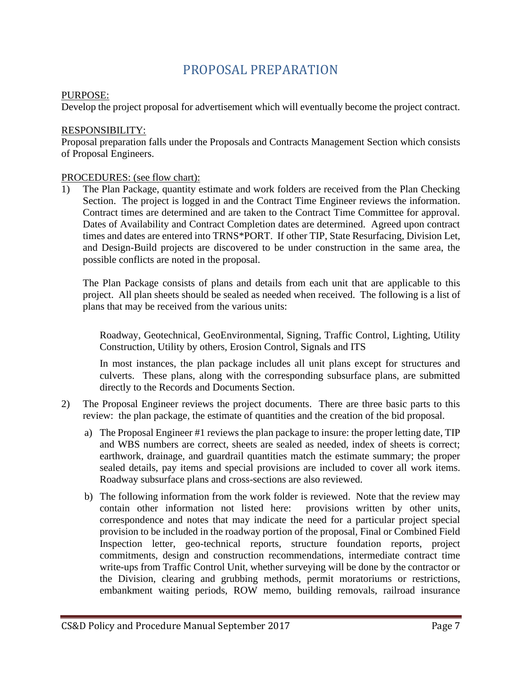# PROPOSAL PREPARATION

#### <span id="page-6-0"></span>PURPOSE:

Develop the project proposal for advertisement which will eventually become the project contract.

#### RESPONSIBILITY:

Proposal preparation falls under the Proposals and Contracts Management Section which consists of Proposal Engineers.

#### PROCEDURES: (see flow chart):

1) The Plan Package, quantity estimate and work folders are received from the Plan Checking Section. The project is logged in and the Contract Time Engineer reviews the information. Contract times are determined and are taken to the Contract Time Committee for approval. Dates of Availability and Contract Completion dates are determined. Agreed upon contract times and dates are entered into TRNS\*PORT. If other TIP, State Resurfacing, Division Let, and Design-Build projects are discovered to be under construction in the same area, the possible conflicts are noted in the proposal.

The Plan Package consists of plans and details from each unit that are applicable to this project. All plan sheets should be sealed as needed when received. The following is a list of plans that may be received from the various units:

Roadway, Geotechnical, GeoEnvironmental, Signing, Traffic Control, Lighting, Utility Construction, Utility by others, Erosion Control, Signals and ITS

In most instances, the plan package includes all unit plans except for structures and culverts. These plans, along with the corresponding subsurface plans, are submitted directly to the Records and Documents Section.

- 2) The Proposal Engineer reviews the project documents. There are three basic parts to this review: the plan package, the estimate of quantities and the creation of the bid proposal.
	- a) The Proposal Engineer #1 reviews the plan package to insure: the proper letting date, TIP and WBS numbers are correct, sheets are sealed as needed, index of sheets is correct; earthwork, drainage, and guardrail quantities match the estimate summary; the proper sealed details, pay items and special provisions are included to cover all work items. Roadway subsurface plans and cross-sections are also reviewed.
	- b) The following information from the work folder is reviewed. Note that the review may contain other information not listed here: provisions written by other units, correspondence and notes that may indicate the need for a particular project special provision to be included in the roadway portion of the proposal, Final or Combined Field Inspection letter, geo-technical reports, structure foundation reports, project commitments, design and construction recommendations, intermediate contract time write-ups from Traffic Control Unit, whether surveying will be done by the contractor or the Division, clearing and grubbing methods, permit moratoriums or restrictions, embankment waiting periods, ROW memo, building removals, railroad insurance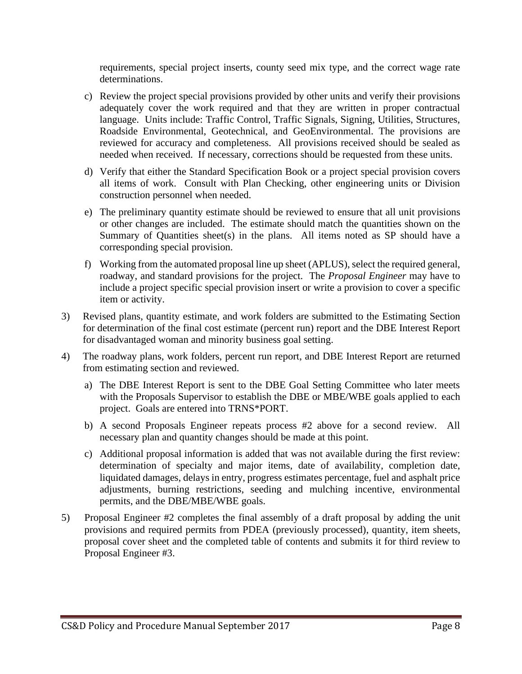requirements, special project inserts, county seed mix type, and the correct wage rate determinations.

- c) Review the project special provisions provided by other units and verify their provisions adequately cover the work required and that they are written in proper contractual language. Units include: Traffic Control, Traffic Signals, Signing, Utilities, Structures, Roadside Environmental, Geotechnical, and GeoEnvironmental. The provisions are reviewed for accuracy and completeness. All provisions received should be sealed as needed when received. If necessary, corrections should be requested from these units.
- d) Verify that either the Standard Specification Book or a project special provision covers all items of work. Consult with Plan Checking, other engineering units or Division construction personnel when needed.
- e) The preliminary quantity estimate should be reviewed to ensure that all unit provisions or other changes are included. The estimate should match the quantities shown on the Summary of Quantities sheet(s) in the plans. All items noted as SP should have a corresponding special provision.
- f) Working from the automated proposal line up sheet (APLUS), select the required general, roadway, and standard provisions for the project. The *Proposal Engineer* may have to include a project specific special provision insert or write a provision to cover a specific item or activity.
- 3) Revised plans, quantity estimate, and work folders are submitted to the Estimating Section for determination of the final cost estimate (percent run) report and the DBE Interest Report for disadvantaged woman and minority business goal setting.
- 4) The roadway plans, work folders, percent run report, and DBE Interest Report are returned from estimating section and reviewed.
	- a) The DBE Interest Report is sent to the DBE Goal Setting Committee who later meets with the Proposals Supervisor to establish the DBE or MBE/WBE goals applied to each project. Goals are entered into TRNS\*PORT.
	- b) A second Proposals Engineer repeats process #2 above for a second review. All necessary plan and quantity changes should be made at this point.
	- c) Additional proposal information is added that was not available during the first review: determination of specialty and major items, date of availability, completion date, liquidated damages, delays in entry, progress estimates percentage, fuel and asphalt price adjustments, burning restrictions, seeding and mulching incentive, environmental permits, and the DBE/MBE/WBE goals.
- 5) Proposal Engineer #2 completes the final assembly of a draft proposal by adding the unit provisions and required permits from PDEA (previously processed), quantity, item sheets, proposal cover sheet and the completed table of contents and submits it for third review to Proposal Engineer #3.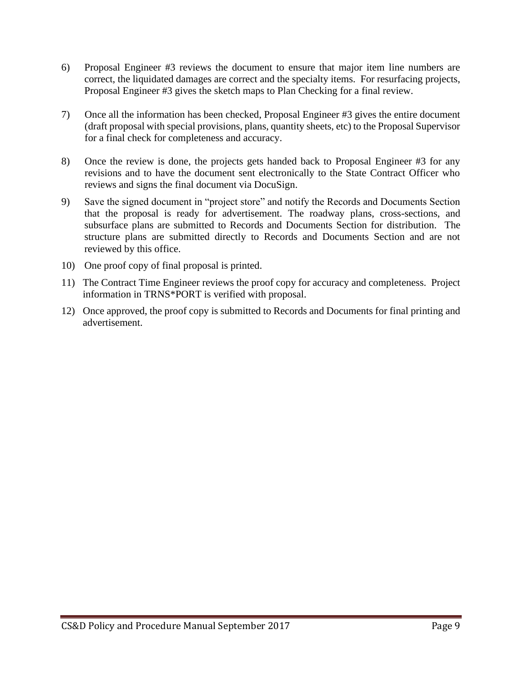- 6) Proposal Engineer #3 reviews the document to ensure that major item line numbers are correct, the liquidated damages are correct and the specialty items. For resurfacing projects, Proposal Engineer #3 gives the sketch maps to Plan Checking for a final review.
- 7) Once all the information has been checked, Proposal Engineer #3 gives the entire document (draft proposal with special provisions, plans, quantity sheets, etc) to the Proposal Supervisor for a final check for completeness and accuracy.
- 8) Once the review is done, the projects gets handed back to Proposal Engineer #3 for any revisions and to have the document sent electronically to the State Contract Officer who reviews and signs the final document via DocuSign.
- 9) Save the signed document in "project store" and notify the Records and Documents Section that the proposal is ready for advertisement. The roadway plans, cross-sections, and subsurface plans are submitted to Records and Documents Section for distribution. The structure plans are submitted directly to Records and Documents Section and are not reviewed by this office.
- 10) One proof copy of final proposal is printed.
- 11) The Contract Time Engineer reviews the proof copy for accuracy and completeness. Project information in TRNS\*PORT is verified with proposal.
- 12) Once approved, the proof copy is submitted to Records and Documents for final printing and advertisement.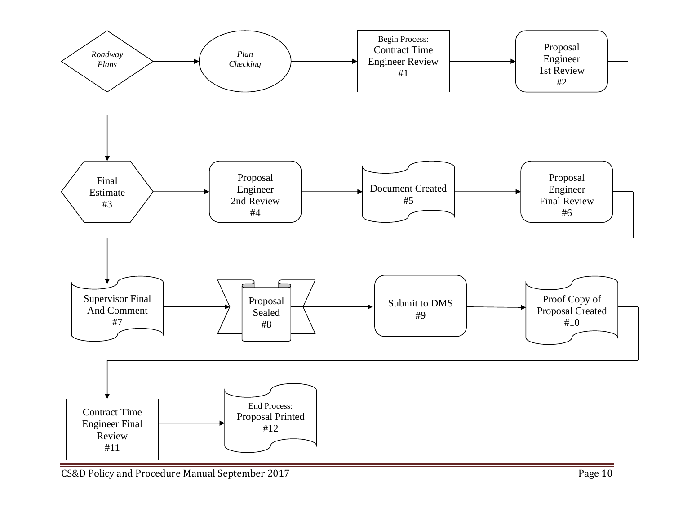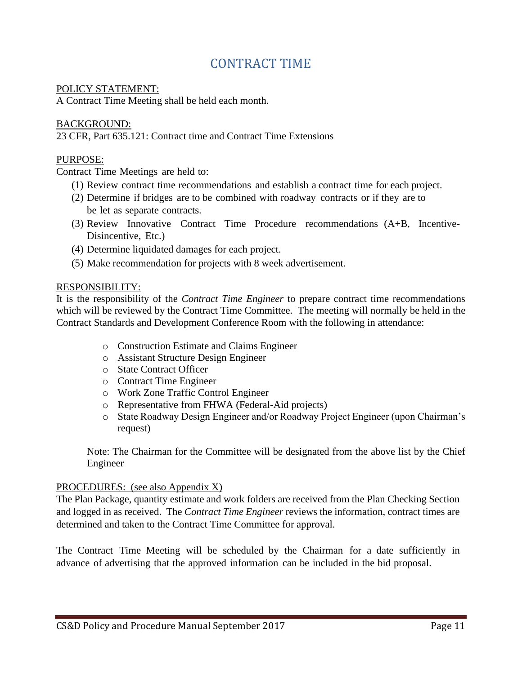# CONTRACT TIME

#### <span id="page-10-0"></span>POLICY STATEMENT:

A Contract Time Meeting shall be held each month.

#### BACKGROUND:

23 CFR, Part 635.121: Contract time and Contract Time Extensions

## PURPOSE:

Contract Time Meetings are held to:

- (1) Review contract time recommendations and establish a contract time for each project.
- (2) Determine if bridges are to be combined with roadway contracts or if they are to be let as separate contracts.
- (3) Review Innovative Contract Time Procedure recommendations (A+B, Incentive-Disincentive, Etc.)
- (4) Determine liquidated damages for each project.
- (5) Make recommendation for projects with 8 week advertisement.

#### RESPONSIBILITY:

It is the responsibility of the *Contract Time Engineer* to prepare contract time recommendations which will be reviewed by the Contract Time Committee. The meeting will normally be held in the Contract Standards and Development Conference Room with the following in attendance:

- o Construction Estimate and Claims Engineer
- o Assistant Structure Design Engineer
- o State Contract Officer
- o Contract Time Engineer
- o Work Zone Traffic Control Engineer
- o Representative from FHWA (Federal-Aid projects)
- o State Roadway Design Engineer and/or Roadway Project Engineer (upon Chairman's request)

Note: The Chairman for the Committee will be designated from the above list by the Chief Engineer

#### PROCEDURES: (see also Appendix X)

The Plan Package, quantity estimate and work folders are received from the Plan Checking Section and logged in as received. The *Contract Time Engineer* reviews the information, contract times are determined and taken to the Contract Time Committee for approval.

The Contract Time Meeting will be scheduled by the Chairman for a date sufficiently in advance of advertising that the approved information can be included in the bid proposal.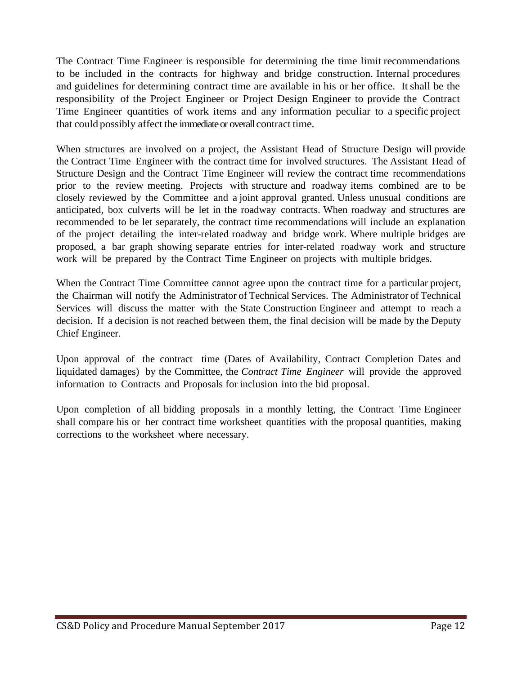The Contract Time Engineer is responsible for determining the time limit recommendations to be included in the contracts for highway and bridge construction. Internal procedures and guidelines for determining contract time are available in his or her office. Itshall be the responsibility of the Project Engineer or Project Design Engineer to provide the Contract Time Engineer quantities of work items and any information peculiar to a specific project that could possibly affect the immediate or overall contract time.

When structures are involved on a project, the Assistant Head of Structure Design will provide the Contract Time Engineer with the contract time for involved structures. The Assistant Head of Structure Design and the Contract Time Engineer will review the contract time recommendations prior to the review meeting. Projects with structure and roadway items combined are to be closely reviewed by the Committee and a joint approval granted. Unless unusual conditions are anticipated, box culverts will be let in the roadway contracts. When roadway and structures are recommended to be let separately, the contract time recommendations will include an explanation of the project detailing the inter-related roadway and bridge work. Where multiple bridges are proposed, a bar graph showing separate entries for inter-related roadway work and structure work will be prepared by the Contract Time Engineer on projects with multiple bridges.

When the Contract Time Committee cannot agree upon the contract time for a particular project, the Chairman will notify the Administrator of Technical Services. The Administrator of Technical Services will discuss the matter with the State Construction Engineer and attempt to reach a decision. If a decision is not reached between them, the final decision will be made by the Deputy Chief Engineer.

Upon approval of the contract time (Dates of Availability, Contract Completion Dates and liquidated damages) by the Committee, the *Contract Time Engineer* will provide the approved information to Contracts and Proposals for inclusion into the bid proposal.

Upon completion of all bidding proposals in a monthly letting, the Contract Time Engineer shall compare his or her contract time worksheet quantities with the proposal quantities, making corrections to the worksheet where necessary.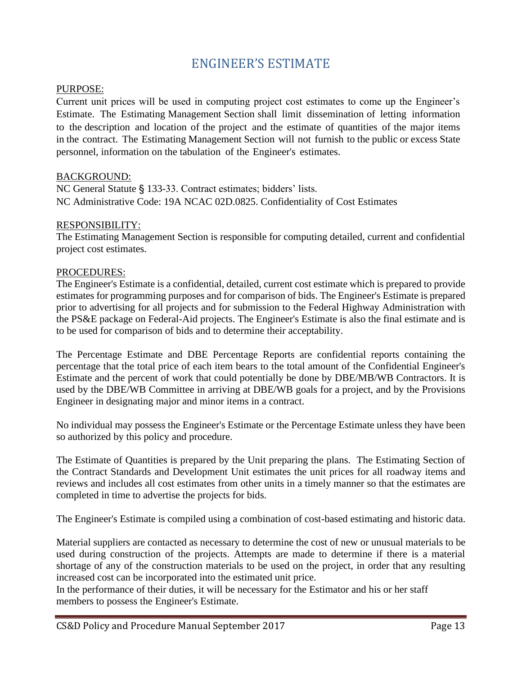# ENGINEER'S ESTIMATE

#### <span id="page-12-0"></span>PURPOSE:

Current unit prices will be used in computing project cost estimates to come up the Engineer's Estimate. The Estimating Management Section shall limit dissemination of letting information to the description and location of the project and the estimate of quantities of the major items in the contract. The Estimating Management Section will not furnish to the public or excess State personnel, information on the tabulation of the Engineer's estimates.

#### BACKGROUND:

NC General Statute § 133-33. Contract estimates; bidders' lists. NC Administrative Code: 19A NCAC 02D.0825. Confidentiality of Cost Estimates

#### RESPONSIBILITY:

The Estimating Management Section is responsible for computing detailed, current and confidential project cost estimates.

#### PROCEDURES:

The Engineer's Estimate is a confidential, detailed, current cost estimate which is prepared to provide estimates for programming purposes and for comparison of bids. The Engineer's Estimate is prepared prior to advertising for all projects and for submission to the Federal Highway Administration with the PS&E package on Federal-Aid projects. The Engineer's Estimate is also the final estimate and is to be used for comparison of bids and to determine their acceptability.

The Percentage Estimate and DBE Percentage Reports are confidential reports containing the percentage that the total price of each item bears to the total amount of the Confidential Engineer's Estimate and the percent of work that could potentially be done by DBE/MB/WB Contractors. It is used by the DBE/WB Committee in arriving at DBE/WB goals for a project, and by the Provisions Engineer in designating major and minor items in a contract.

No individual may possess the Engineer's Estimate or the Percentage Estimate unless they have been so authorized by this policy and procedure.

The Estimate of Quantities is prepared by the Unit preparing the plans. The Estimating Section of the Contract Standards and Development Unit estimates the unit prices for all roadway items and reviews and includes all cost estimates from other units in a timely manner so that the estimates are completed in time to advertise the projects for bids.

The Engineer's Estimate is compiled using a combination of cost-based estimating and historic data.

Material suppliers are contacted as necessary to determine the cost of new or unusual materials to be used during construction of the projects. Attempts are made to determine if there is a material shortage of any of the construction materials to be used on the project, in order that any resulting increased cost can be incorporated into the estimated unit price.

In the performance of their duties, it will be necessary for the Estimator and his or her staff members to possess the Engineer's Estimate.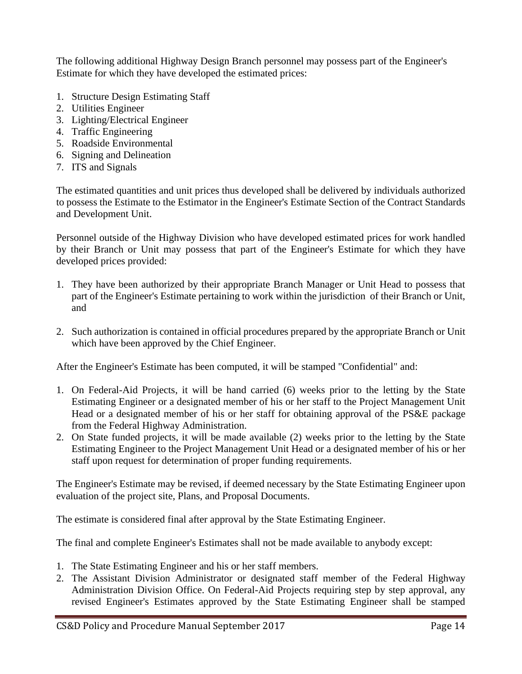The following additional Highway Design Branch personnel may possess part of the Engineer's Estimate for which they have developed the estimated prices:

- 1. Structure Design Estimating Staff
- 2. Utilities Engineer
- 3. Lighting/Electrical Engineer
- 4. Traffic Engineering
- 5. Roadside Environmental
- 6. Signing and Delineation
- 7. ITS and Signals

The estimated quantities and unit prices thus developed shall be delivered by individuals authorized to possess the Estimate to the Estimator in the Engineer's Estimate Section of the Contract Standards and Development Unit.

Personnel outside of the Highway Division who have developed estimated prices for work handled by their Branch or Unit may possess that part of the Engineer's Estimate for which they have developed prices provided:

- 1. They have been authorized by their appropriate Branch Manager or Unit Head to possess that part of the Engineer's Estimate pertaining to work within the jurisdiction of their Branch or Unit, and
- 2. Such authorization is contained in official procedures prepared by the appropriate Branch or Unit which have been approved by the Chief Engineer.

After the Engineer's Estimate has been computed, it will be stamped "Confidential" and:

- 1. On Federal-Aid Projects, it will be hand carried (6) weeks prior to the letting by the State Estimating Engineer or a designated member of his or her staff to the Project Management Unit Head or a designated member of his or her staff for obtaining approval of the PS&E package from the Federal Highway Administration.
- 2. On State funded projects, it will be made available (2) weeks prior to the letting by the State Estimating Engineer to the Project Management Unit Head or a designated member of his or her staff upon request for determination of proper funding requirements.

The Engineer's Estimate may be revised, if deemed necessary by the State Estimating Engineer upon evaluation of the project site, Plans, and Proposal Documents.

The estimate is considered final after approval by the State Estimating Engineer.

The final and complete Engineer's Estimates shall not be made available to anybody except:

- 1. The State Estimating Engineer and his or her staff members.
- 2. The Assistant Division Administrator or designated staff member of the Federal Highway Administration Division Office. On Federal-Aid Projects requiring step by step approval, any revised Engineer's Estimates approved by the State Estimating Engineer shall be stamped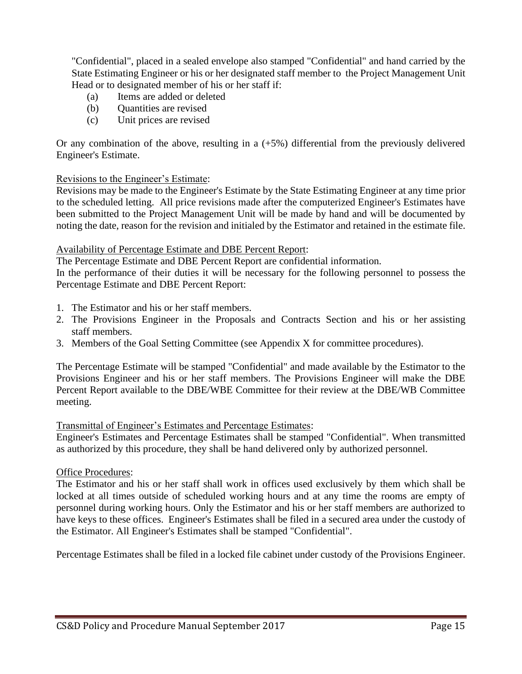"Confidential", placed in a sealed envelope also stamped "Confidential" and hand carried by the State Estimating Engineer or his or her designated staff member to the Project Management Unit Head or to designated member of his or her staff if:

- (a) Items are added or deleted
- (b) Quantities are revised
- (c) Unit prices are revised

Or any combination of the above, resulting in a (+5%) differential from the previously delivered Engineer's Estimate.

#### Revisions to the Engineer's Estimate:

Revisions may be made to the Engineer's Estimate by the State Estimating Engineer at any time prior to the scheduled letting. All price revisions made after the computerized Engineer's Estimates have been submitted to the Project Management Unit will be made by hand and will be documented by noting the date, reason for the revision and initialed by the Estimator and retained in the estimate file.

#### Availability of Percentage Estimate and DBE Percent Report:

The Percentage Estimate and DBE Percent Report are confidential information.

In the performance of their duties it will be necessary for the following personnel to possess the Percentage Estimate and DBE Percent Report:

- 1. The Estimator and his or her staff members.
- 2. The Provisions Engineer in the Proposals and Contracts Section and his or her assisting staff members.
- 3. Members of the Goal Setting Committee (see Appendix X for committee procedures).

The Percentage Estimate will be stamped "Confidential" and made available by the Estimator to the Provisions Engineer and his or her staff members. The Provisions Engineer will make the DBE Percent Report available to the DBE/WBE Committee for their review at the DBE/WB Committee meeting.

#### Transmittal of Engineer's Estimates and Percentage Estimates:

Engineer's Estimates and Percentage Estimates shall be stamped "Confidential". When transmitted as authorized by this procedure, they shall be hand delivered only by authorized personnel.

#### Office Procedures:

The Estimator and his or her staff shall work in offices used exclusively by them which shall be locked at all times outside of scheduled working hours and at any time the rooms are empty of personnel during working hours. Only the Estimator and his or her staff members are authorized to have keys to these offices. Engineer's Estimates shall be filed in a secured area under the custody of the Estimator. All Engineer's Estimates shall be stamped "Confidential".

Percentage Estimates shall be filed in a locked file cabinet under custody of the Provisions Engineer.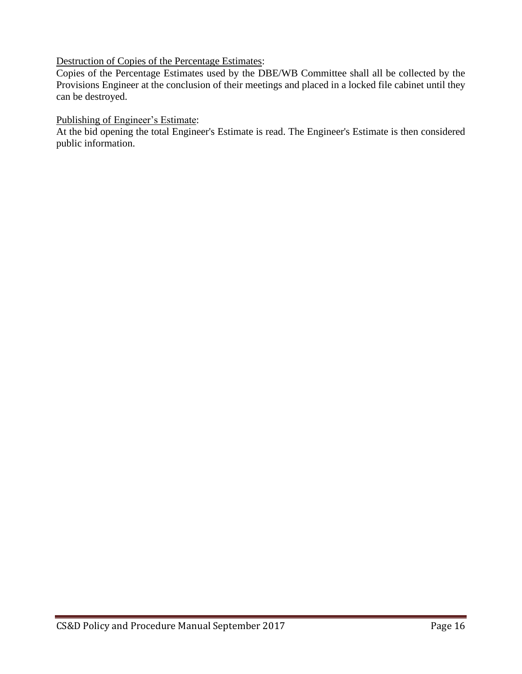#### Destruction of Copies of the Percentage Estimates:

Copies of the Percentage Estimates used by the DBE/WB Committee shall all be collected by the Provisions Engineer at the conclusion of their meetings and placed in a locked file cabinet until they can be destroyed.

#### Publishing of Engineer's Estimate:

At the bid opening the total Engineer's Estimate is read. The Engineer's Estimate is then considered public information.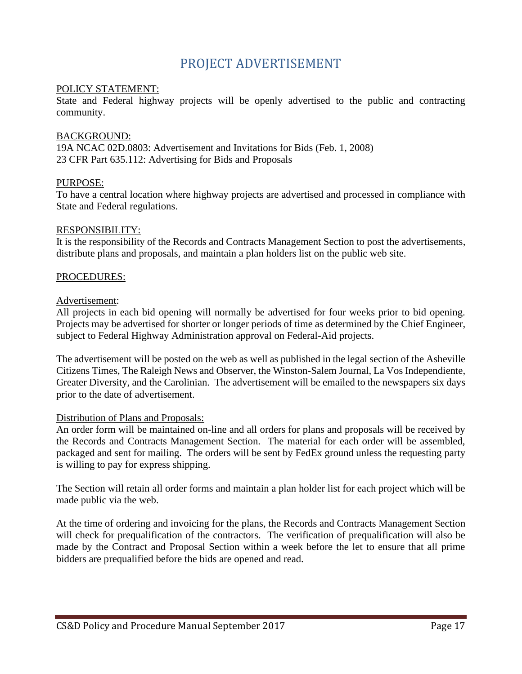# PROJECT ADVERTISEMENT

#### <span id="page-16-0"></span>POLICY STATEMENT:

State and Federal highway projects will be openly advertised to the public and contracting community.

#### BACKGROUND:

19A NCAC 02D.0803: Advertisement and Invitations for Bids (Feb. 1, 2008) 23 CFR Part 635.112: Advertising for Bids and Proposals

#### PURPOSE:

To have a central location where highway projects are advertised and processed in compliance with State and Federal regulations.

#### RESPONSIBILITY:

It is the responsibility of the Records and Contracts Management Section to post the advertisements, distribute plans and proposals, and maintain a plan holders list on the public web site.

#### PROCEDURES:

#### Advertisement:

All projects in each bid opening will normally be advertised for four weeks prior to bid opening. Projects may be advertised for shorter or longer periods of time as determined by the Chief Engineer, subject to Federal Highway Administration approval on Federal-Aid projects.

The advertisement will be posted on the web as well as published in the legal section of the Asheville Citizens Times, The Raleigh News and Observer, the Winston-Salem Journal, La Vos Independiente, Greater Diversity, and the Carolinian. The advertisement will be emailed to the newspapers six days prior to the date of advertisement.

#### Distribution of Plans and Proposals:

An order form will be maintained on-line and all orders for plans and proposals will be received by the Records and Contracts Management Section. The material for each order will be assembled, packaged and sent for mailing. The orders will be sent by FedEx ground unless the requesting party is willing to pay for express shipping.

The Section will retain all order forms and maintain a plan holder list for each project which will be made public via the web.

At the time of ordering and invoicing for the plans, the Records and Contracts Management Section will check for prequalification of the contractors. The verification of prequalification will also be made by the Contract and Proposal Section within a week before the let to ensure that all prime bidders are prequalified before the bids are opened and read.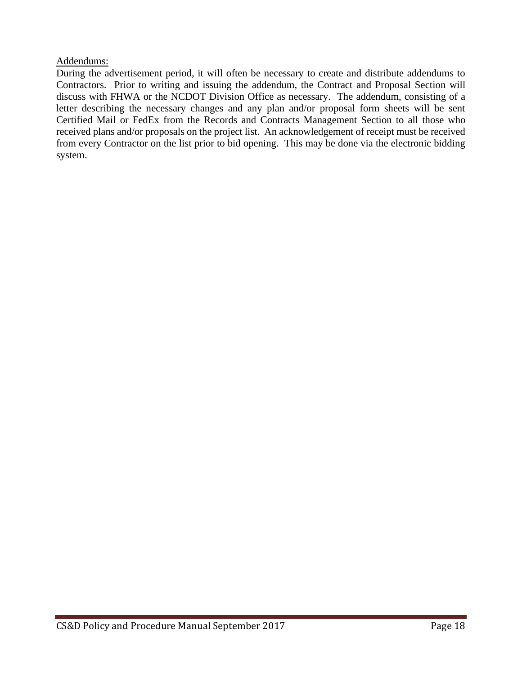#### Addendums:

During the advertisement period, it will often be necessary to create and distribute addendums to Contractors. Prior to writing and issuing the addendum, the Contract and Proposal Section will discuss with FHWA or the NCDOT Division Office as necessary. The addendum, consisting of a letter describing the necessary changes and any plan and/or proposal form sheets will be sent Certified Mail or FedEx from the Records and Contracts Management Section to all those who received plans and/or proposals on the project list. An acknowledgement of receipt must be received from every Contractor on the list prior to bid opening. This may be done via the electronic bidding system.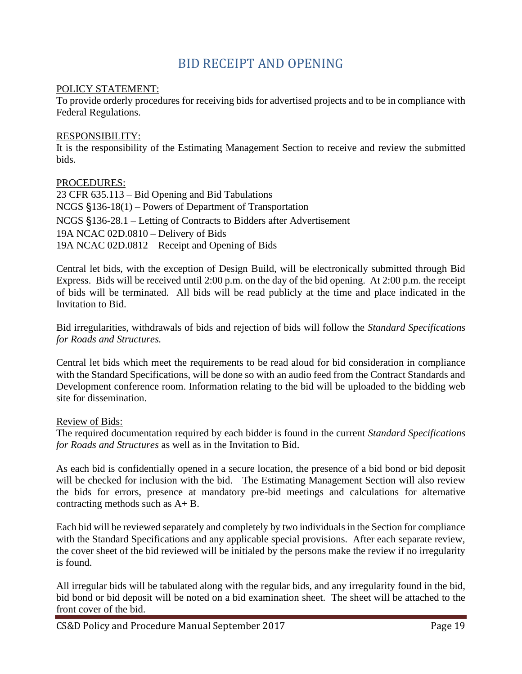# BID RECEIPT AND OPENING

#### <span id="page-18-0"></span>POLICY STATEMENT:

To provide orderly procedures for receiving bids for advertised projects and to be in compliance with Federal Regulations.

#### RESPONSIBILITY:

It is the responsibility of the Estimating Management Section to receive and review the submitted bids.

PROCEDURES: 23 CFR 635.113 – Bid Opening and Bid Tabulations NCGS §136-18(1) – Powers of Department of Transportation NCGS §136-28.1 – Letting of Contracts to Bidders after Advertisement 19A NCAC 02D.0810 – Delivery of Bids 19A NCAC 02D.0812 – Receipt and Opening of Bids

Central let bids, with the exception of Design Build, will be electronically submitted through Bid Express. Bids will be received until 2:00 p.m. on the day of the bid opening. At 2:00 p.m. the receipt of bids will be terminated. All bids will be read publicly at the time and place indicated in the Invitation to Bid.

Bid irregularities, withdrawals of bids and rejection of bids will follow the *Standard Specifications for Roads and Structures.* 

Central let bids which meet the requirements to be read aloud for bid consideration in compliance with the Standard Specifications, will be done so with an audio feed from the Contract Standards and Development conference room. Information relating to the bid will be uploaded to the bidding web site for dissemination.

#### Review of Bids:

The required documentation required by each bidder is found in the current *Standard Specifications for Roads and Structures* as well as in the Invitation to Bid.

As each bid is confidentially opened in a secure location, the presence of a bid bond or bid deposit will be checked for inclusion with the bid. The Estimating Management Section will also review the bids for errors, presence at mandatory pre-bid meetings and calculations for alternative contracting methods such as A+ B.

Each bid will be reviewed separately and completely by two individuals in the Section for compliance with the Standard Specifications and any applicable special provisions. After each separate review, the cover sheet of the bid reviewed will be initialed by the persons make the review if no irregularity is found.

All irregular bids will be tabulated along with the regular bids, and any irregularity found in the bid, bid bond or bid deposit will be noted on a bid examination sheet. The sheet will be attached to the front cover of the bid.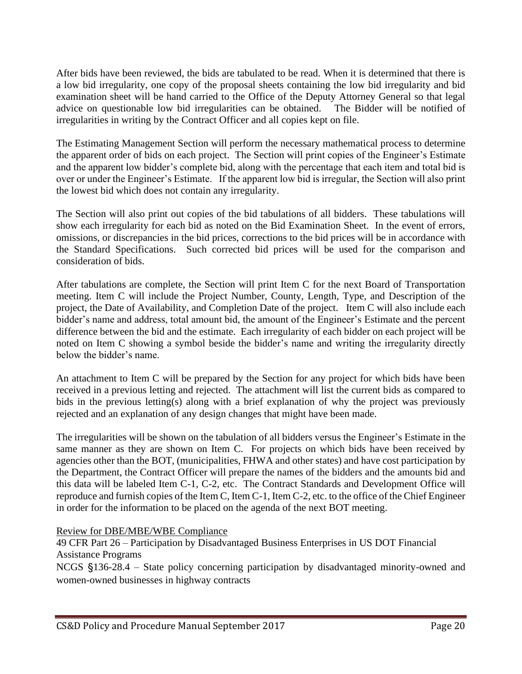After bids have been reviewed, the bids are tabulated to be read. When it is determined that there is a low bid irregularity, one copy of the proposal sheets containing the low bid irregularity and bid examination sheet will be hand carried to the Office of the Deputy Attorney General so that legal advice on questionable low bid irregularities can be obtained. The Bidder will be notified of irregularities in writing by the Contract Officer and all copies kept on file.

The Estimating Management Section will perform the necessary mathematical process to determine the apparent order of bids on each project. The Section will print copies of the Engineer's Estimate and the apparent low bidder's complete bid, along with the percentage that each item and total bid is over or under the Engineer's Estimate. If the apparent low bid is irregular, the Section will also print the lowest bid which does not contain any irregularity.

The Section will also print out copies of the bid tabulations of all bidders. These tabulations will show each irregularity for each bid as noted on the Bid Examination Sheet. In the event of errors, omissions, or discrepancies in the bid prices, corrections to the bid prices will be in accordance with the Standard Specifications. Such corrected bid prices will be used for the comparison and consideration of bids.

After tabulations are complete, the Section will print Item C for the next Board of Transportation meeting. Item C will include the Project Number, County, Length, Type, and Description of the project, the Date of Availability, and Completion Date of the project. Item C will also include each bidder's name and address, total amount bid, the amount of the Engineer's Estimate and the percent difference between the bid and the estimate. Each irregularity of each bidder on each project will be noted on Item C showing a symbol beside the bidder's name and writing the irregularity directly below the bidder's name.

An attachment to Item C will be prepared by the Section for any project for which bids have been received in a previous letting and rejected. The attachment will list the current bids as compared to bids in the previous letting(s) along with a brief explanation of why the project was previously rejected and an explanation of any design changes that might have been made.

The irregularities will be shown on the tabulation of all bidders versus the Engineer's Estimate in the same manner as they are shown on Item C. For projects on which bids have been received by agencies other than the BOT, (municipalities, FHWA and other states) and have cost participation by the Department, the Contract Officer will prepare the names of the bidders and the amounts bid and this data will be labeled Item C-1, C-2, etc. The Contract Standards and Development Office will reproduce and furnish copies of the Item C, Item C-1, Item C-2, etc. to the office of the Chief Engineer in order for the information to be placed on the agenda of the next BOT meeting.

## Review for DBE/MBE/WBE Compliance

49 CFR Part 26 – Participation by Disadvantaged Business Enterprises in US DOT Financial Assistance Programs

NCGS §136-28.4 – State policy concerning participation by disadvantaged minority-owned and women-owned businesses in highway contracts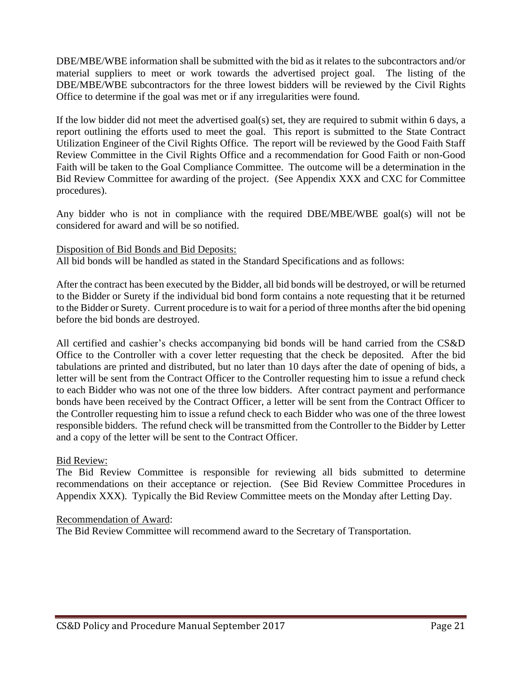DBE/MBE/WBE information shall be submitted with the bid as it relates to the subcontractors and/or material suppliers to meet or work towards the advertised project goal. The listing of the DBE/MBE/WBE subcontractors for the three lowest bidders will be reviewed by the Civil Rights Office to determine if the goal was met or if any irregularities were found.

If the low bidder did not meet the advertised goal(s) set, they are required to submit within 6 days, a report outlining the efforts used to meet the goal. This report is submitted to the State Contract Utilization Engineer of the Civil Rights Office. The report will be reviewed by the Good Faith Staff Review Committee in the Civil Rights Office and a recommendation for Good Faith or non-Good Faith will be taken to the Goal Compliance Committee. The outcome will be a determination in the Bid Review Committee for awarding of the project. (See Appendix XXX and CXC for Committee procedures).

Any bidder who is not in compliance with the required DBE/MBE/WBE goal(s) will not be considered for award and will be so notified.

#### Disposition of Bid Bonds and Bid Deposits:

All bid bonds will be handled as stated in the Standard Specifications and as follows:

After the contract has been executed by the Bidder, all bid bonds will be destroyed, or will be returned to the Bidder or Surety if the individual bid bond form contains a note requesting that it be returned to the Bidder or Surety. Current procedure is to wait for a period of three months after the bid opening before the bid bonds are destroyed.

All certified and cashier's checks accompanying bid bonds will be hand carried from the CS&D Office to the Controller with a cover letter requesting that the check be deposited. After the bid tabulations are printed and distributed, but no later than 10 days after the date of opening of bids, a letter will be sent from the Contract Officer to the Controller requesting him to issue a refund check to each Bidder who was not one of the three low bidders. After contract payment and performance bonds have been received by the Contract Officer, a letter will be sent from the Contract Officer to the Controller requesting him to issue a refund check to each Bidder who was one of the three lowest responsible bidders. The refund check will be transmitted from the Controller to the Bidder by Letter and a copy of the letter will be sent to the Contract Officer.

#### Bid Review:

The Bid Review Committee is responsible for reviewing all bids submitted to determine recommendations on their acceptance or rejection. (See Bid Review Committee Procedures in Appendix XXX). Typically the Bid Review Committee meets on the Monday after Letting Day.

#### Recommendation of Award:

The Bid Review Committee will recommend award to the Secretary of Transportation.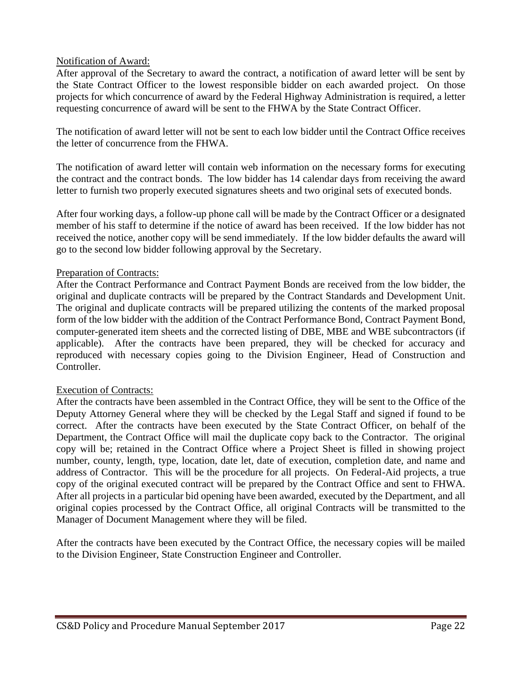#### Notification of Award:

After approval of the Secretary to award the contract, a notification of award letter will be sent by the State Contract Officer to the lowest responsible bidder on each awarded project. On those projects for which concurrence of award by the Federal Highway Administration is required, a letter requesting concurrence of award will be sent to the FHWA by the State Contract Officer.

The notification of award letter will not be sent to each low bidder until the Contract Office receives the letter of concurrence from the FHWA.

The notification of award letter will contain web information on the necessary forms for executing the contract and the contract bonds. The low bidder has 14 calendar days from receiving the award letter to furnish two properly executed signatures sheets and two original sets of executed bonds.

After four working days, a follow-up phone call will be made by the Contract Officer or a designated member of his staff to determine if the notice of award has been received. If the low bidder has not received the notice, another copy will be send immediately. If the low bidder defaults the award will go to the second low bidder following approval by the Secretary.

#### Preparation of Contracts:

After the Contract Performance and Contract Payment Bonds are received from the low bidder, the original and duplicate contracts will be prepared by the Contract Standards and Development Unit. The original and duplicate contracts will be prepared utilizing the contents of the marked proposal form of the low bidder with the addition of the Contract Performance Bond, Contract Payment Bond, computer-generated item sheets and the corrected listing of DBE, MBE and WBE subcontractors (if applicable). After the contracts have been prepared, they will be checked for accuracy and reproduced with necessary copies going to the Division Engineer, Head of Construction and Controller.

#### Execution of Contracts:

After the contracts have been assembled in the Contract Office, they will be sent to the Office of the Deputy Attorney General where they will be checked by the Legal Staff and signed if found to be correct. After the contracts have been executed by the State Contract Officer, on behalf of the Department, the Contract Office will mail the duplicate copy back to the Contractor. The original copy will be; retained in the Contract Office where a Project Sheet is filled in showing project number, county, length, type, location, date let, date of execution, completion date, and name and address of Contractor. This will be the procedure for all projects. On Federal-Aid projects, a true copy of the original executed contract will be prepared by the Contract Office and sent to FHWA. After all projects in a particular bid opening have been awarded, executed by the Department, and all original copies processed by the Contract Office, all original Contracts will be transmitted to the Manager of Document Management where they will be filed.

After the contracts have been executed by the Contract Office, the necessary copies will be mailed to the Division Engineer, State Construction Engineer and Controller.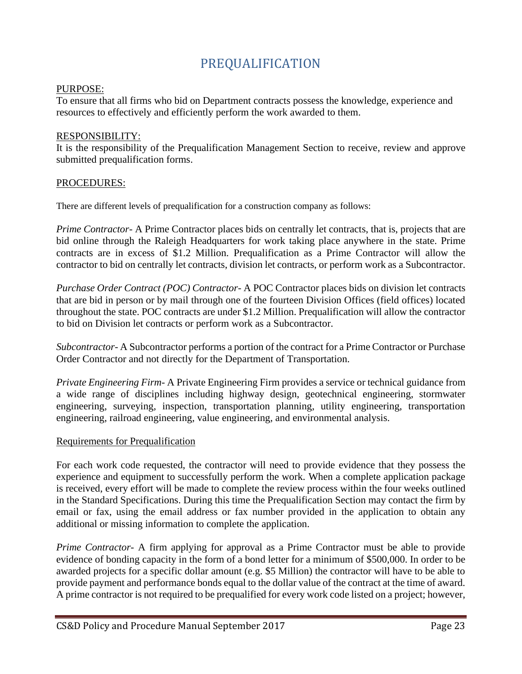# PREQUALIFICATION

#### <span id="page-22-0"></span>PURPOSE:

To ensure that all firms who bid on Department contracts possess the knowledge, experience and resources to effectively and efficiently perform the work awarded to them.

#### RESPONSIBILITY:

It is the responsibility of the Prequalification Management Section to receive, review and approve submitted prequalification forms.

#### PROCEDURES:

There are different levels of prequalification for a construction company as follows:

*Prime Contractor-* A Prime Contractor places bids on centrally let contracts, that is, projects that are bid online through the Raleigh Headquarters for work taking place anywhere in the state. Prime contracts are in excess of \$1.2 Million. Prequalification as a Prime Contractor will allow the contractor to bid on centrally let contracts, division let contracts, or perform work as a Subcontractor.

*Purchase Order Contract (POC) Contractor-* A POC Contractor places bids on division let contracts that are bid in person or by mail through one of the fourteen Division Offices (field offices) located throughout the state. POC contracts are under \$1.2 Million. Prequalification will allow the contractor to bid on Division let contracts or perform work as a Subcontractor.

*Subcontractor*- A Subcontractor performs a portion of the contract for a Prime Contractor or Purchase Order Contractor and not directly for the Department of Transportation.

*Private Engineering Firm*- A Private Engineering Firm provides a service or technical guidance from a wide range of disciplines including highway design, geotechnical engineering, stormwater engineering, surveying, inspection, transportation planning, utility engineering, transportation engineering, railroad engineering, value engineering, and environmental analysis.

#### Requirements for Prequalification

For each work code requested, the contractor will need to provide evidence that they possess the experience and equipment to successfully perform the work. When a complete application package is received, every effort will be made to complete the review process within the four weeks outlined in the Standard Specifications. During this time the Prequalification Section may contact the firm by email or fax, using the email address or fax number provided in the application to obtain any additional or missing information to complete the application.

*Prime Contractor*- A firm applying for approval as a Prime Contractor must be able to provide evidence of bonding capacity in the form of a bond letter for a minimum of \$500,000. In order to be awarded projects for a specific dollar amount (e.g. \$5 Million) the contractor will have to be able to provide payment and performance bonds equal to the dollar value of the contract at the time of award. A prime contractor is not required to be prequalified for every work code listed on a project; however,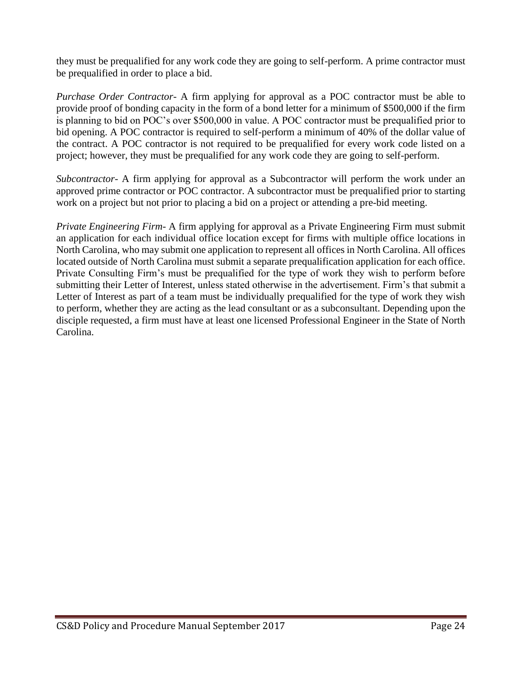they must be prequalified for any work code they are going to self-perform. A prime contractor must be prequalified in order to place a bid.

*Purchase Order Contractor*- A firm applying for approval as a POC contractor must be able to provide proof of bonding capacity in the form of a bond letter for a minimum of \$500,000 if the firm is planning to bid on POC's over \$500,000 in value. A POC contractor must be prequalified prior to bid opening. A POC contractor is required to self-perform a minimum of 40% of the dollar value of the contract. A POC contractor is not required to be prequalified for every work code listed on a project; however, they must be prequalified for any work code they are going to self-perform.

*Subcontractor*- A firm applying for approval as a Subcontractor will perform the work under an approved prime contractor or POC contractor. A subcontractor must be prequalified prior to starting work on a project but not prior to placing a bid on a project or attending a pre-bid meeting.

*Private Engineering Firm-* A firm applying for approval as a Private Engineering Firm must submit an application for each individual office location except for firms with multiple office locations in North Carolina, who may submit one application to represent all offices in North Carolina. All offices located outside of North Carolina must submit a separate prequalification application for each office. Private Consulting Firm's must be prequalified for the type of work they wish to perform before submitting their Letter of Interest, unless stated otherwise in the advertisement. Firm's that submit a Letter of Interest as part of a team must be individually prequalified for the type of work they wish to perform, whether they are acting as the lead consultant or as a subconsultant. Depending upon the disciple requested, a firm must have at least one licensed Professional Engineer in the State of North Carolina.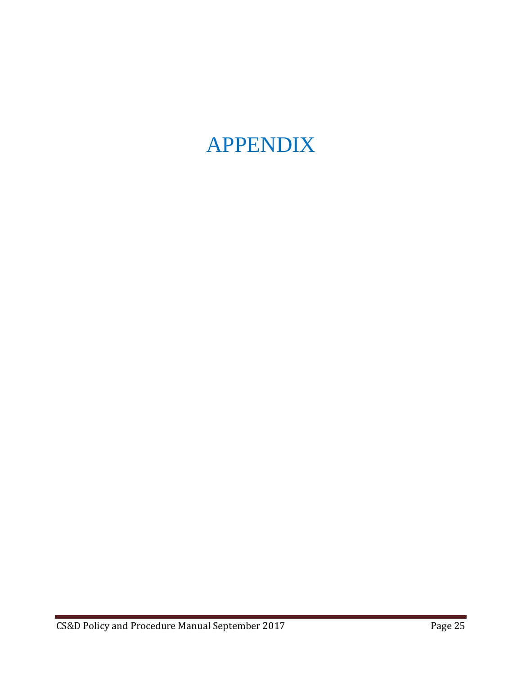# <span id="page-24-0"></span>APPENDIX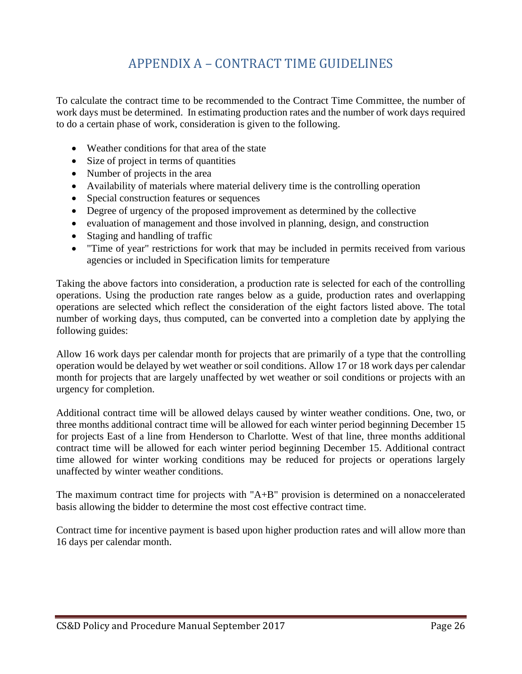# APPENDIX A – CONTRACT TIME GUIDELINES

To calculate the contract time to be recommended to the Contract Time Committee, the number of work days must be determined. In estimating production rates and the number of work days required to do a certain phase of work, consideration is given to the following.

- Weather conditions for that area of the state
- Size of project in terms of quantities
- Number of projects in the area
- Availability of materials where material delivery time is the controlling operation
- Special construction features or sequences
- Degree of urgency of the proposed improvement as determined by the collective
- evaluation of management and those involved in planning, design, and construction
- Staging and handling of traffic
- "Time of year" restrictions for work that may be included in permits received from various agencies or included in Specification limits for temperature

Taking the above factors into consideration, a production rate is selected for each of the controlling operations. Using the production rate ranges below as a guide, production rates and overlapping operations are selected which reflect the consideration of the eight factors listed above. The total number of working days, thus computed, can be converted into a completion date by applying the following guides:

Allow 16 work days per calendar month for projects that are primarily of a type that the controlling operation would be delayed by wet weather or soil conditions. Allow 17 or 18 work days per calendar month for projects that are largely unaffected by wet weather or soil conditions or projects with an urgency for completion.

Additional contract time will be allowed delays caused by winter weather conditions. One, two, or three months additional contract time will be allowed for each winter period beginning December 15 for projects East of a line from Henderson to Charlotte. West of that line, three months additional contract time will be allowed for each winter period beginning December 15. Additional contract time allowed for winter working conditions may be reduced for projects or operations largely unaffected by winter weather conditions.

The maximum contract time for projects with "A+B" provision is determined on a nonaccelerated basis allowing the bidder to determine the most cost effective contract time.

Contract time for incentive payment is based upon higher production rates and will allow more than 16 days per calendar month.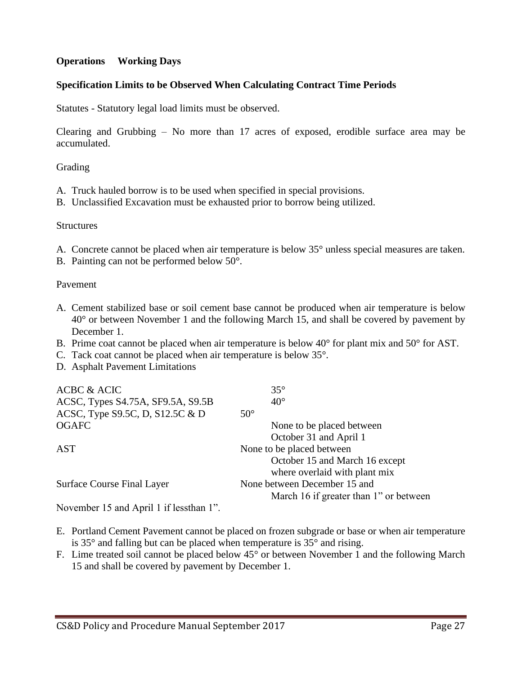#### **Operations Working Days**

#### **Specification Limits to be Observed When Calculating Contract Time Periods**

Statutes - Statutory legal load limits must be observed.

Clearing and Grubbing – No more than 17 acres of exposed, erodible surface area may be accumulated.

Grading

- A. Truck hauled borrow is to be used when specified in special provisions.
- B. Unclassified Excavation must be exhausted prior to borrow being utilized.

#### **Structures**

- A. Concrete cannot be placed when air temperature is below 35° unless special measures are taken.
- B. Painting can not be performed below 50°.

#### Pavement

- A. Cement stabilized base or soil cement base cannot be produced when air temperature is below 40° or between November 1 and the following March 15, and shall be covered by pavement by December 1.
- B. Prime coat cannot be placed when air temperature is below 40° for plant mix and 50° for AST.
- C. Tack coat cannot be placed when air temperature is below 35°.
- D. Asphalt Pavement Limitations

| <b>ACBC &amp; ACIC</b>            | $35^{\circ}$                           |
|-----------------------------------|----------------------------------------|
| ACSC, Types S4.75A, SF9.5A, S9.5B | $40^{\circ}$                           |
| ACSC, Type S9.5C, D, S12.5C & D   | $50^\circ$                             |
| <b>OGAFC</b>                      | None to be placed between              |
|                                   | October 31 and April 1                 |
| AST                               | None to be placed between              |
|                                   | October 15 and March 16 except         |
|                                   | where overlaid with plant mix          |
| <b>Surface Course Final Layer</b> | None between December 15 and           |
|                                   | March 16 if greater than 1" or between |
|                                   |                                        |

November 15 and April 1 if lessthan 1".

- E. Portland Cement Pavement cannot be placed on frozen subgrade or base or when air temperature is 35° and falling but can be placed when temperature is 35° and rising.
- F. Lime treated soil cannot be placed below 45° or between November 1 and the following March 15 and shall be covered by pavement by December 1.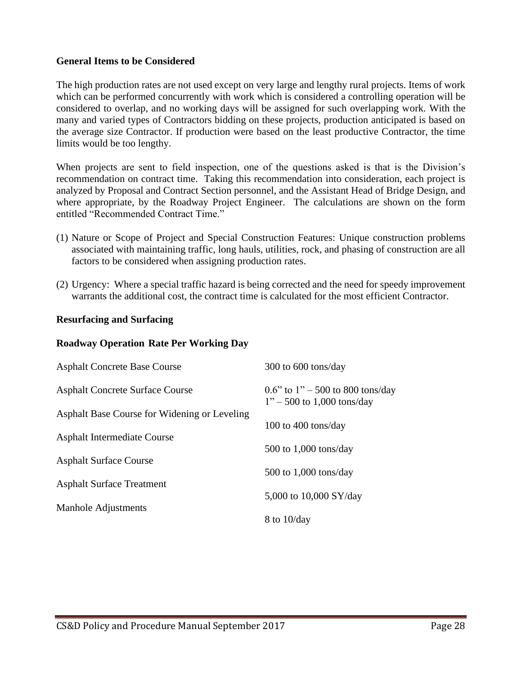#### **General Items to be Considered**

The high production rates are not used except on very large and lengthy rural projects. Items of work which can be performed concurrently with work which is considered a controlling operation will be considered to overlap, and no working days will be assigned for such overlapping work. With the many and varied types of Contractors bidding on these projects, production anticipated is based on the average size Contractor. If production were based on the least productive Contractor, the time limits would be too lengthy.

When projects are sent to field inspection, one of the questions asked is that is the Division's recommendation on contract time. Taking this recommendation into consideration, each project is analyzed by Proposal and Contract Section personnel, and the Assistant Head of Bridge Design, and where appropriate, by the Roadway Project Engineer. The calculations are shown on the form entitled "Recommended Contract Time."

- (1) Nature or Scope of Project and Special Construction Features: Unique construction problems associated with maintaining traffic, long hauls, utilities, rock, and phasing of construction are all factors to be considered when assigning production rates.
- (2) Urgency: Where a special traffic hazard is being corrected and the need for speedy improvement warrants the additional cost, the contract time is calculated for the most efficient Contractor.

#### **Resurfacing and Surfacing**

| <b>Asphalt Concrete Base Course</b>          | 300 to 600 tons/day                                                |
|----------------------------------------------|--------------------------------------------------------------------|
| <b>Asphalt Concrete Surface Course</b>       | 0.6" to $1" - 500$ to 800 tons/day<br>$1" - 500$ to 1,000 tons/day |
| Asphalt Base Course for Widening or Leveling |                                                                    |
|                                              | 100 to 400 tons/day                                                |
| <b>Asphalt Intermediate Course</b>           |                                                                    |
|                                              | $500$ to $1,000$ tons/day                                          |
| <b>Asphalt Surface Course</b>                | $500$ to $1,000$ tons/day                                          |
| <b>Asphalt Surface Treatment</b>             |                                                                    |
|                                              | 5,000 to 10,000 SY/day                                             |
| Manhole Adjustments                          |                                                                    |
|                                              | $8$ to $10$ /day                                                   |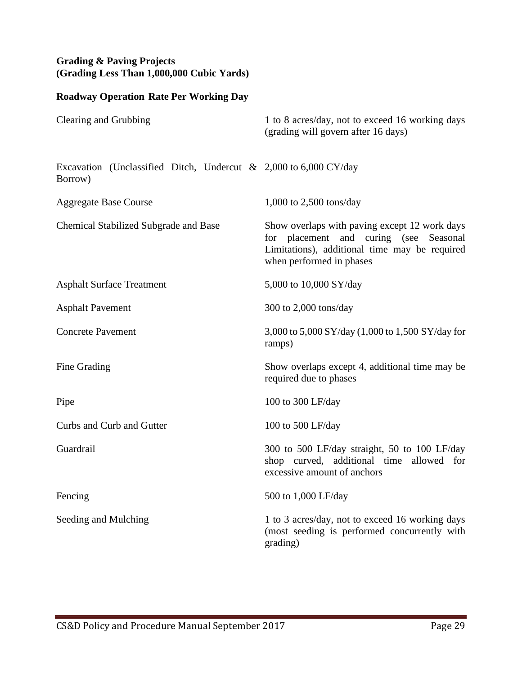# **Grading & Paving Projects (Grading Less Than 1,000,000 Cubic Yards)**

| Clearing and Grubbing                                                                 | 1 to 8 acres/day, not to exceed 16 working days<br>(grading will govern after 16 days)                                                                               |
|---------------------------------------------------------------------------------------|----------------------------------------------------------------------------------------------------------------------------------------------------------------------|
| Excavation (Unclassified Ditch, Undercut & 2,000 to $6,000 \text{ CY/day}$<br>Borrow) |                                                                                                                                                                      |
| <b>Aggregate Base Course</b>                                                          | $1,000$ to $2,500$ tons/day                                                                                                                                          |
| <b>Chemical Stabilized Subgrade and Base</b>                                          | Show overlaps with paving except 12 work days<br>for placement and curing (see Seasonal<br>Limitations), additional time may be required<br>when performed in phases |
| <b>Asphalt Surface Treatment</b>                                                      | 5,000 to 10,000 SY/day                                                                                                                                               |
| <b>Asphalt Pavement</b>                                                               | 300 to $2,000$ tons/day                                                                                                                                              |
| <b>Concrete Pavement</b>                                                              | 3,000 to 5,000 SY/day (1,000 to 1,500 SY/day for<br>ramps)                                                                                                           |
| Fine Grading                                                                          | Show overlaps except 4, additional time may be<br>required due to phases                                                                                             |
| Pipe                                                                                  | 100 to 300 LF/day                                                                                                                                                    |
| Curbs and Curb and Gutter                                                             | 100 to 500 LF/day                                                                                                                                                    |
| Guardrail                                                                             | 300 to 500 LF/day straight, 50 to 100 LF/day<br>shop curved, additional time allowed for<br>excessive amount of anchors                                              |
| Fencing                                                                               | 500 to 1,000 LF/day                                                                                                                                                  |
| Seeding and Mulching                                                                  | 1 to 3 acres/day, not to exceed 16 working days<br>(most seeding is performed concurrently with<br>grading)                                                          |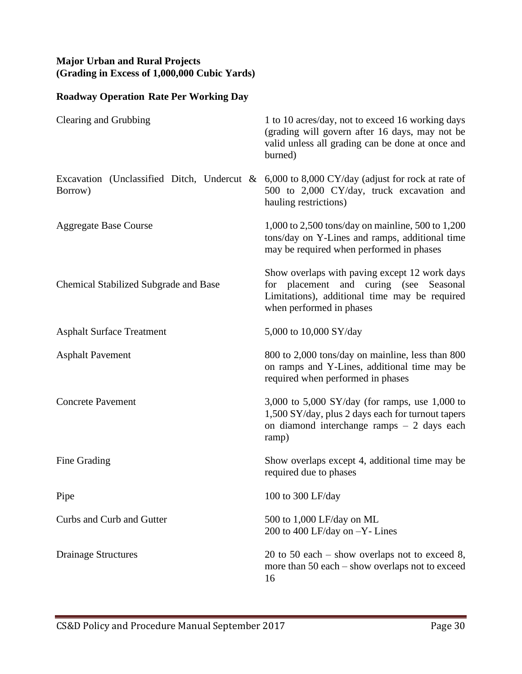## **Major Urban and Rural Projects (Grading in Excess of 1,000,000 Cubic Yards)**

| Clearing and Grubbing                        | 1 to 10 acres/day, not to exceed 16 working days<br>(grading will govern after 16 days, may not be<br>valid unless all grading can be done at once and<br>burned)      |
|----------------------------------------------|------------------------------------------------------------------------------------------------------------------------------------------------------------------------|
| Borrow)                                      | Excavation (Unclassified Ditch, Undercut & $6,000$ to $8,000$ CY/day (adjust for rock at rate of<br>500 to 2,000 CY/day, truck excavation and<br>hauling restrictions) |
| <b>Aggregate Base Course</b>                 | 1,000 to 2,500 tons/day on mainline, 500 to 1,200<br>tons/day on Y-Lines and ramps, additional time<br>may be required when performed in phases                        |
| <b>Chemical Stabilized Subgrade and Base</b> | Show overlaps with paving except 12 work days<br>for placement and curing (see Seasonal<br>Limitations), additional time may be required<br>when performed in phases   |
| <b>Asphalt Surface Treatment</b>             | 5,000 to 10,000 SY/day                                                                                                                                                 |
| <b>Asphalt Pavement</b>                      | 800 to 2,000 tons/day on mainline, less than 800<br>on ramps and Y-Lines, additional time may be<br>required when performed in phases                                  |
| <b>Concrete Pavement</b>                     | 3,000 to 5,000 SY/day (for ramps, use 1,000 to<br>1,500 SY/day, plus 2 days each for turnout tapers<br>on diamond interchange ramps $-2$ days each<br>ramp)            |
| Fine Grading                                 | Show overlaps except 4, additional time may be<br>required due to phases                                                                                               |
| Pipe                                         | 100 to 300 LF/day                                                                                                                                                      |
| Curbs and Curb and Gutter                    | 500 to 1,000 LF/day on ML<br>200 to 400 LF/day on -Y- Lines                                                                                                            |
| <b>Drainage Structures</b>                   | 20 to 50 each $-$ show overlaps not to exceed 8,<br>more than 50 each – show overlaps not to exceed<br>16                                                              |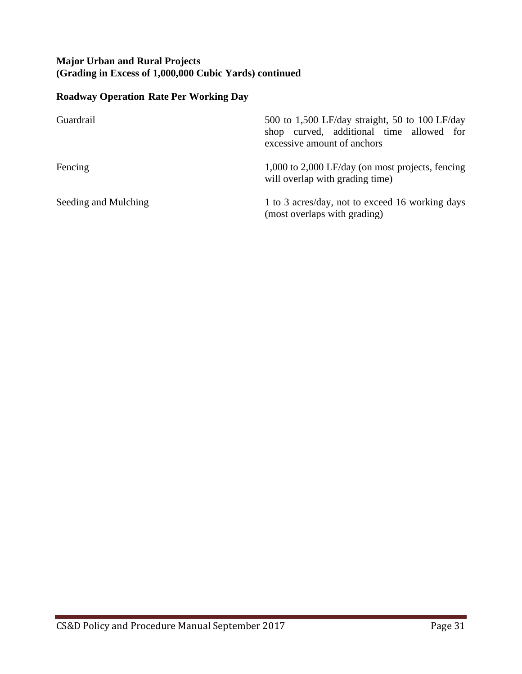## **Major Urban and Rural Projects (Grading in Excess of 1,000,000 Cubic Yards) continued**

| Guardrail            | 500 to 1,500 LF/day straight, 50 to 100 LF/day<br>shop curved, additional time allowed for<br>excessive amount of anchors |
|----------------------|---------------------------------------------------------------------------------------------------------------------------|
| Fencing              | 1,000 to 2,000 LF/day (on most projects, fencing<br>will overlap with grading time)                                       |
| Seeding and Mulching | 1 to 3 acres/day, not to exceed 16 working days<br>(most overlaps with grading)                                           |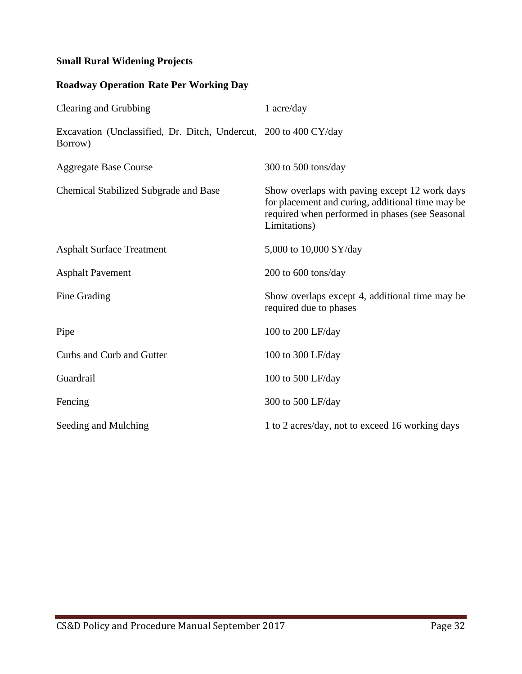## **Small Rural Widening Projects**

| Clearing and Grubbing                                                       | 1 acre/day                                                                                                                                                           |
|-----------------------------------------------------------------------------|----------------------------------------------------------------------------------------------------------------------------------------------------------------------|
| Excavation (Unclassified, Dr. Ditch, Undercut, 200 to 400 CY/day<br>Borrow) |                                                                                                                                                                      |
| <b>Aggregate Base Course</b>                                                | 300 to 500 tons/day                                                                                                                                                  |
| <b>Chemical Stabilized Subgrade and Base</b>                                | Show overlaps with paving except 12 work days<br>for placement and curing, additional time may be<br>required when performed in phases (see Seasonal<br>Limitations) |
| <b>Asphalt Surface Treatment</b>                                            | 5,000 to 10,000 SY/day                                                                                                                                               |
| <b>Asphalt Pavement</b>                                                     | 200 to 600 tons/day                                                                                                                                                  |
| Fine Grading                                                                | Show overlaps except 4, additional time may be<br>required due to phases                                                                                             |
| Pipe                                                                        | 100 to 200 LF/day                                                                                                                                                    |
| Curbs and Curb and Gutter                                                   | 100 to 300 LF/day                                                                                                                                                    |
| Guardrail                                                                   | 100 to 500 LF/day                                                                                                                                                    |
| Fencing                                                                     | 300 to 500 LF/day                                                                                                                                                    |
| Seeding and Mulching                                                        | 1 to 2 acres/day, not to exceed 16 working days                                                                                                                      |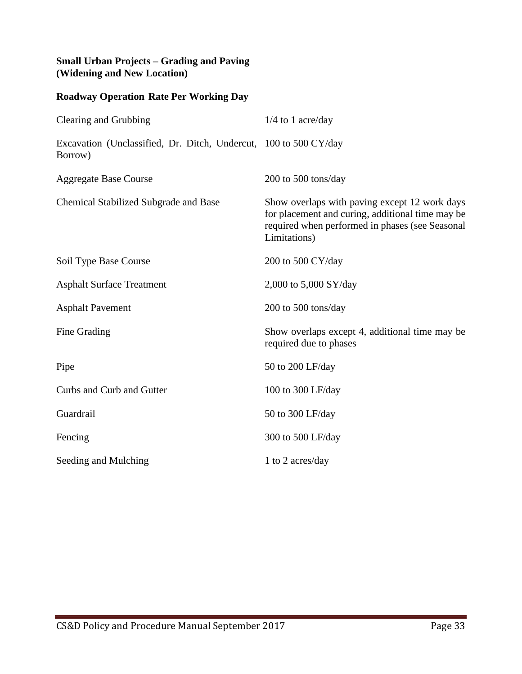#### **Small Urban Projects – Grading and Paving (Widening and New Location)**

| <b>Roadway Operation Rate Per Working Day</b>                               |                                                                                                                                                                      |
|-----------------------------------------------------------------------------|----------------------------------------------------------------------------------------------------------------------------------------------------------------------|
| Clearing and Grubbing                                                       | $1/4$ to 1 acre/day                                                                                                                                                  |
| Excavation (Unclassified, Dr. Ditch, Undercut, 100 to 500 CY/day<br>Borrow) |                                                                                                                                                                      |
| <b>Aggregate Base Course</b>                                                | 200 to 500 tons/day                                                                                                                                                  |
| <b>Chemical Stabilized Subgrade and Base</b>                                | Show overlaps with paving except 12 work days<br>for placement and curing, additional time may be<br>required when performed in phases (see Seasonal<br>Limitations) |
| Soil Type Base Course                                                       | 200 to 500 CY/day                                                                                                                                                    |
| <b>Asphalt Surface Treatment</b>                                            | 2,000 to 5,000 SY/day                                                                                                                                                |
| <b>Asphalt Pavement</b>                                                     | 200 to 500 tons/day                                                                                                                                                  |
| Fine Grading                                                                | Show overlaps except 4, additional time may be<br>required due to phases                                                                                             |
| Pipe                                                                        | 50 to 200 LF/day                                                                                                                                                     |
| Curbs and Curb and Gutter                                                   | 100 to 300 LF/day                                                                                                                                                    |
| Guardrail                                                                   | 50 to 300 LF/day                                                                                                                                                     |
| Fencing                                                                     | 300 to 500 LF/day                                                                                                                                                    |
| Seeding and Mulching                                                        | 1 to 2 acres/day                                                                                                                                                     |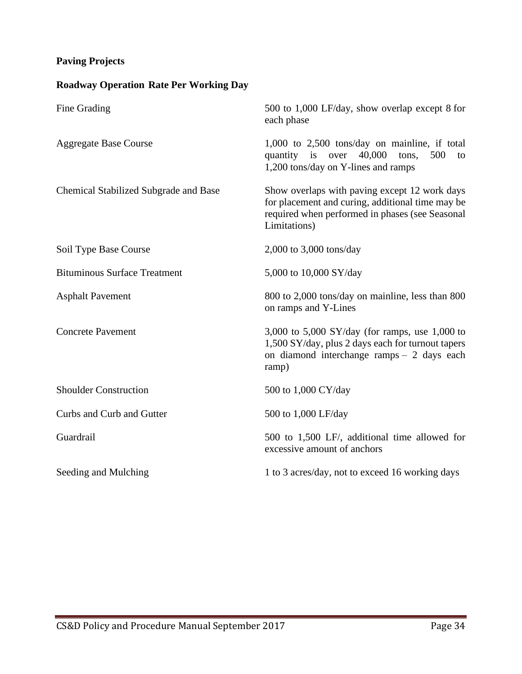## **Paving Projects**

| Fine Grading                                 | 500 to 1,000 LF/day, show overlap except 8 for<br>each phase                                                                                                         |
|----------------------------------------------|----------------------------------------------------------------------------------------------------------------------------------------------------------------------|
| <b>Aggregate Base Course</b>                 | $1,000$ to $2,500$ tons/day on mainline, if total<br>quantity is over<br>40,000<br>500<br>tons,<br>to<br>1,200 tons/day on Y-lines and ramps                         |
| <b>Chemical Stabilized Subgrade and Base</b> | Show overlaps with paving except 12 work days<br>for placement and curing, additional time may be<br>required when performed in phases (see Seasonal<br>Limitations) |
| Soil Type Base Course                        | 2,000 to 3,000 tons/day                                                                                                                                              |
| <b>Bituminous Surface Treatment</b>          | 5,000 to 10,000 SY/day                                                                                                                                               |
| <b>Asphalt Pavement</b>                      | 800 to 2,000 tons/day on mainline, less than 800<br>on ramps and Y-Lines                                                                                             |
| <b>Concrete Pavement</b>                     | 3,000 to 5,000 SY/day (for ramps, use 1,000 to<br>1,500 SY/day, plus 2 days each for turnout tapers<br>on diamond interchange ramps - 2 days each<br>ramp)           |
| <b>Shoulder Construction</b>                 | 500 to 1,000 CY/day                                                                                                                                                  |
| Curbs and Curb and Gutter                    | 500 to 1,000 LF/day                                                                                                                                                  |
| Guardrail                                    | 500 to 1,500 LF/, additional time allowed for<br>excessive amount of anchors                                                                                         |
| Seeding and Mulching                         | 1 to 3 acres/day, not to exceed 16 working days                                                                                                                      |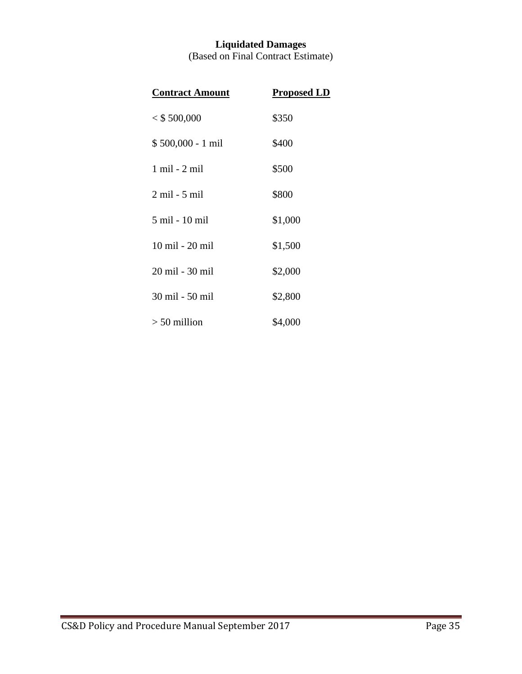## **Liquidated Damages** (Based on Final Contract Estimate)

| <b>Contract Amount</b> | <b>Proposed LD</b> |
|------------------------|--------------------|
| $<$ \$500,000          | \$350              |
| \$500,000 - 1 mil      | \$400              |
| 1 mil - 2 mil          | \$500              |
| 2 mil - 5 mil          | \$800              |
| 5 mil - 10 mil         | \$1,000            |
| 10 mil - 20 mil        | \$1,500            |
| 20 mil - 30 mil        | \$2,000            |
| 30 mil - 50 mil        | \$2,800            |
| $> 50$ million         | \$4,000            |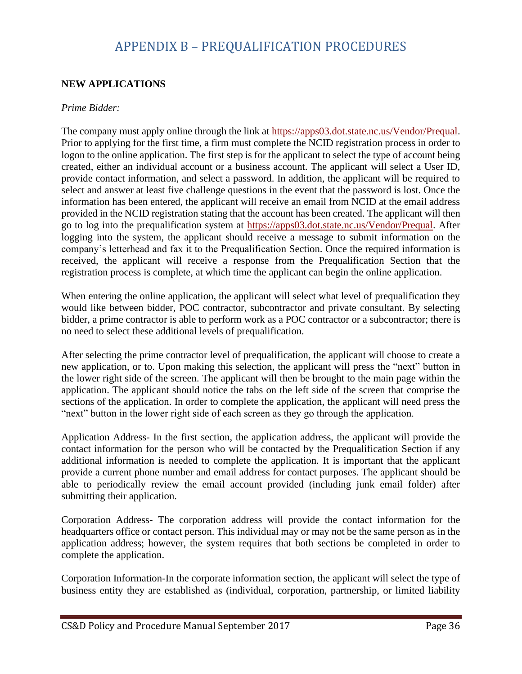# APPENDIX B – PREQUALIFICATION PROCEDURES

## <span id="page-35-0"></span>**NEW APPLICATIONS**

#### *Prime Bidder:*

The company must apply online through the link at [https://apps03.dot.state.nc.us/Vendor/Prequal.](https://apps03.dot.state.nc.us/Vendor/Prequal/) Prior to applying for the first time, a firm must complete the NCID registration process in order to logon to the online application. The first step is for the applicant to select the type of account being created, either an individual account or a business account. The applicant will select a User ID, provide contact information, and select a password. In addition, the applicant will be required to select and answer at least five challenge questions in the event that the password is lost. Once the information has been entered, the applicant will receive an email from NCID at the email address provided in the NCID registration stating that the account has been created. The applicant will then go to log into the prequalification system at [https://apps03.dot.state.nc.us/Vendor/Prequal.](https://apps03.dot.state.nc.us/Vendor/Prequal/) After logging into the system, the applicant should receive a message to submit information on the company's letterhead and fax it to the Prequalification Section. Once the required information is received, the applicant will receive a response from the Prequalification Section that the registration process is complete, at which time the applicant can begin the online application.

When entering the online application, the applicant will select what level of prequalification they would like between bidder, POC contractor, subcontractor and private consultant. By selecting bidder, a prime contractor is able to perform work as a POC contractor or a subcontractor; there is no need to select these additional levels of prequalification.

After selecting the prime contractor level of prequalification, the applicant will choose to create a new application, or to. Upon making this selection, the applicant will press the "next" button in the lower right side of the screen. The applicant will then be brought to the main page within the application. The applicant should notice the tabs on the left side of the screen that comprise the sections of the application. In order to complete the application, the applicant will need press the "next" button in the lower right side of each screen as they go through the application.

Application Address- In the first section, the application address, the applicant will provide the contact information for the person who will be contacted by the Prequalification Section if any additional information is needed to complete the application. It is important that the applicant provide a current phone number and email address for contact purposes. The applicant should be able to periodically review the email account provided (including junk email folder) after submitting their application.

Corporation Address- The corporation address will provide the contact information for the headquarters office or contact person. This individual may or may not be the same person as in the application address; however, the system requires that both sections be completed in order to complete the application.

Corporation Information-In the corporate information section, the applicant will select the type of business entity they are established as (individual, corporation, partnership, or limited liability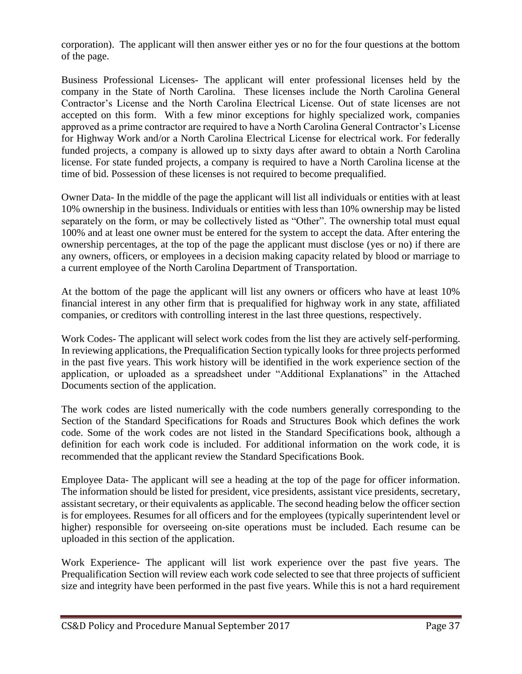corporation). The applicant will then answer either yes or no for the four questions at the bottom of the page.

Business Professional Licenses- The applicant will enter professional licenses held by the company in the State of North Carolina. These licenses include the North Carolina General Contractor's License and the North Carolina Electrical License. Out of state licenses are not accepted on this form. With a few minor exceptions for highly specialized work, companies approved as a prime contractor are required to have a North Carolina General Contractor's License for Highway Work and/or a North Carolina Electrical License for electrical work. For federally funded projects, a company is allowed up to sixty days after award to obtain a North Carolina license. For state funded projects, a company is required to have a North Carolina license at the time of bid. Possession of these licenses is not required to become prequalified.

Owner Data- In the middle of the page the applicant will list all individuals or entities with at least 10% ownership in the business. Individuals or entities with less than 10% ownership may be listed separately on the form, or may be collectively listed as "Other". The ownership total must equal 100% and at least one owner must be entered for the system to accept the data. After entering the ownership percentages, at the top of the page the applicant must disclose (yes or no) if there are any owners, officers, or employees in a decision making capacity related by blood or marriage to a current employee of the North Carolina Department of Transportation.

At the bottom of the page the applicant will list any owners or officers who have at least 10% financial interest in any other firm that is prequalified for highway work in any state, affiliated companies, or creditors with controlling interest in the last three questions, respectively.

Work Codes- The applicant will select work codes from the list they are actively self-performing. In reviewing applications, the Prequalification Section typically looks for three projects performed in the past five years. This work history will be identified in the work experience section of the application, or uploaded as a spreadsheet under "Additional Explanations" in the Attached Documents section of the application.

The work codes are listed numerically with the code numbers generally corresponding to the Section of the Standard Specifications for Roads and Structures Book which defines the work code. Some of the work codes are not listed in the Standard Specifications book, although a definition for each work code is included. For additional information on the work code, it is recommended that the applicant review the Standard Specifications Book.

Employee Data- The applicant will see a heading at the top of the page for officer information. The information should be listed for president, vice presidents, assistant vice presidents, secretary, assistant secretary, or their equivalents as applicable. The second heading below the officer section is for employees. Resumes for all officers and for the employees (typically superintendent level or higher) responsible for overseeing on-site operations must be included. Each resume can be uploaded in this section of the application.

Work Experience- The applicant will list work experience over the past five years. The Prequalification Section will review each work code selected to see that three projects of sufficient size and integrity have been performed in the past five years. While this is not a hard requirement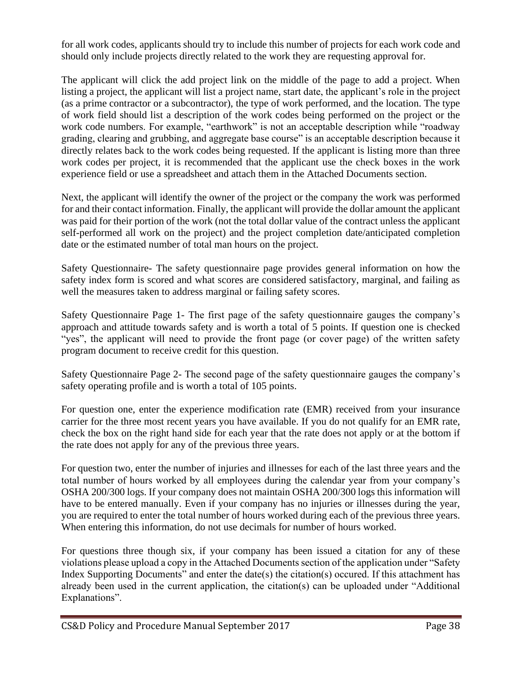for all work codes, applicants should try to include this number of projects for each work code and should only include projects directly related to the work they are requesting approval for.

The applicant will click the add project link on the middle of the page to add a project. When listing a project, the applicant will list a project name, start date, the applicant's role in the project (as a prime contractor or a subcontractor), the type of work performed, and the location. The type of work field should list a description of the work codes being performed on the project or the work code numbers. For example, "earthwork" is not an acceptable description while "roadway grading, clearing and grubbing, and aggregate base course" is an acceptable description because it directly relates back to the work codes being requested. If the applicant is listing more than three work codes per project, it is recommended that the applicant use the check boxes in the work experience field or use a spreadsheet and attach them in the Attached Documents section.

Next, the applicant will identify the owner of the project or the company the work was performed for and their contact information. Finally, the applicant will provide the dollar amount the applicant was paid for their portion of the work (not the total dollar value of the contract unless the applicant self-performed all work on the project) and the project completion date/anticipated completion date or the estimated number of total man hours on the project.

Safety Questionnaire- The safety questionnaire page provides general information on how the safety index form is scored and what scores are considered satisfactory, marginal, and failing as well the measures taken to address marginal or failing safety scores.

Safety Questionnaire Page 1- The first page of the safety questionnaire gauges the company's approach and attitude towards safety and is worth a total of 5 points. If question one is checked "yes", the applicant will need to provide the front page (or cover page) of the written safety program document to receive credit for this question.

Safety Questionnaire Page 2- The second page of the safety questionnaire gauges the company's safety operating profile and is worth a total of 105 points.

For question one, enter the experience modification rate (EMR) received from your insurance carrier for the three most recent years you have available. If you do not qualify for an EMR rate, check the box on the right hand side for each year that the rate does not apply or at the bottom if the rate does not apply for any of the previous three years.

For question two, enter the number of injuries and illnesses for each of the last three years and the total number of hours worked by all employees during the calendar year from your company's OSHA 200/300 logs. If your company does not maintain OSHA 200/300 logs this information will have to be entered manually. Even if your company has no injuries or illnesses during the year, you are required to enter the total number of hours worked during each of the previous three years. When entering this information, do not use decimals for number of hours worked.

For questions three though six, if your company has been issued a citation for any of these violations please upload a copy in the Attached Documents section of the application under "Safety Index Supporting Documents" and enter the date(s) the citation(s) occured. If this attachment has already been used in the current application, the citation(s) can be uploaded under "Additional Explanations".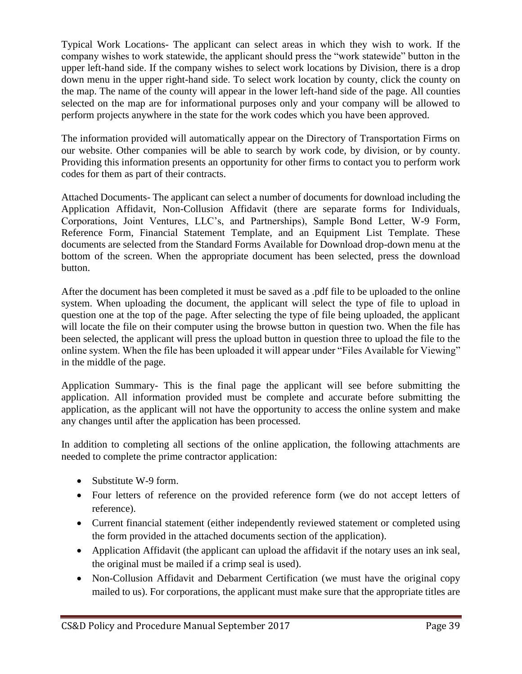Typical Work Locations- The applicant can select areas in which they wish to work. If the company wishes to work statewide, the applicant should press the "work statewide" button in the upper left-hand side. If the company wishes to select work locations by Division, there is a drop down menu in the upper right-hand side. To select work location by county, click the county on the map. The name of the county will appear in the lower left-hand side of the page. All counties selected on the map are for informational purposes only and your company will be allowed to perform projects anywhere in the state for the work codes which you have been approved.

The information provided will automatically appear on the Directory of Transportation Firms on our website. Other companies will be able to search by work code, by division, or by county. Providing this information presents an opportunity for other firms to contact you to perform work codes for them as part of their contracts.

Attached Documents- The applicant can select a number of documents for download including the Application Affidavit, Non-Collusion Affidavit (there are separate forms for Individuals, Corporations, Joint Ventures, LLC's, and Partnerships), Sample Bond Letter, W-9 Form, Reference Form, Financial Statement Template, and an Equipment List Template. These documents are selected from the Standard Forms Available for Download drop-down menu at the bottom of the screen. When the appropriate document has been selected, press the download button.

After the document has been completed it must be saved as a .pdf file to be uploaded to the online system. When uploading the document, the applicant will select the type of file to upload in question one at the top of the page. After selecting the type of file being uploaded, the applicant will locate the file on their computer using the browse button in question two. When the file has been selected, the applicant will press the upload button in question three to upload the file to the online system. When the file has been uploaded it will appear under "Files Available for Viewing" in the middle of the page.

Application Summary- This is the final page the applicant will see before submitting the application. All information provided must be complete and accurate before submitting the application, as the applicant will not have the opportunity to access the online system and make any changes until after the application has been processed.

In addition to completing all sections of the online application, the following attachments are needed to complete the prime contractor application:

- Substitute W-9 form.
- Four letters of reference on the provided reference form (we do not accept letters of reference).
- Current financial statement (either independently reviewed statement or completed using the form provided in the attached documents section of the application).
- Application Affidavit (the applicant can upload the affidavit if the notary uses an ink seal, the original must be mailed if a crimp seal is used).
- Non-Collusion Affidavit and Debarment Certification (we must have the original copy mailed to us). For corporations, the applicant must make sure that the appropriate titles are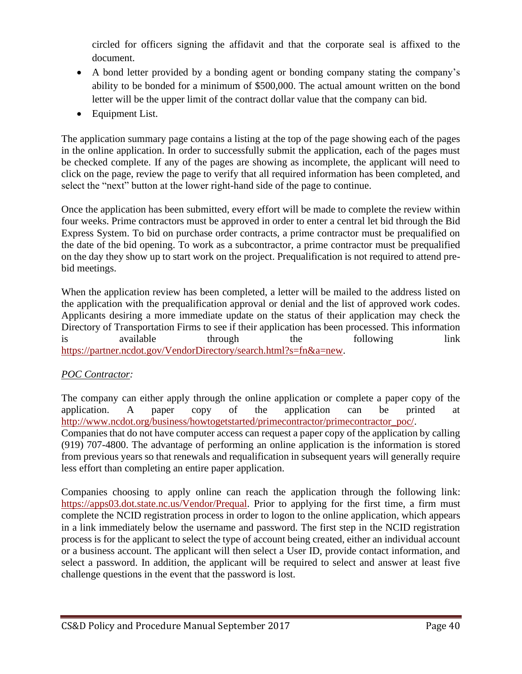circled for officers signing the affidavit and that the corporate seal is affixed to the document.

- A bond letter provided by a bonding agent or bonding company stating the company's ability to be bonded for a minimum of \$500,000. The actual amount written on the bond letter will be the upper limit of the contract dollar value that the company can bid.
- Equipment List.

The application summary page contains a listing at the top of the page showing each of the pages in the online application. In order to successfully submit the application, each of the pages must be checked complete. If any of the pages are showing as incomplete, the applicant will need to click on the page, review the page to verify that all required information has been completed, and select the "next" button at the lower right-hand side of the page to continue.

Once the application has been submitted, every effort will be made to complete the review within four weeks. Prime contractors must be approved in order to enter a central let bid through the Bid Express System. To bid on purchase order contracts, a prime contractor must be prequalified on the date of the bid opening. To work as a subcontractor, a prime contractor must be prequalified on the day they show up to start work on the project. Prequalification is not required to attend prebid meetings.

When the application review has been completed, a letter will be mailed to the address listed on the application with the prequalification approval or denial and the list of approved work codes. Applicants desiring a more immediate update on the status of their application may check the Directory of Transportation Firms to see if their application has been processed. This information is available through the following link [https://partner.ncdot.gov/VendorDirectory/search.html?s=fn&a=new.](https://partner.ncdot.gov/VendorDirectory/search.html?s=fn&a=new)

# *POC Contractor:*

The company can either apply through the online application or complete a paper copy of the application. A paper copy of the application can be printed at [http://www.ncdot.org/business/howtogetstarted/primecontractor/primecontractor\\_poc/.](http://www.ncdot.org/business/howtogetstarted/primecontractor/primecontractor_poc/) Companies that do not have computer access can request a paper copy of the application by calling (919) 707-4800. The advantage of performing an online application is the information is stored from previous years so that renewals and requalification in subsequent years will generally require less effort than completing an entire paper application.

Companies choosing to apply online can reach the application through the following link: [https://apps03.dot.state.nc.us/Vendor/Prequal.](https://apps03.dot.state.nc.us/Vendor/Prequal/) Prior to applying for the first time, a firm must complete the NCID registration process in order to logon to the online application, which appears in a link immediately below the username and password. The first step in the NCID registration process is for the applicant to select the type of account being created, either an individual account or a business account. The applicant will then select a User ID, provide contact information, and select a password. In addition, the applicant will be required to select and answer at least five challenge questions in the event that the password is lost.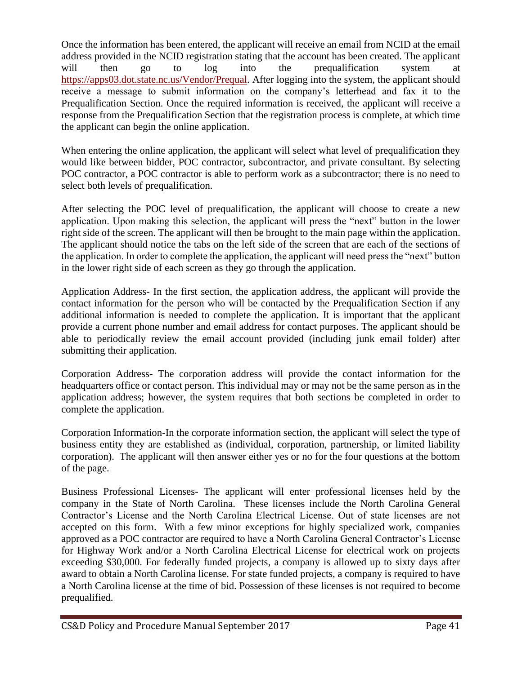Once the information has been entered, the applicant will receive an email from NCID at the email address provided in the NCID registration stating that the account has been created. The applicant will then go to log into the prequalification system at [https://apps03.dot.state.nc.us/Vendor/Prequal.](https://apps03.dot.state.nc.us/Vendor/Prequal/) After logging into the system, the applicant should receive a message to submit information on the company's letterhead and fax it to the Prequalification Section. Once the required information is received, the applicant will receive a response from the Prequalification Section that the registration process is complete, at which time the applicant can begin the online application.

When entering the online application, the applicant will select what level of prequalification they would like between bidder, POC contractor, subcontractor, and private consultant. By selecting POC contractor, a POC contractor is able to perform work as a subcontractor; there is no need to select both levels of prequalification.

After selecting the POC level of prequalification, the applicant will choose to create a new application. Upon making this selection, the applicant will press the "next" button in the lower right side of the screen. The applicant will then be brought to the main page within the application. The applicant should notice the tabs on the left side of the screen that are each of the sections of the application. In order to complete the application, the applicant will need press the "next" button in the lower right side of each screen as they go through the application.

Application Address- In the first section, the application address, the applicant will provide the contact information for the person who will be contacted by the Prequalification Section if any additional information is needed to complete the application. It is important that the applicant provide a current phone number and email address for contact purposes. The applicant should be able to periodically review the email account provided (including junk email folder) after submitting their application.

Corporation Address- The corporation address will provide the contact information for the headquarters office or contact person. This individual may or may not be the same person as in the application address; however, the system requires that both sections be completed in order to complete the application.

Corporation Information-In the corporate information section, the applicant will select the type of business entity they are established as (individual, corporation, partnership, or limited liability corporation). The applicant will then answer either yes or no for the four questions at the bottom of the page.

Business Professional Licenses- The applicant will enter professional licenses held by the company in the State of North Carolina. These licenses include the North Carolina General Contractor's License and the North Carolina Electrical License. Out of state licenses are not accepted on this form. With a few minor exceptions for highly specialized work, companies approved as a POC contractor are required to have a North Carolina General Contractor's License for Highway Work and/or a North Carolina Electrical License for electrical work on projects exceeding \$30,000. For federally funded projects, a company is allowed up to sixty days after award to obtain a North Carolina license. For state funded projects, a company is required to have a North Carolina license at the time of bid. Possession of these licenses is not required to become prequalified.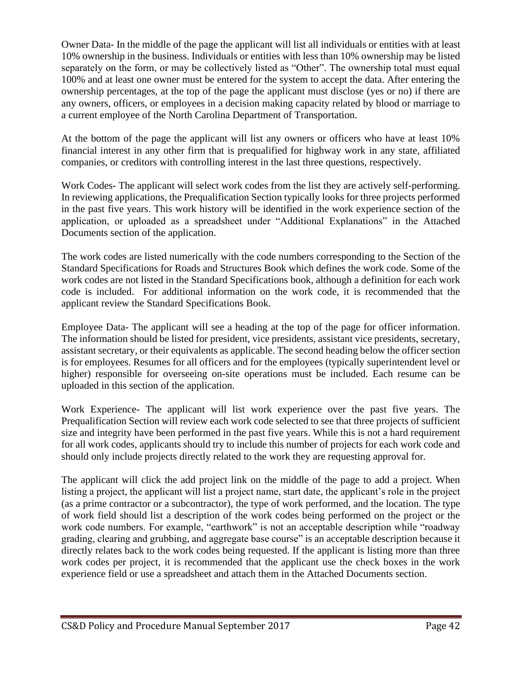Owner Data- In the middle of the page the applicant will list all individuals or entities with at least 10% ownership in the business. Individuals or entities with less than 10% ownership may be listed separately on the form, or may be collectively listed as "Other". The ownership total must equal 100% and at least one owner must be entered for the system to accept the data. After entering the ownership percentages, at the top of the page the applicant must disclose (yes or no) if there are any owners, officers, or employees in a decision making capacity related by blood or marriage to a current employee of the North Carolina Department of Transportation.

At the bottom of the page the applicant will list any owners or officers who have at least 10% financial interest in any other firm that is prequalified for highway work in any state, affiliated companies, or creditors with controlling interest in the last three questions, respectively.

Work Codes- The applicant will select work codes from the list they are actively self-performing. In reviewing applications, the Prequalification Section typically looks for three projects performed in the past five years. This work history will be identified in the work experience section of the application, or uploaded as a spreadsheet under "Additional Explanations" in the Attached Documents section of the application.

The work codes are listed numerically with the code numbers corresponding to the Section of the Standard Specifications for Roads and Structures Book which defines the work code. Some of the work codes are not listed in the Standard Specifications book, although a definition for each work code is included. For additional information on the work code, it is recommended that the applicant review the Standard Specifications Book.

Employee Data- The applicant will see a heading at the top of the page for officer information. The information should be listed for president, vice presidents, assistant vice presidents, secretary, assistant secretary, or their equivalents as applicable. The second heading below the officer section is for employees. Resumes for all officers and for the employees (typically superintendent level or higher) responsible for overseeing on-site operations must be included. Each resume can be uploaded in this section of the application.

Work Experience- The applicant will list work experience over the past five years. The Prequalification Section will review each work code selected to see that three projects of sufficient size and integrity have been performed in the past five years. While this is not a hard requirement for all work codes, applicants should try to include this number of projects for each work code and should only include projects directly related to the work they are requesting approval for.

The applicant will click the add project link on the middle of the page to add a project. When listing a project, the applicant will list a project name, start date, the applicant's role in the project (as a prime contractor or a subcontractor), the type of work performed, and the location. The type of work field should list a description of the work codes being performed on the project or the work code numbers. For example, "earthwork" is not an acceptable description while "roadway grading, clearing and grubbing, and aggregate base course" is an acceptable description because it directly relates back to the work codes being requested. If the applicant is listing more than three work codes per project, it is recommended that the applicant use the check boxes in the work experience field or use a spreadsheet and attach them in the Attached Documents section.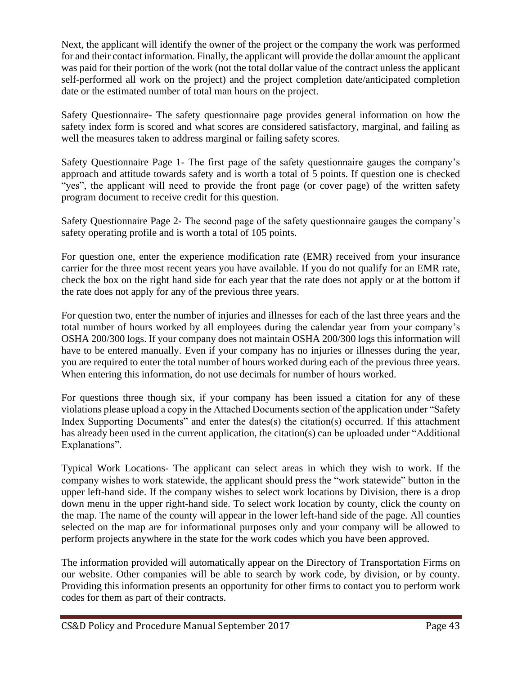Next, the applicant will identify the owner of the project or the company the work was performed for and their contact information. Finally, the applicant will provide the dollar amount the applicant was paid for their portion of the work (not the total dollar value of the contract unless the applicant self-performed all work on the project) and the project completion date/anticipated completion date or the estimated number of total man hours on the project.

Safety Questionnaire- The safety questionnaire page provides general information on how the safety index form is scored and what scores are considered satisfactory, marginal, and failing as well the measures taken to address marginal or failing safety scores.

Safety Questionnaire Page 1- The first page of the safety questionnaire gauges the company's approach and attitude towards safety and is worth a total of 5 points. If question one is checked "yes", the applicant will need to provide the front page (or cover page) of the written safety program document to receive credit for this question.

Safety Questionnaire Page 2- The second page of the safety questionnaire gauges the company's safety operating profile and is worth a total of 105 points.

For question one, enter the experience modification rate (EMR) received from your insurance carrier for the three most recent years you have available. If you do not qualify for an EMR rate, check the box on the right hand side for each year that the rate does not apply or at the bottom if the rate does not apply for any of the previous three years.

For question two, enter the number of injuries and illnesses for each of the last three years and the total number of hours worked by all employees during the calendar year from your company's OSHA 200/300 logs. If your company does not maintain OSHA 200/300 logs this information will have to be entered manually. Even if your company has no injuries or illnesses during the year, you are required to enter the total number of hours worked during each of the previous three years. When entering this information, do not use decimals for number of hours worked.

For questions three though six, if your company has been issued a citation for any of these violations please upload a copy in the Attached Documents section of the application under "Safety Index Supporting Documents" and enter the dates(s) the citation(s) occurred. If this attachment has already been used in the current application, the citation(s) can be uploaded under "Additional Explanations".

Typical Work Locations- The applicant can select areas in which they wish to work. If the company wishes to work statewide, the applicant should press the "work statewide" button in the upper left-hand side. If the company wishes to select work locations by Division, there is a drop down menu in the upper right-hand side. To select work location by county, click the county on the map. The name of the county will appear in the lower left-hand side of the page. All counties selected on the map are for informational purposes only and your company will be allowed to perform projects anywhere in the state for the work codes which you have been approved.

The information provided will automatically appear on the Directory of Transportation Firms on our website. Other companies will be able to search by work code, by division, or by county. Providing this information presents an opportunity for other firms to contact you to perform work codes for them as part of their contracts.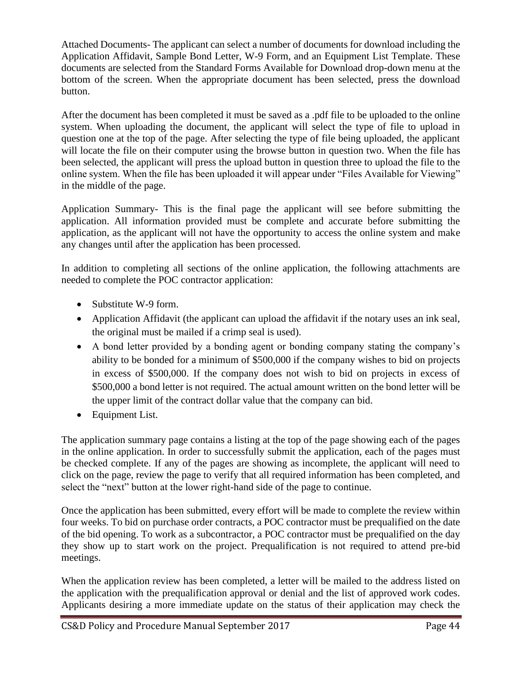Attached Documents- The applicant can select a number of documents for download including the Application Affidavit, Sample Bond Letter, W-9 Form, and an Equipment List Template. These documents are selected from the Standard Forms Available for Download drop-down menu at the bottom of the screen. When the appropriate document has been selected, press the download button.

After the document has been completed it must be saved as a .pdf file to be uploaded to the online system. When uploading the document, the applicant will select the type of file to upload in question one at the top of the page. After selecting the type of file being uploaded, the applicant will locate the file on their computer using the browse button in question two. When the file has been selected, the applicant will press the upload button in question three to upload the file to the online system. When the file has been uploaded it will appear under "Files Available for Viewing" in the middle of the page.

Application Summary- This is the final page the applicant will see before submitting the application. All information provided must be complete and accurate before submitting the application, as the applicant will not have the opportunity to access the online system and make any changes until after the application has been processed.

In addition to completing all sections of the online application, the following attachments are needed to complete the POC contractor application:

- Substitute W-9 form.
- Application Affidavit (the applicant can upload the affidavit if the notary uses an ink seal, the original must be mailed if a crimp seal is used).
- A bond letter provided by a bonding agent or bonding company stating the company's ability to be bonded for a minimum of \$500,000 if the company wishes to bid on projects in excess of \$500,000. If the company does not wish to bid on projects in excess of \$500,000 a bond letter is not required. The actual amount written on the bond letter will be the upper limit of the contract dollar value that the company can bid.
- Equipment List.

The application summary page contains a listing at the top of the page showing each of the pages in the online application. In order to successfully submit the application, each of the pages must be checked complete. If any of the pages are showing as incomplete, the applicant will need to click on the page, review the page to verify that all required information has been completed, and select the "next" button at the lower right-hand side of the page to continue.

Once the application has been submitted, every effort will be made to complete the review within four weeks. To bid on purchase order contracts, a POC contractor must be prequalified on the date of the bid opening. To work as a subcontractor, a POC contractor must be prequalified on the day they show up to start work on the project. Prequalification is not required to attend pre-bid meetings.

When the application review has been completed, a letter will be mailed to the address listed on the application with the prequalification approval or denial and the list of approved work codes. Applicants desiring a more immediate update on the status of their application may check the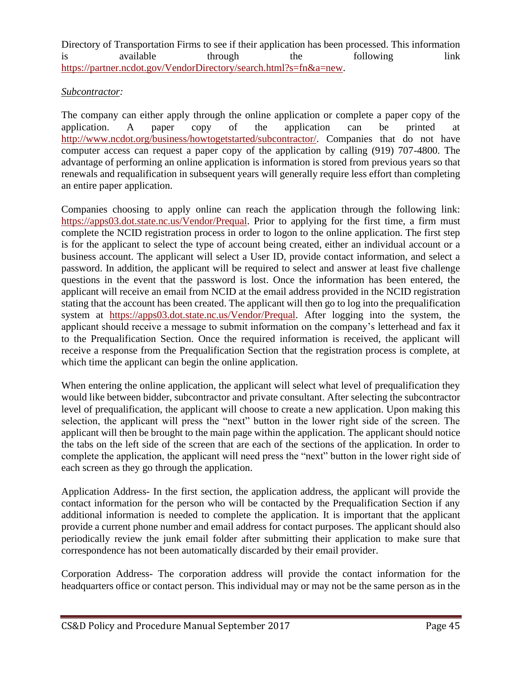Directory of Transportation Firms to see if their application has been processed. This information is available through the following link [https://partner.ncdot.gov/VendorDirectory/search.html?s=fn&a=new.](https://partner.ncdot.gov/VendorDirectory/search.html?s=fn&a=new)

#### *Subcontractor:*

The company can either apply through the online application or complete a paper copy of the application. A paper copy of the application can be printed at [http://www.ncdot.org/business/howtogetstarted/subcontractor/.](http://www.ncdot.org/business/howtogetstarted/subcontractor/) Companies that do not have computer access can request a paper copy of the application by calling (919) 707-4800. The advantage of performing an online application is information is stored from previous years so that renewals and requalification in subsequent years will generally require less effort than completing an entire paper application.

Companies choosing to apply online can reach the application through the following link: [https://apps03.dot.state.nc.us/Vendor/Prequal.](https://apps03.dot.state.nc.us/Vendor/Prequal/) Prior to applying for the first time, a firm must complete the NCID registration process in order to logon to the online application. The first step is for the applicant to select the type of account being created, either an individual account or a business account. The applicant will select a User ID, provide contact information, and select a password. In addition, the applicant will be required to select and answer at least five challenge questions in the event that the password is lost. Once the information has been entered, the applicant will receive an email from NCID at the email address provided in the NCID registration stating that the account has been created. The applicant will then go to log into the prequalification system at [https://apps03.dot.state.nc.us/Vendor/Prequal.](https://apps03.dot.state.nc.us/Vendor/Prequal/) After logging into the system, the applicant should receive a message to submit information on the company's letterhead and fax it to the Prequalification Section. Once the required information is received, the applicant will receive a response from the Prequalification Section that the registration process is complete, at which time the applicant can begin the online application.

When entering the online application, the applicant will select what level of prequalification they would like between bidder, subcontractor and private consultant. After selecting the subcontractor level of prequalification, the applicant will choose to create a new application. Upon making this selection, the applicant will press the "next" button in the lower right side of the screen. The applicant will then be brought to the main page within the application. The applicant should notice the tabs on the left side of the screen that are each of the sections of the application. In order to complete the application, the applicant will need press the "next" button in the lower right side of each screen as they go through the application.

Application Address- In the first section, the application address, the applicant will provide the contact information for the person who will be contacted by the Prequalification Section if any additional information is needed to complete the application. It is important that the applicant provide a current phone number and email address for contact purposes. The applicant should also periodically review the junk email folder after submitting their application to make sure that correspondence has not been automatically discarded by their email provider.

Corporation Address- The corporation address will provide the contact information for the headquarters office or contact person. This individual may or may not be the same person as in the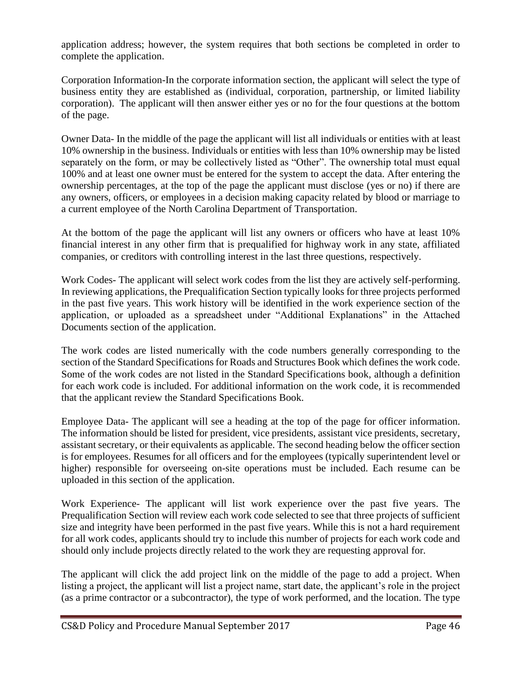application address; however, the system requires that both sections be completed in order to complete the application.

Corporation Information-In the corporate information section, the applicant will select the type of business entity they are established as (individual, corporation, partnership, or limited liability corporation). The applicant will then answer either yes or no for the four questions at the bottom of the page.

Owner Data- In the middle of the page the applicant will list all individuals or entities with at least 10% ownership in the business. Individuals or entities with less than 10% ownership may be listed separately on the form, or may be collectively listed as "Other". The ownership total must equal 100% and at least one owner must be entered for the system to accept the data. After entering the ownership percentages, at the top of the page the applicant must disclose (yes or no) if there are any owners, officers, or employees in a decision making capacity related by blood or marriage to a current employee of the North Carolina Department of Transportation.

At the bottom of the page the applicant will list any owners or officers who have at least 10% financial interest in any other firm that is prequalified for highway work in any state, affiliated companies, or creditors with controlling interest in the last three questions, respectively.

Work Codes- The applicant will select work codes from the list they are actively self-performing. In reviewing applications, the Prequalification Section typically looks for three projects performed in the past five years. This work history will be identified in the work experience section of the application, or uploaded as a spreadsheet under "Additional Explanations" in the Attached Documents section of the application.

The work codes are listed numerically with the code numbers generally corresponding to the section of the Standard Specifications for Roads and Structures Book which defines the work code. Some of the work codes are not listed in the Standard Specifications book, although a definition for each work code is included. For additional information on the work code, it is recommended that the applicant review the Standard Specifications Book.

Employee Data- The applicant will see a heading at the top of the page for officer information. The information should be listed for president, vice presidents, assistant vice presidents, secretary, assistant secretary, or their equivalents as applicable. The second heading below the officer section is for employees. Resumes for all officers and for the employees (typically superintendent level or higher) responsible for overseeing on-site operations must be included. Each resume can be uploaded in this section of the application.

Work Experience- The applicant will list work experience over the past five years. The Prequalification Section will review each work code selected to see that three projects of sufficient size and integrity have been performed in the past five years. While this is not a hard requirement for all work codes, applicants should try to include this number of projects for each work code and should only include projects directly related to the work they are requesting approval for.

The applicant will click the add project link on the middle of the page to add a project. When listing a project, the applicant will list a project name, start date, the applicant's role in the project (as a prime contractor or a subcontractor), the type of work performed, and the location. The type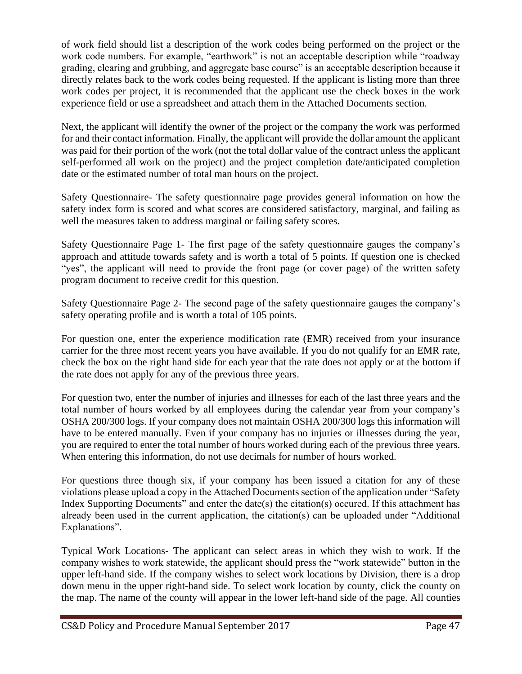of work field should list a description of the work codes being performed on the project or the work code numbers. For example, "earthwork" is not an acceptable description while "roadway grading, clearing and grubbing, and aggregate base course" is an acceptable description because it directly relates back to the work codes being requested. If the applicant is listing more than three work codes per project, it is recommended that the applicant use the check boxes in the work experience field or use a spreadsheet and attach them in the Attached Documents section.

Next, the applicant will identify the owner of the project or the company the work was performed for and their contact information. Finally, the applicant will provide the dollar amount the applicant was paid for their portion of the work (not the total dollar value of the contract unless the applicant self-performed all work on the project) and the project completion date/anticipated completion date or the estimated number of total man hours on the project.

Safety Questionnaire- The safety questionnaire page provides general information on how the safety index form is scored and what scores are considered satisfactory, marginal, and failing as well the measures taken to address marginal or failing safety scores.

Safety Questionnaire Page 1- The first page of the safety questionnaire gauges the company's approach and attitude towards safety and is worth a total of 5 points. If question one is checked "yes", the applicant will need to provide the front page (or cover page) of the written safety program document to receive credit for this question.

Safety Questionnaire Page 2- The second page of the safety questionnaire gauges the company's safety operating profile and is worth a total of 105 points.

For question one, enter the experience modification rate (EMR) received from your insurance carrier for the three most recent years you have available. If you do not qualify for an EMR rate, check the box on the right hand side for each year that the rate does not apply or at the bottom if the rate does not apply for any of the previous three years.

For question two, enter the number of injuries and illnesses for each of the last three years and the total number of hours worked by all employees during the calendar year from your company's OSHA 200/300 logs. If your company does not maintain OSHA 200/300 logs this information will have to be entered manually. Even if your company has no injuries or illnesses during the year, you are required to enter the total number of hours worked during each of the previous three years. When entering this information, do not use decimals for number of hours worked.

For questions three though six, if your company has been issued a citation for any of these violations please upload a copy in the Attached Documents section of the application under "Safety Index Supporting Documents" and enter the date(s) the citation(s) occured. If this attachment has already been used in the current application, the citation(s) can be uploaded under "Additional Explanations".

Typical Work Locations- The applicant can select areas in which they wish to work. If the company wishes to work statewide, the applicant should press the "work statewide" button in the upper left-hand side. If the company wishes to select work locations by Division, there is a drop down menu in the upper right-hand side. To select work location by county, click the county on the map. The name of the county will appear in the lower left-hand side of the page. All counties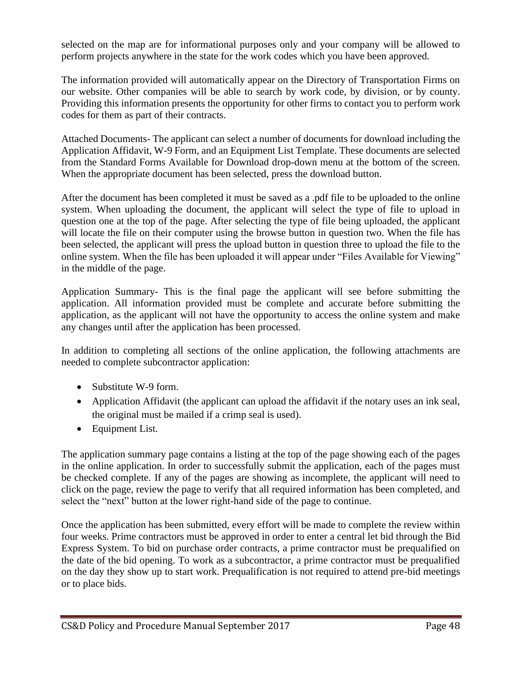selected on the map are for informational purposes only and your company will be allowed to perform projects anywhere in the state for the work codes which you have been approved.

The information provided will automatically appear on the Directory of Transportation Firms on our website. Other companies will be able to search by work code, by division, or by county. Providing this information presents the opportunity for other firms to contact you to perform work codes for them as part of their contracts.

Attached Documents- The applicant can select a number of documents for download including the Application Affidavit, W-9 Form, and an Equipment List Template. These documents are selected from the Standard Forms Available for Download drop-down menu at the bottom of the screen. When the appropriate document has been selected, press the download button.

After the document has been completed it must be saved as a .pdf file to be uploaded to the online system. When uploading the document, the applicant will select the type of file to upload in question one at the top of the page. After selecting the type of file being uploaded, the applicant will locate the file on their computer using the browse button in question two. When the file has been selected, the applicant will press the upload button in question three to upload the file to the online system. When the file has been uploaded it will appear under "Files Available for Viewing" in the middle of the page.

Application Summary- This is the final page the applicant will see before submitting the application. All information provided must be complete and accurate before submitting the application, as the applicant will not have the opportunity to access the online system and make any changes until after the application has been processed.

In addition to completing all sections of the online application, the following attachments are needed to complete subcontractor application:

- Substitute W-9 form.
- Application Affidavit (the applicant can upload the affidavit if the notary uses an ink seal, the original must be mailed if a crimp seal is used).
- Equipment List.

The application summary page contains a listing at the top of the page showing each of the pages in the online application. In order to successfully submit the application, each of the pages must be checked complete. If any of the pages are showing as incomplete, the applicant will need to click on the page, review the page to verify that all required information has been completed, and select the "next" button at the lower right-hand side of the page to continue.

Once the application has been submitted, every effort will be made to complete the review within four weeks. Prime contractors must be approved in order to enter a central let bid through the Bid Express System. To bid on purchase order contracts, a prime contractor must be prequalified on the date of the bid opening. To work as a subcontractor, a prime contractor must be prequalified on the day they show up to start work. Prequalification is not required to attend pre-bid meetings or to place bids.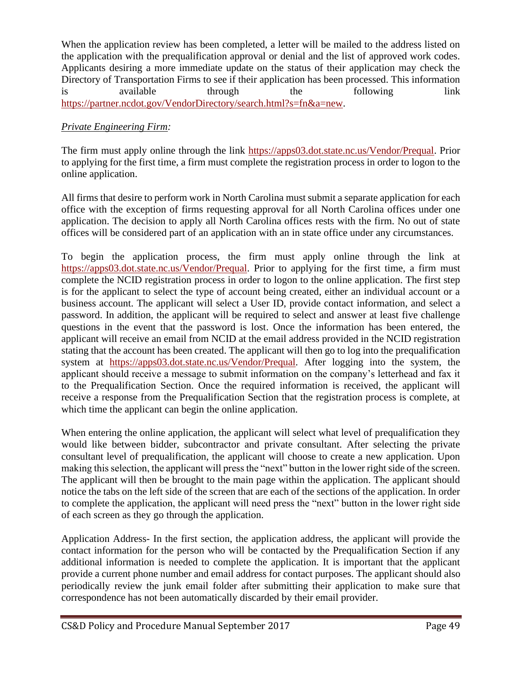When the application review has been completed, a letter will be mailed to the address listed on the application with the prequalification approval or denial and the list of approved work codes. Applicants desiring a more immediate update on the status of their application may check the Directory of Transportation Firms to see if their application has been processed. This information is available through the following link [https://partner.ncdot.gov/VendorDirectory/search.html?s=fn&a=new.](https://partner.ncdot.gov/VendorDirectory/search.html?s=fn&a=new)

# *Private Engineering Firm:*

The firm must apply online through the link [https://apps03.dot.state.nc.us/Vendor/Prequal.](https://apps03.dot.state.nc.us/Vendor/Prequal/) Prior to applying for the first time, a firm must complete the registration process in order to logon to the online application.

All firms that desire to perform work in North Carolina must submit a separate application for each office with the exception of firms requesting approval for all North Carolina offices under one application. The decision to apply all North Carolina offices rests with the firm. No out of state offices will be considered part of an application with an in state office under any circumstances.

To begin the application process, the firm must apply online through the link at [https://apps03.dot.state.nc.us/Vendor/Prequal.](https://apps03.dot.state.nc.us/Vendor/Prequal/) Prior to applying for the first time, a firm must complete the NCID registration process in order to logon to the online application. The first step is for the applicant to select the type of account being created, either an individual account or a business account. The applicant will select a User ID, provide contact information, and select a password. In addition, the applicant will be required to select and answer at least five challenge questions in the event that the password is lost. Once the information has been entered, the applicant will receive an email from NCID at the email address provided in the NCID registration stating that the account has been created. The applicant will then go to log into the prequalification system at [https://apps03.dot.state.nc.us/Vendor/Prequal.](https://apps03.dot.state.nc.us/Vendor/Prequal/) After logging into the system, the applicant should receive a message to submit information on the company's letterhead and fax it to the Prequalification Section. Once the required information is received, the applicant will receive a response from the Prequalification Section that the registration process is complete, at which time the applicant can begin the online application.

When entering the online application, the applicant will select what level of prequalification they would like between bidder, subcontractor and private consultant. After selecting the private consultant level of prequalification, the applicant will choose to create a new application. Upon making this selection, the applicant will press the "next" button in the lower right side of the screen. The applicant will then be brought to the main page within the application. The applicant should notice the tabs on the left side of the screen that are each of the sections of the application. In order to complete the application, the applicant will need press the "next" button in the lower right side of each screen as they go through the application.

Application Address- In the first section, the application address, the applicant will provide the contact information for the person who will be contacted by the Prequalification Section if any additional information is needed to complete the application. It is important that the applicant provide a current phone number and email address for contact purposes. The applicant should also periodically review the junk email folder after submitting their application to make sure that correspondence has not been automatically discarded by their email provider.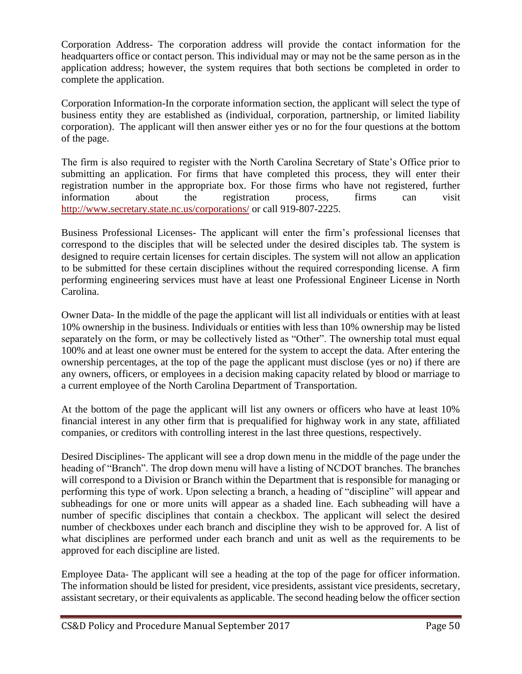Corporation Address- The corporation address will provide the contact information for the headquarters office or contact person. This individual may or may not be the same person as in the application address; however, the system requires that both sections be completed in order to complete the application.

Corporation Information-In the corporate information section, the applicant will select the type of business entity they are established as (individual, corporation, partnership, or limited liability corporation). The applicant will then answer either yes or no for the four questions at the bottom of the page.

The firm is also required to register with the North Carolina Secretary of State's Office prior to submitting an application. For firms that have completed this process, they will enter their registration number in the appropriate box. For those firms who have not registered, further information about the registration process, firms can visit <http://www.secretary.state.nc.us/corporations/> or call 919-807-2225.

Business Professional Licenses- The applicant will enter the firm's professional licenses that correspond to the disciples that will be selected under the desired disciples tab. The system is designed to require certain licenses for certain disciples. The system will not allow an application to be submitted for these certain disciplines without the required corresponding license. A firm performing engineering services must have at least one Professional Engineer License in North Carolina.

Owner Data- In the middle of the page the applicant will list all individuals or entities with at least 10% ownership in the business. Individuals or entities with less than 10% ownership may be listed separately on the form, or may be collectively listed as "Other". The ownership total must equal 100% and at least one owner must be entered for the system to accept the data. After entering the ownership percentages, at the top of the page the applicant must disclose (yes or no) if there are any owners, officers, or employees in a decision making capacity related by blood or marriage to a current employee of the North Carolina Department of Transportation.

At the bottom of the page the applicant will list any owners or officers who have at least 10% financial interest in any other firm that is prequalified for highway work in any state, affiliated companies, or creditors with controlling interest in the last three questions, respectively.

Desired Disciplines- The applicant will see a drop down menu in the middle of the page under the heading of "Branch". The drop down menu will have a listing of NCDOT branches. The branches will correspond to a Division or Branch within the Department that is responsible for managing or performing this type of work. Upon selecting a branch, a heading of "discipline" will appear and subheadings for one or more units will appear as a shaded line. Each subheading will have a number of specific disciplines that contain a checkbox. The applicant will select the desired number of checkboxes under each branch and discipline they wish to be approved for. A list of what disciplines are performed under each branch and unit as well as the requirements to be approved for each discipline are listed.

Employee Data- The applicant will see a heading at the top of the page for officer information. The information should be listed for president, vice presidents, assistant vice presidents, secretary, assistant secretary, or their equivalents as applicable. The second heading below the officer section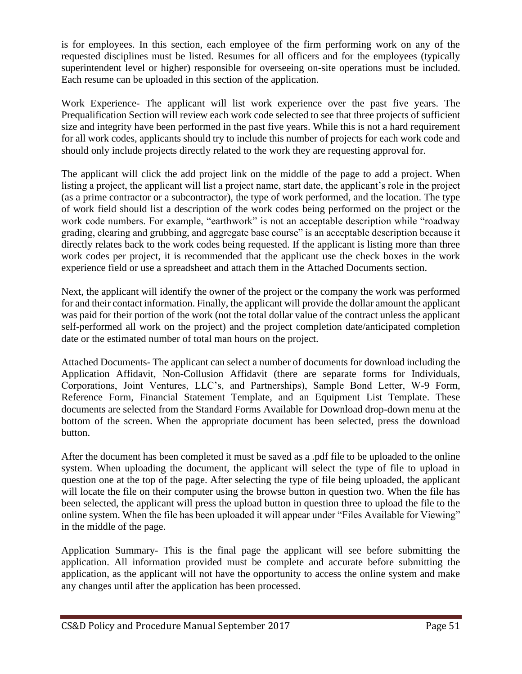is for employees. In this section, each employee of the firm performing work on any of the requested disciplines must be listed. Resumes for all officers and for the employees (typically superintendent level or higher) responsible for overseeing on-site operations must be included. Each resume can be uploaded in this section of the application.

Work Experience- The applicant will list work experience over the past five years. The Prequalification Section will review each work code selected to see that three projects of sufficient size and integrity have been performed in the past five years. While this is not a hard requirement for all work codes, applicants should try to include this number of projects for each work code and should only include projects directly related to the work they are requesting approval for.

The applicant will click the add project link on the middle of the page to add a project. When listing a project, the applicant will list a project name, start date, the applicant's role in the project (as a prime contractor or a subcontractor), the type of work performed, and the location. The type of work field should list a description of the work codes being performed on the project or the work code numbers. For example, "earthwork" is not an acceptable description while "roadway grading, clearing and grubbing, and aggregate base course" is an acceptable description because it directly relates back to the work codes being requested. If the applicant is listing more than three work codes per project, it is recommended that the applicant use the check boxes in the work experience field or use a spreadsheet and attach them in the Attached Documents section.

Next, the applicant will identify the owner of the project or the company the work was performed for and their contact information. Finally, the applicant will provide the dollar amount the applicant was paid for their portion of the work (not the total dollar value of the contract unless the applicant self-performed all work on the project) and the project completion date/anticipated completion date or the estimated number of total man hours on the project.

Attached Documents- The applicant can select a number of documents for download including the Application Affidavit, Non-Collusion Affidavit (there are separate forms for Individuals, Corporations, Joint Ventures, LLC's, and Partnerships), Sample Bond Letter, W-9 Form, Reference Form, Financial Statement Template, and an Equipment List Template. These documents are selected from the Standard Forms Available for Download drop-down menu at the bottom of the screen. When the appropriate document has been selected, press the download button.

After the document has been completed it must be saved as a .pdf file to be uploaded to the online system. When uploading the document, the applicant will select the type of file to upload in question one at the top of the page. After selecting the type of file being uploaded, the applicant will locate the file on their computer using the browse button in question two. When the file has been selected, the applicant will press the upload button in question three to upload the file to the online system. When the file has been uploaded it will appear under "Files Available for Viewing" in the middle of the page.

Application Summary- This is the final page the applicant will see before submitting the application. All information provided must be complete and accurate before submitting the application, as the applicant will not have the opportunity to access the online system and make any changes until after the application has been processed.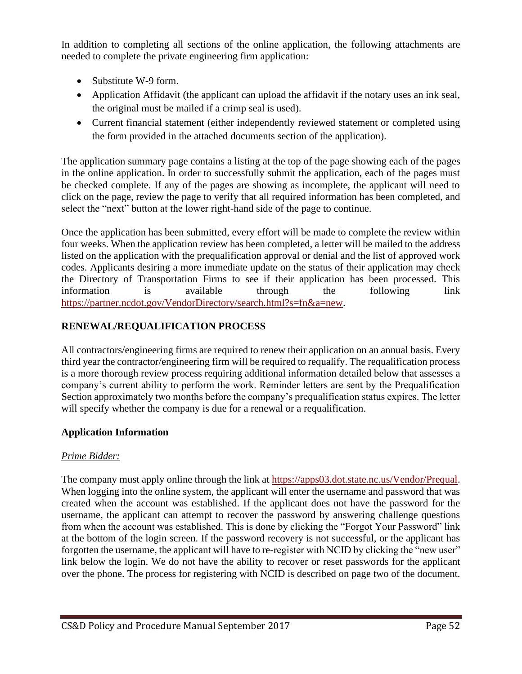In addition to completing all sections of the online application, the following attachments are needed to complete the private engineering firm application:

- Substitute W-9 form.
- Application Affidavit (the applicant can upload the affidavit if the notary uses an ink seal, the original must be mailed if a crimp seal is used).
- Current financial statement (either independently reviewed statement or completed using the form provided in the attached documents section of the application).

The application summary page contains a listing at the top of the page showing each of the pages in the online application. In order to successfully submit the application, each of the pages must be checked complete. If any of the pages are showing as incomplete, the applicant will need to click on the page, review the page to verify that all required information has been completed, and select the "next" button at the lower right-hand side of the page to continue.

Once the application has been submitted, every effort will be made to complete the review within four weeks. When the application review has been completed, a letter will be mailed to the address listed on the application with the prequalification approval or denial and the list of approved work codes. Applicants desiring a more immediate update on the status of their application may check the Directory of Transportation Firms to see if their application has been processed. This information is available through the following link [https://partner.ncdot.gov/VendorDirectory/search.html?s=fn&a=new.](https://partner.ncdot.gov/VendorDirectory/search.html?s=fn&a=new)

# **RENEWAL/REQUALIFICATION PROCESS**

All contractors/engineering firms are required to renew their application on an annual basis. Every third year the contractor/engineering firm will be required to requalify. The requalification process is a more thorough review process requiring additional information detailed below that assesses a company's current ability to perform the work. Reminder letters are sent by the Prequalification Section approximately two months before the company's prequalification status expires. The letter will specify whether the company is due for a renewal or a requalification.

# **Application Information**

# *Prime Bidder:*

The company must apply online through the link at [https://apps03.dot.state.nc.us/Vendor/Prequal.](https://apps03.dot.state.nc.us/Vendor/Prequal/) When logging into the online system, the applicant will enter the username and password that was created when the account was established. If the applicant does not have the password for the username, the applicant can attempt to recover the password by answering challenge questions from when the account was established. This is done by clicking the "Forgot Your Password" link at the bottom of the login screen. If the password recovery is not successful, or the applicant has forgotten the username, the applicant will have to re-register with NCID by clicking the "new user" link below the login. We do not have the ability to recover or reset passwords for the applicant over the phone. The process for registering with NCID is described on page two of the document.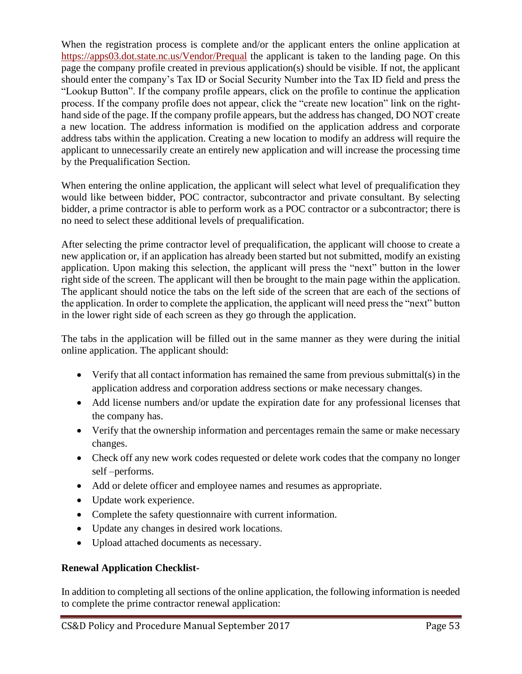When the registration process is complete and/or the applicant enters the online application at [https://apps03.dot.state.nc.us/Vendor/Prequal](https://apps03.dot.state.nc.us/Vendor/Prequal/) the applicant is taken to the landing page. On this page the company profile created in previous application(s) should be visible. If not, the applicant should enter the company's Tax ID or Social Security Number into the Tax ID field and press the "Lookup Button". If the company profile appears, click on the profile to continue the application process. If the company profile does not appear, click the "create new location" link on the righthand side of the page. If the company profile appears, but the address has changed, DO NOT create a new location. The address information is modified on the application address and corporate address tabs within the application. Creating a new location to modify an address will require the applicant to unnecessarily create an entirely new application and will increase the processing time by the Prequalification Section.

When entering the online application, the applicant will select what level of prequalification they would like between bidder, POC contractor, subcontractor and private consultant. By selecting bidder, a prime contractor is able to perform work as a POC contractor or a subcontractor; there is no need to select these additional levels of prequalification.

After selecting the prime contractor level of prequalification, the applicant will choose to create a new application or, if an application has already been started but not submitted, modify an existing application. Upon making this selection, the applicant will press the "next" button in the lower right side of the screen. The applicant will then be brought to the main page within the application. The applicant should notice the tabs on the left side of the screen that are each of the sections of the application. In order to complete the application, the applicant will need press the "next" button in the lower right side of each screen as they go through the application.

The tabs in the application will be filled out in the same manner as they were during the initial online application. The applicant should:

- Verify that all contact information has remained the same from previous submittal(s) in the application address and corporation address sections or make necessary changes.
- Add license numbers and/or update the expiration date for any professional licenses that the company has.
- Verify that the ownership information and percentages remain the same or make necessary changes.
- Check off any new work codes requested or delete work codes that the company no longer self –performs.
- Add or delete officer and employee names and resumes as appropriate.
- Update work experience.
- Complete the safety questionnaire with current information.
- Update any changes in desired work locations.
- Upload attached documents as necessary.

# **Renewal Application Checklist-**

In addition to completing all sections of the online application, the following information is needed to complete the prime contractor renewal application: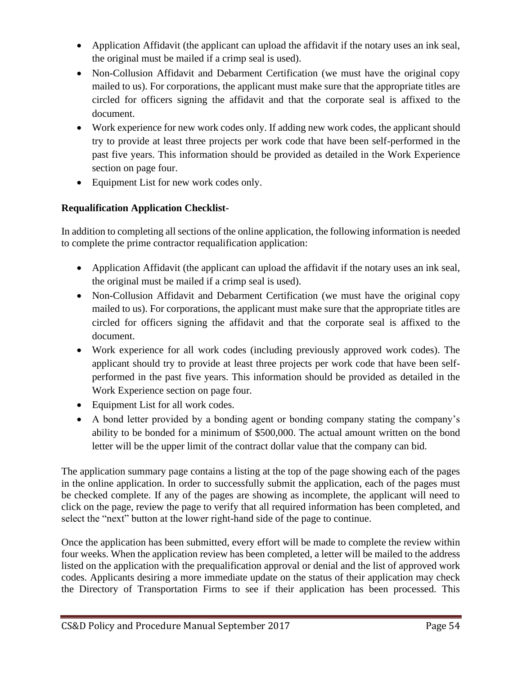- Application Affidavit (the applicant can upload the affidavit if the notary uses an ink seal, the original must be mailed if a crimp seal is used).
- Non-Collusion Affidavit and Debarment Certification (we must have the original copy mailed to us). For corporations, the applicant must make sure that the appropriate titles are circled for officers signing the affidavit and that the corporate seal is affixed to the document.
- Work experience for new work codes only. If adding new work codes, the applicant should try to provide at least three projects per work code that have been self-performed in the past five years. This information should be provided as detailed in the Work Experience section on page four.
- Equipment List for new work codes only.

# **Requalification Application Checklist-**

In addition to completing all sections of the online application, the following information is needed to complete the prime contractor requalification application:

- Application Affidavit (the applicant can upload the affidavit if the notary uses an ink seal, the original must be mailed if a crimp seal is used).
- Non-Collusion Affidavit and Debarment Certification (we must have the original copy mailed to us). For corporations, the applicant must make sure that the appropriate titles are circled for officers signing the affidavit and that the corporate seal is affixed to the document.
- Work experience for all work codes (including previously approved work codes). The applicant should try to provide at least three projects per work code that have been selfperformed in the past five years. This information should be provided as detailed in the Work Experience section on page four.
- Equipment List for all work codes.
- A bond letter provided by a bonding agent or bonding company stating the company's ability to be bonded for a minimum of \$500,000. The actual amount written on the bond letter will be the upper limit of the contract dollar value that the company can bid.

The application summary page contains a listing at the top of the page showing each of the pages in the online application. In order to successfully submit the application, each of the pages must be checked complete. If any of the pages are showing as incomplete, the applicant will need to click on the page, review the page to verify that all required information has been completed, and select the "next" button at the lower right-hand side of the page to continue.

Once the application has been submitted, every effort will be made to complete the review within four weeks. When the application review has been completed, a letter will be mailed to the address listed on the application with the prequalification approval or denial and the list of approved work codes. Applicants desiring a more immediate update on the status of their application may check the Directory of Transportation Firms to see if their application has been processed. This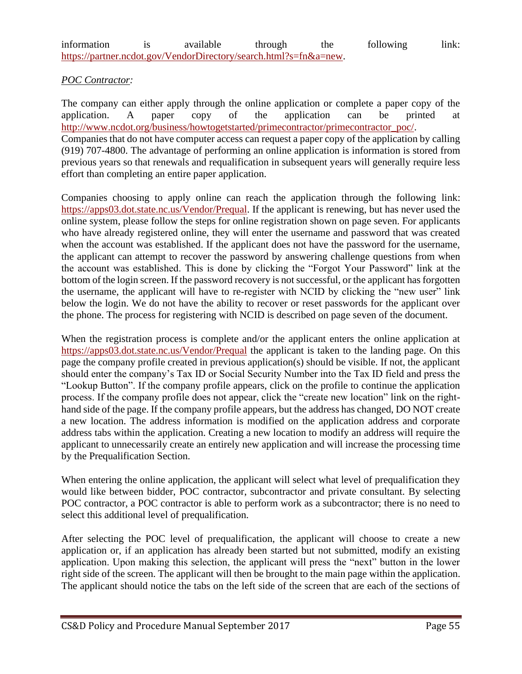| information | available                                                         | through | the | following | link: |
|-------------|-------------------------------------------------------------------|---------|-----|-----------|-------|
|             | https://partner.ncdot.gov/VendorDirectory/search.html?s=fn&a=new. |         |     |           |       |

#### *POC Contractor:*

The company can either apply through the online application or complete a paper copy of the application. A paper copy of the application can be printed at [http://www.ncdot.org/business/howtogetstarted/primecontractor/primecontractor\\_poc/.](http://www.ncdot.org/business/howtogetstarted/primecontractor/primecontractor_poc/) Companies that do not have computer access can request a paper copy of the application by calling (919) 707-4800. The advantage of performing an online application is information is stored from previous years so that renewals and requalification in subsequent years will generally require less effort than completing an entire paper application.

Companies choosing to apply online can reach the application through the following link: [https://apps03.dot.state.nc.us/Vendor/Prequal.](https://apps03.dot.state.nc.us/Vendor/Prequal/) If the applicant is renewing, but has never used the online system, please follow the steps for online registration shown on page seven. For applicants who have already registered online, they will enter the username and password that was created when the account was established. If the applicant does not have the password for the username, the applicant can attempt to recover the password by answering challenge questions from when the account was established. This is done by clicking the "Forgot Your Password" link at the bottom of the login screen. If the password recovery is not successful, or the applicant has forgotten the username, the applicant will have to re-register with NCID by clicking the "new user" link below the login. We do not have the ability to recover or reset passwords for the applicant over the phone. The process for registering with NCID is described on page seven of the document.

When the registration process is complete and/or the applicant enters the online application at [https://apps03.dot.state.nc.us/Vendor/Prequal](https://apps03.dot.state.nc.us/Vendor/Prequal/) the applicant is taken to the landing page. On this page the company profile created in previous application(s) should be visible. If not, the applicant should enter the company's Tax ID or Social Security Number into the Tax ID field and press the "Lookup Button". If the company profile appears, click on the profile to continue the application process. If the company profile does not appear, click the "create new location" link on the righthand side of the page. If the company profile appears, but the address has changed, DO NOT create a new location. The address information is modified on the application address and corporate address tabs within the application. Creating a new location to modify an address will require the applicant to unnecessarily create an entirely new application and will increase the processing time by the Prequalification Section.

When entering the online application, the applicant will select what level of prequalification they would like between bidder, POC contractor, subcontractor and private consultant. By selecting POC contractor, a POC contractor is able to perform work as a subcontractor; there is no need to select this additional level of prequalification.

After selecting the POC level of prequalification, the applicant will choose to create a new application or, if an application has already been started but not submitted, modify an existing application. Upon making this selection, the applicant will press the "next" button in the lower right side of the screen. The applicant will then be brought to the main page within the application. The applicant should notice the tabs on the left side of the screen that are each of the sections of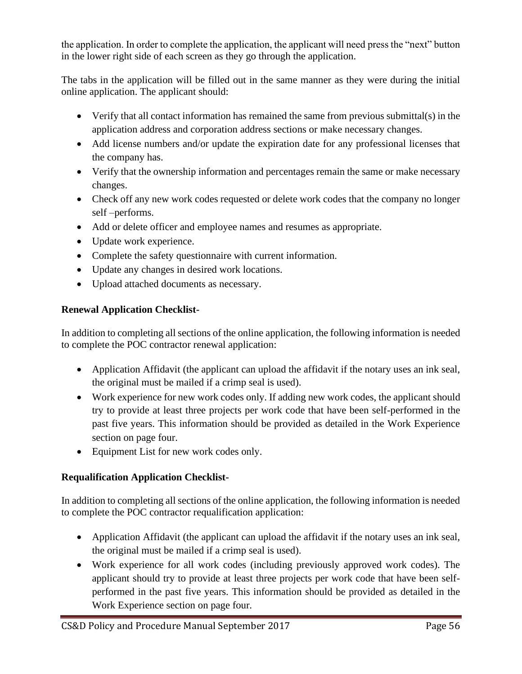the application. In order to complete the application, the applicant will need press the "next" button in the lower right side of each screen as they go through the application.

The tabs in the application will be filled out in the same manner as they were during the initial online application. The applicant should:

- Verify that all contact information has remained the same from previous submittal(s) in the application address and corporation address sections or make necessary changes.
- Add license numbers and/or update the expiration date for any professional licenses that the company has.
- Verify that the ownership information and percentages remain the same or make necessary changes.
- Check off any new work codes requested or delete work codes that the company no longer self –performs.
- Add or delete officer and employee names and resumes as appropriate.
- Update work experience.
- Complete the safety questionnaire with current information.
- Update any changes in desired work locations.
- Upload attached documents as necessary.

# **Renewal Application Checklist-**

In addition to completing all sections of the online application, the following information is needed to complete the POC contractor renewal application:

- Application Affidavit (the applicant can upload the affidavit if the notary uses an ink seal, the original must be mailed if a crimp seal is used).
- Work experience for new work codes only. If adding new work codes, the applicant should try to provide at least three projects per work code that have been self-performed in the past five years. This information should be provided as detailed in the Work Experience section on page four.
- Equipment List for new work codes only.

# **Requalification Application Checklist-**

In addition to completing all sections of the online application, the following information is needed to complete the POC contractor requalification application:

- Application Affidavit (the applicant can upload the affidavit if the notary uses an ink seal, the original must be mailed if a crimp seal is used).
- Work experience for all work codes (including previously approved work codes). The applicant should try to provide at least three projects per work code that have been selfperformed in the past five years. This information should be provided as detailed in the Work Experience section on page four.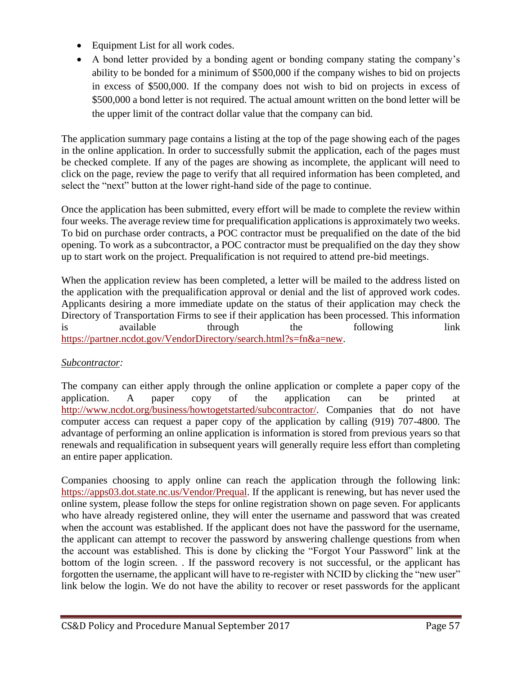- Equipment List for all work codes.
- A bond letter provided by a bonding agent or bonding company stating the company's ability to be bonded for a minimum of \$500,000 if the company wishes to bid on projects in excess of \$500,000. If the company does not wish to bid on projects in excess of \$500,000 a bond letter is not required. The actual amount written on the bond letter will be the upper limit of the contract dollar value that the company can bid.

The application summary page contains a listing at the top of the page showing each of the pages in the online application. In order to successfully submit the application, each of the pages must be checked complete. If any of the pages are showing as incomplete, the applicant will need to click on the page, review the page to verify that all required information has been completed, and select the "next" button at the lower right-hand side of the page to continue.

Once the application has been submitted, every effort will be made to complete the review within four weeks. The average review time for prequalification applications is approximately two weeks. To bid on purchase order contracts, a POC contractor must be prequalified on the date of the bid opening. To work as a subcontractor, a POC contractor must be prequalified on the day they show up to start work on the project. Prequalification is not required to attend pre-bid meetings.

When the application review has been completed, a letter will be mailed to the address listed on the application with the prequalification approval or denial and the list of approved work codes. Applicants desiring a more immediate update on the status of their application may check the Directory of Transportation Firms to see if their application has been processed. This information is available through the following link [https://partner.ncdot.gov/VendorDirectory/search.html?s=fn&a=new.](https://partner.ncdot.gov/VendorDirectory/search.html?s=fn&a=new)

# *Subcontractor:*

The company can either apply through the online application or complete a paper copy of the application. A paper copy of the application can be printed at [http://www.ncdot.org/business/howtogetstarted/subcontractor/.](http://www.ncdot.org/business/howtogetstarted/subcontractor/) Companies that do not have computer access can request a paper copy of the application by calling (919) 707-4800. The advantage of performing an online application is information is stored from previous years so that renewals and requalification in subsequent years will generally require less effort than completing an entire paper application.

Companies choosing to apply online can reach the application through the following link: [https://apps03.dot.state.nc.us/Vendor/Prequal.](https://apps03.dot.state.nc.us/Vendor/Prequal/) If the applicant is renewing, but has never used the online system, please follow the steps for online registration shown on page seven. For applicants who have already registered online, they will enter the username and password that was created when the account was established. If the applicant does not have the password for the username, the applicant can attempt to recover the password by answering challenge questions from when the account was established. This is done by clicking the "Forgot Your Password" link at the bottom of the login screen. . If the password recovery is not successful, or the applicant has forgotten the username, the applicant will have to re-register with NCID by clicking the "new user" link below the login. We do not have the ability to recover or reset passwords for the applicant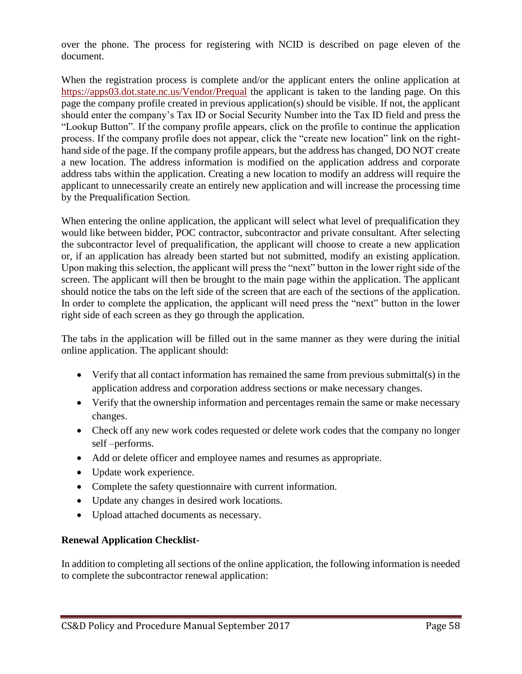over the phone. The process for registering with NCID is described on page eleven of the document.

When the registration process is complete and/or the applicant enters the online application at [https://apps03.dot.state.nc.us/Vendor/Prequal](https://apps03.dot.state.nc.us/Vendor/Prequal/) the applicant is taken to the landing page. On this page the company profile created in previous application(s) should be visible. If not, the applicant should enter the company's Tax ID or Social Security Number into the Tax ID field and press the "Lookup Button". If the company profile appears, click on the profile to continue the application process. If the company profile does not appear, click the "create new location" link on the righthand side of the page. If the company profile appears, but the address has changed, DO NOT create a new location. The address information is modified on the application address and corporate address tabs within the application. Creating a new location to modify an address will require the applicant to unnecessarily create an entirely new application and will increase the processing time by the Prequalification Section.

When entering the online application, the applicant will select what level of prequalification they would like between bidder, POC contractor, subcontractor and private consultant. After selecting the subcontractor level of prequalification, the applicant will choose to create a new application or, if an application has already been started but not submitted, modify an existing application. Upon making this selection, the applicant will press the "next" button in the lower right side of the screen. The applicant will then be brought to the main page within the application. The applicant should notice the tabs on the left side of the screen that are each of the sections of the application. In order to complete the application, the applicant will need press the "next" button in the lower right side of each screen as they go through the application.

The tabs in the application will be filled out in the same manner as they were during the initial online application. The applicant should:

- Verify that all contact information has remained the same from previous submittal(s) in the application address and corporation address sections or make necessary changes.
- Verify that the ownership information and percentages remain the same or make necessary changes.
- Check off any new work codes requested or delete work codes that the company no longer self –performs.
- Add or delete officer and employee names and resumes as appropriate.
- Update work experience.
- Complete the safety questionnaire with current information.
- Update any changes in desired work locations.
- Upload attached documents as necessary.

# **Renewal Application Checklist-**

In addition to completing all sections of the online application, the following information is needed to complete the subcontractor renewal application: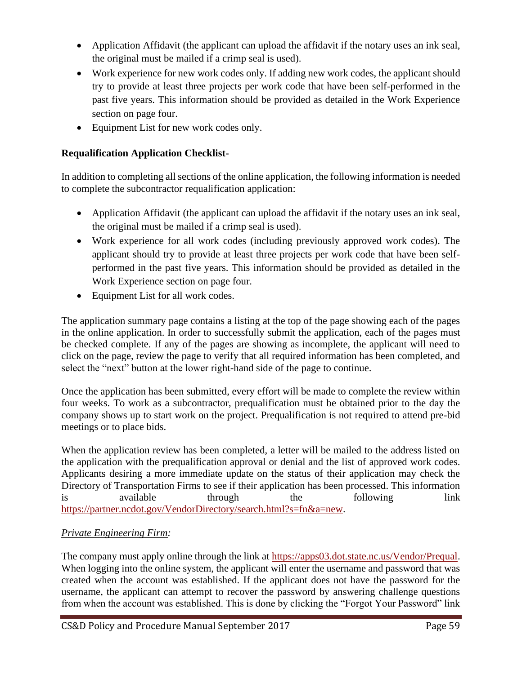- Application Affidavit (the applicant can upload the affidavit if the notary uses an ink seal, the original must be mailed if a crimp seal is used).
- Work experience for new work codes only. If adding new work codes, the applicant should try to provide at least three projects per work code that have been self-performed in the past five years. This information should be provided as detailed in the Work Experience section on page four.
- Equipment List for new work codes only.

# **Requalification Application Checklist-**

In addition to completing all sections of the online application, the following information is needed to complete the subcontractor requalification application:

- Application Affidavit (the applicant can upload the affidavit if the notary uses an ink seal, the original must be mailed if a crimp seal is used).
- Work experience for all work codes (including previously approved work codes). The applicant should try to provide at least three projects per work code that have been selfperformed in the past five years. This information should be provided as detailed in the Work Experience section on page four.
- Equipment List for all work codes.

The application summary page contains a listing at the top of the page showing each of the pages in the online application. In order to successfully submit the application, each of the pages must be checked complete. If any of the pages are showing as incomplete, the applicant will need to click on the page, review the page to verify that all required information has been completed, and select the "next" button at the lower right-hand side of the page to continue.

Once the application has been submitted, every effort will be made to complete the review within four weeks. To work as a subcontractor, prequalification must be obtained prior to the day the company shows up to start work on the project. Prequalification is not required to attend pre-bid meetings or to place bids.

When the application review has been completed, a letter will be mailed to the address listed on the application with the prequalification approval or denial and the list of approved work codes. Applicants desiring a more immediate update on the status of their application may check the Directory of Transportation Firms to see if their application has been processed. This information is available through the following link [https://partner.ncdot.gov/VendorDirectory/search.html?s=fn&a=new.](https://partner.ncdot.gov/VendorDirectory/search.html?s=fn&a=new)

# *Private Engineering Firm:*

The company must apply online through the link at [https://apps03.dot.state.nc.us/Vendor/Prequal.](https://apps03.dot.state.nc.us/Vendor/Prequal/) When logging into the online system, the applicant will enter the username and password that was created when the account was established. If the applicant does not have the password for the username, the applicant can attempt to recover the password by answering challenge questions from when the account was established. This is done by clicking the "Forgot Your Password" link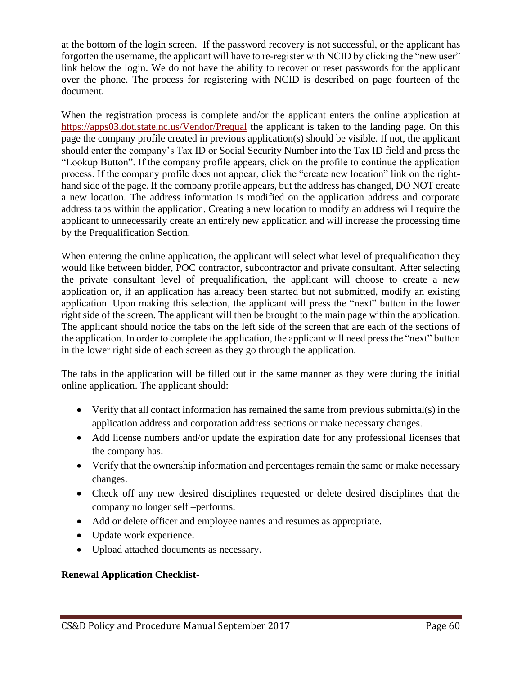at the bottom of the login screen. If the password recovery is not successful, or the applicant has forgotten the username, the applicant will have to re-register with NCID by clicking the "new user" link below the login. We do not have the ability to recover or reset passwords for the applicant over the phone. The process for registering with NCID is described on page fourteen of the document.

When the registration process is complete and/or the applicant enters the online application at [https://apps03.dot.state.nc.us/Vendor/Prequal](https://apps03.dot.state.nc.us/Vendor/Prequal/) the applicant is taken to the landing page. On this page the company profile created in previous application(s) should be visible. If not, the applicant should enter the company's Tax ID or Social Security Number into the Tax ID field and press the "Lookup Button". If the company profile appears, click on the profile to continue the application process. If the company profile does not appear, click the "create new location" link on the righthand side of the page. If the company profile appears, but the address has changed, DO NOT create a new location. The address information is modified on the application address and corporate address tabs within the application. Creating a new location to modify an address will require the applicant to unnecessarily create an entirely new application and will increase the processing time by the Prequalification Section.

When entering the online application, the applicant will select what level of prequalification they would like between bidder, POC contractor, subcontractor and private consultant. After selecting the private consultant level of prequalification, the applicant will choose to create a new application or, if an application has already been started but not submitted, modify an existing application. Upon making this selection, the applicant will press the "next" button in the lower right side of the screen. The applicant will then be brought to the main page within the application. The applicant should notice the tabs on the left side of the screen that are each of the sections of the application. In order to complete the application, the applicant will need press the "next" button in the lower right side of each screen as they go through the application.

The tabs in the application will be filled out in the same manner as they were during the initial online application. The applicant should:

- Verify that all contact information has remained the same from previous submittal(s) in the application address and corporation address sections or make necessary changes.
- Add license numbers and/or update the expiration date for any professional licenses that the company has.
- Verify that the ownership information and percentages remain the same or make necessary changes.
- Check off any new desired disciplines requested or delete desired disciplines that the company no longer self –performs.
- Add or delete officer and employee names and resumes as appropriate.
- Update work experience.
- Upload attached documents as necessary.

#### **Renewal Application Checklist-**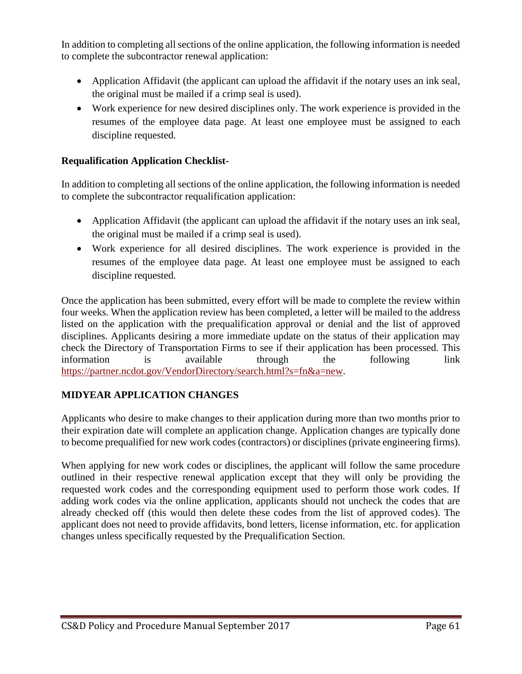In addition to completing all sections of the online application, the following information is needed to complete the subcontractor renewal application:

- Application Affidavit (the applicant can upload the affidavit if the notary uses an ink seal, the original must be mailed if a crimp seal is used).
- Work experience for new desired disciplines only. The work experience is provided in the resumes of the employee data page. At least one employee must be assigned to each discipline requested.

#### **Requalification Application Checklist-**

In addition to completing all sections of the online application, the following information is needed to complete the subcontractor requalification application:

- Application Affidavit (the applicant can upload the affidavit if the notary uses an ink seal, the original must be mailed if a crimp seal is used).
- Work experience for all desired disciplines. The work experience is provided in the resumes of the employee data page. At least one employee must be assigned to each discipline requested.

Once the application has been submitted, every effort will be made to complete the review within four weeks. When the application review has been completed, a letter will be mailed to the address listed on the application with the prequalification approval or denial and the list of approved disciplines. Applicants desiring a more immediate update on the status of their application may check the Directory of Transportation Firms to see if their application has been processed. This information is available through the following link [https://partner.ncdot.gov/VendorDirectory/search.html?s=fn&a=new.](https://partner.ncdot.gov/VendorDirectory/search.html?s=fn&a=new)

#### **MIDYEAR APPLICATION CHANGES**

Applicants who desire to make changes to their application during more than two months prior to their expiration date will complete an application change. Application changes are typically done to become prequalified for new work codes (contractors) or disciplines (private engineering firms).

When applying for new work codes or disciplines, the applicant will follow the same procedure outlined in their respective renewal application except that they will only be providing the requested work codes and the corresponding equipment used to perform those work codes. If adding work codes via the online application, applicants should not uncheck the codes that are already checked off (this would then delete these codes from the list of approved codes). The applicant does not need to provide affidavits, bond letters, license information, etc. for application changes unless specifically requested by the Prequalification Section.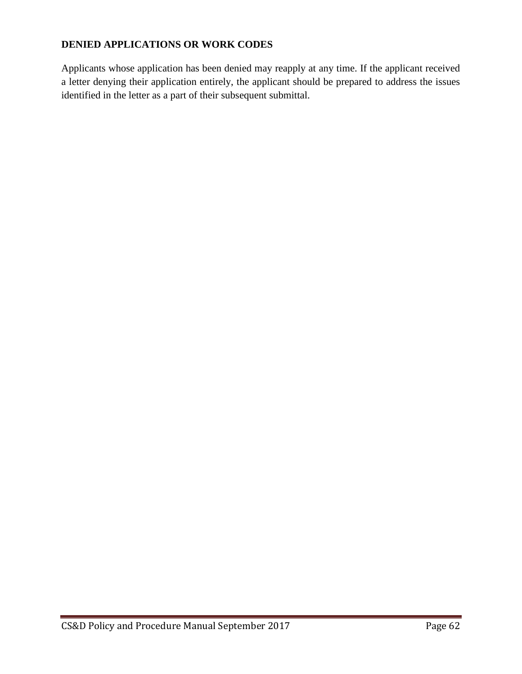# **DENIED APPLICATIONS OR WORK CODES**

Applicants whose application has been denied may reapply at any time. If the applicant received a letter denying their application entirely, the applicant should be prepared to address the issues identified in the letter as a part of their subsequent submittal.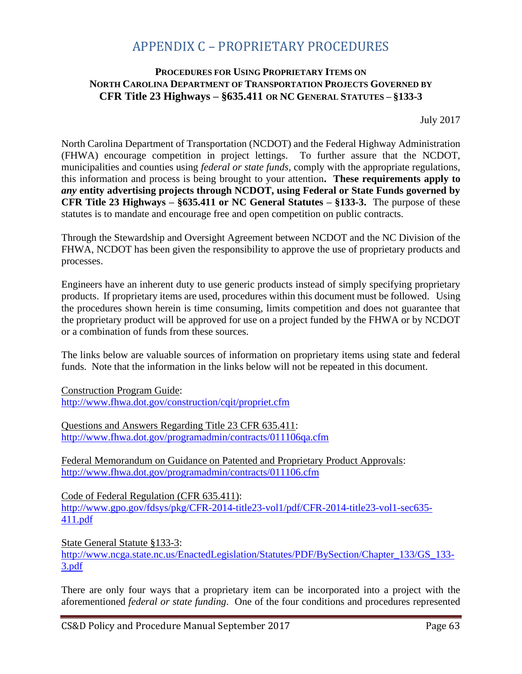# APPENDIX C – PROPRIETARY PROCEDURES

#### **PROCEDURES FOR USING PROPRIETARY ITEMS ON NORTH CAROLINA DEPARTMENT OF TRANSPORTATION PROJECTS GOVERNED BY CFR Title 23 Highways – §635.411 OR NC GENERAL STATUTES – §133-3**

July 2017

North Carolina Department of Transportation (NCDOT) and the Federal Highway Administration (FHWA) encourage competition in project lettings. To further assure that the NCDOT, municipalities and counties using *federal or state funds*, comply with the appropriate regulations, this information and process is being brought to your attention**. These requirements apply to**  *any* **entity advertising projects through NCDOT, using Federal or State Funds governed by CFR Title 23 Highways – §635.411 or NC General Statutes – §133-3.** The purpose of these statutes is to mandate and encourage free and open competition on public contracts.

Through the Stewardship and Oversight Agreement between NCDOT and the NC Division of the FHWA, NCDOT has been given the responsibility to approve the use of proprietary products and processes.

Engineers have an inherent duty to use generic products instead of simply specifying proprietary products. If proprietary items are used, procedures within this document must be followed. Using the procedures shown herein is time consuming, limits competition and does not guarantee that the proprietary product will be approved for use on a project funded by the FHWA or by NCDOT or a combination of funds from these sources.

The links below are valuable sources of information on proprietary items using state and federal funds. Note that the information in the links below will not be repeated in this document.

Construction Program Guide: <http://www.fhwa.dot.gov/construction/cqit/propriet.cfm>

Questions and Answers Regarding Title 23 CFR 635.411: <http://www.fhwa.dot.gov/programadmin/contracts/011106qa.cfm>

Federal Memorandum on Guidance on Patented and Proprietary Product Approvals: <http://www.fhwa.dot.gov/programadmin/contracts/011106.cfm>

Code of Federal Regulation (CFR 635.411): [http://www.gpo.gov/fdsys/pkg/CFR-2014-title23-vol1/pdf/CFR-2014-title23-vol1-sec635-](http://www.gpo.gov/fdsys/pkg/CFR-2014-title23-vol1/pdf/CFR-2014-title23-vol1-sec635-411.pdf) [411.pdf](http://www.gpo.gov/fdsys/pkg/CFR-2014-title23-vol1/pdf/CFR-2014-title23-vol1-sec635-411.pdf)

State General Statute §133-3: [http://www.ncga.state.nc.us/EnactedLegislation/Statutes/PDF/BySection/Chapter\\_133/GS\\_133-](http://www.ncga.state.nc.us/EnactedLegislation/Statutes/PDF/BySection/Chapter_133/GS_133-3.pdf) [3.pdf](http://www.ncga.state.nc.us/EnactedLegislation/Statutes/PDF/BySection/Chapter_133/GS_133-3.pdf)

There are only four ways that a proprietary item can be incorporated into a project with the aforementioned *federal or state funding*. One of the four conditions and procedures represented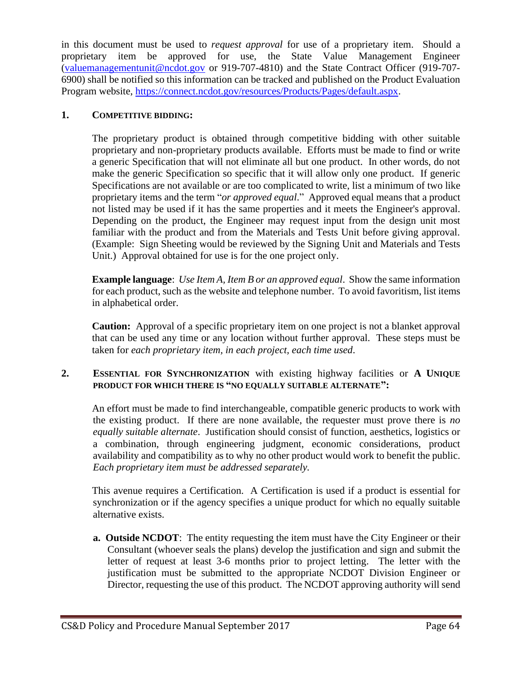in this document must be used to *request approval* for use of a proprietary item. Should a proprietary item be approved for use, the State Value Management Engineer [\(valuemanagementunit@ncdot.gov](mailto:valuemanagementunit@ncdot.gov) or 919-707-4810) and the State Contract Officer (919-707- 6900) shall be notified so this information can be tracked and published on the Product Evaluation Program website, [https://connect.ncdot.gov/resources/Products/Pages/default.aspx.](https://connect.ncdot.gov/resources/Products/Pages/default.aspx)

#### **1. COMPETITIVE BIDDING:**

The proprietary product is obtained through competitive bidding with other suitable proprietary and non-proprietary products available. Efforts must be made to find or write a generic Specification that will not eliminate all but one product. In other words, do not make the generic Specification so specific that it will allow only one product. If generic Specifications are not available or are too complicated to write, list a minimum of two like proprietary items and the term "*or approved equal*." Approved equal means that a product not listed may be used if it has the same properties and it meets the Engineer's approval. Depending on the product, the Engineer may request input from the design unit most familiar with the product and from the Materials and Tests Unit before giving approval. (Example: Sign Sheeting would be reviewed by the Signing Unit and Materials and Tests Unit.) Approval obtained for use is for the one project only.

**Example language**: *Use Item A, Item B or an approved equal*. Show the same information for each product, such as the website and telephone number. To avoid favoritism, list items in alphabetical order.

**Caution:** Approval of a specific proprietary item on one project is not a blanket approval that can be used any time or any location without further approval. These steps must be taken for *each proprietary item, in each project, each time used*.

#### **2. ESSENTIAL FOR SYNCHRONIZATION** with existing highway facilities or **A UNIQUE PRODUCT FOR WHICH THERE IS "NO EQUALLY SUITABLE ALTERNATE":**

An effort must be made to find interchangeable, compatible generic products to work with the existing product. If there are none available, the requester must prove there is *no equally suitable alternate*. Justification should consist of function, aesthetics, logistics or a combination, through engineering judgment, economic considerations, product availability and compatibility as to why no other product would work to benefit the public. *Each proprietary item must be addressed separately.* 

This avenue requires a Certification. A Certification is used if a product is essential for synchronization or if the agency specifies a unique product for which no equally suitable alternative exists.

**a. Outside NCDOT**: The entity requesting the item must have the City Engineer or their Consultant (whoever seals the plans) develop the justification and sign and submit the letter of request at least 3-6 months prior to project letting. The letter with the justification must be submitted to the appropriate NCDOT Division Engineer or Director, requesting the use of this product. The NCDOT approving authority will send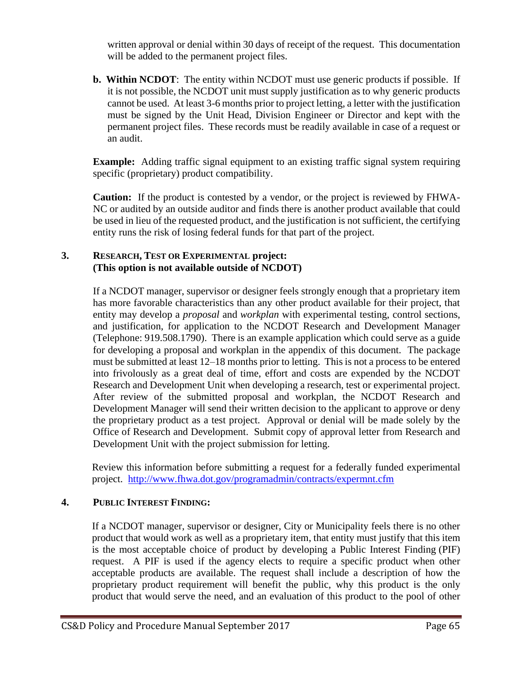written approval or denial within 30 days of receipt of the request. This documentation will be added to the permanent project files.

**b. Within NCDOT**: The entity within NCDOT must use generic products if possible. If it is not possible, the NCDOT unit must supply justification as to why generic products cannot be used. At least 3-6 months prior to project letting, a letter with the justification must be signed by the Unit Head, Division Engineer or Director and kept with the permanent project files. These records must be readily available in case of a request or an audit.

**Example:** Adding traffic signal equipment to an existing traffic signal system requiring specific (proprietary) product compatibility.

**Caution:** If the product is contested by a vendor, or the project is reviewed by FHWA-NC or audited by an outside auditor and finds there is another product available that could be used in lieu of the requested product, and the justification is not sufficient, the certifying entity runs the risk of losing federal funds for that part of the project.

#### **3. RESEARCH, TEST OR EXPERIMENTAL project: (This option is not available outside of NCDOT)**

If a NCDOT manager, supervisor or designer feels strongly enough that a proprietary item has more favorable characteristics than any other product available for their project, that entity may develop a *proposal* and *workplan* with experimental testing, control sections, and justification, for application to the NCDOT Research and Development Manager (Telephone: 919.508.1790). There is an example application which could serve as a guide for developing a proposal and workplan in the appendix of this document. The package must be submitted at least 12–18 months prior to letting. This is not a process to be entered into frivolously as a great deal of time, effort and costs are expended by the NCDOT Research and Development Unit when developing a research, test or experimental project. After review of the submitted proposal and workplan, the NCDOT Research and Development Manager will send their written decision to the applicant to approve or deny the proprietary product as a test project. Approval or denial will be made solely by the Office of Research and Development. Submit copy of approval letter from Research and Development Unit with the project submission for letting.

Review this information before submitting a request for a federally funded experimental project. <http://www.fhwa.dot.gov/programadmin/contracts/expermnt.cfm>

#### **4. PUBLIC INTEREST FINDING:**

If a NCDOT manager, supervisor or designer, City or Municipality feels there is no other product that would work as well as a proprietary item, that entity must justify that this item is the most acceptable choice of product by developing a Public Interest Finding (PIF) request. A PIF is used if the agency elects to require a specific product when other acceptable products are available. The request shall include a description of how the proprietary product requirement will benefit the public, why this product is the only product that would serve the need, and an evaluation of this product to the pool of other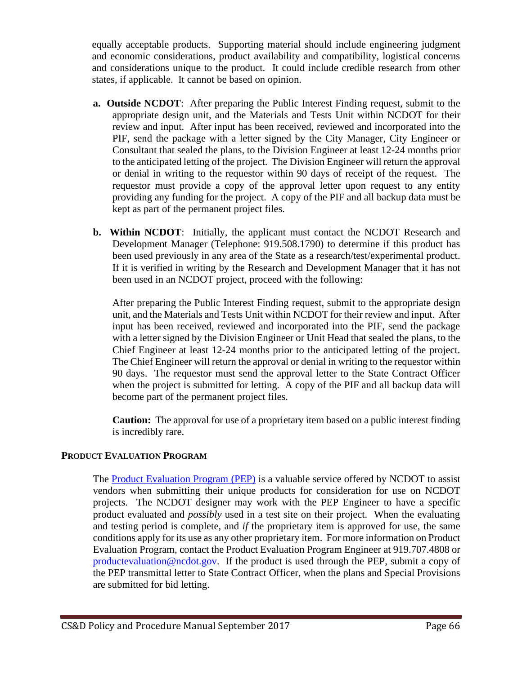equally acceptable products. Supporting material should include engineering judgment and economic considerations, product availability and compatibility, logistical concerns and considerations unique to the product. It could include credible research from other states, if applicable. It cannot be based on opinion.

- **a. Outside NCDOT**: After preparing the Public Interest Finding request, submit to the appropriate design unit, and the Materials and Tests Unit within NCDOT for their review and input. After input has been received, reviewed and incorporated into the PIF, send the package with a letter signed by the City Manager, City Engineer or Consultant that sealed the plans, to the Division Engineer at least 12-24 months prior to the anticipated letting of the project. The Division Engineer will return the approval or denial in writing to the requestor within 90 days of receipt of the request. The requestor must provide a copy of the approval letter upon request to any entity providing any funding for the project. A copy of the PIF and all backup data must be kept as part of the permanent project files.
- **b. Within NCDOT**: Initially, the applicant must contact the NCDOT Research and Development Manager (Telephone: 919.508.1790) to determine if this product has been used previously in any area of the State as a research/test/experimental product. If it is verified in writing by the Research and Development Manager that it has not been used in an NCDOT project, proceed with the following:

After preparing the Public Interest Finding request, submit to the appropriate design unit, and the Materials and Tests Unit within NCDOT for their review and input. After input has been received, reviewed and incorporated into the PIF, send the package with a letter signed by the Division Engineer or Unit Head that sealed the plans, to the Chief Engineer at least 12-24 months prior to the anticipated letting of the project. The Chief Engineer will return the approval or denial in writing to the requestor within 90 days. The requestor must send the approval letter to the State Contract Officer when the project is submitted for letting. A copy of the PIF and all backup data will become part of the permanent project files.

**Caution:** The approval for use of a proprietary item based on a public interest finding is incredibly rare.

# **PRODUCT EVALUATION PROGRAM**

The [Product Evaluation Program \(PEP\)](https://connect.ncdot.gov/resources/Products/Pages/default.aspx) is a valuable service offered by NCDOT to assist vendors when submitting their unique products for consideration for use on NCDOT projects. The NCDOT designer may work with the PEP Engineer to have a specific product evaluated and *possibly* used in a test site on their project. When the evaluating and testing period is complete, and *if* the proprietary item is approved for use, the same conditions apply for its use as any other proprietary item. For more information on Product Evaluation Program, contact the Product Evaluation Program Engineer at 919.707.4808 or [productevaluation@ncdot.gov.](mailto:productevaluation@ncdot.gov?subject=PEP%20Question/Comment) If the product is used through the PEP, submit a copy of the PEP transmittal letter to State Contract Officer, when the plans and Special Provisions are submitted for bid letting.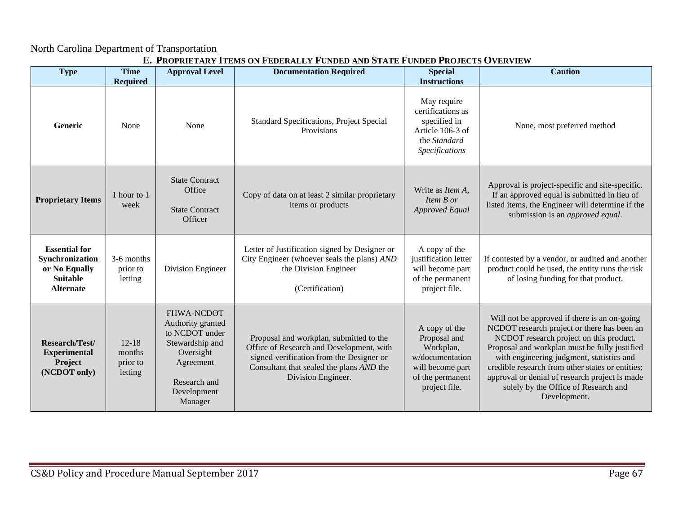#### North Carolina Department of Transportation

| <b>Type</b>                                                                                     | <b>Time</b>                                | <b>Approval Level</b>                                                                                                                    | L', I ROI RIETARI TIEMO ON I EDERALET I ONDED AND OTATE I ONDED I ROJECTO O VERVIE M<br><b>Documentation Required</b>                                                                             | <b>Special</b>                                                                                                                       | <b>Caution</b>                                                                                                                                                                                                                                                                                                                                                                                     |
|-------------------------------------------------------------------------------------------------|--------------------------------------------|------------------------------------------------------------------------------------------------------------------------------------------|---------------------------------------------------------------------------------------------------------------------------------------------------------------------------------------------------|--------------------------------------------------------------------------------------------------------------------------------------|----------------------------------------------------------------------------------------------------------------------------------------------------------------------------------------------------------------------------------------------------------------------------------------------------------------------------------------------------------------------------------------------------|
| Generic                                                                                         | <b>Required</b><br>None                    | None                                                                                                                                     | Standard Specifications, Project Special<br>Provisions                                                                                                                                            | <b>Instructions</b><br>May require<br>certifications as<br>specified in<br>Article 106-3 of<br>the Standard<br><b>Specifications</b> | None, most preferred method                                                                                                                                                                                                                                                                                                                                                                        |
| <b>Proprietary Items</b>                                                                        | 1 hour to 1<br>week                        | <b>State Contract</b><br>Office<br><b>State Contract</b><br>Officer                                                                      | Copy of data on at least 2 similar proprietary<br>items or products                                                                                                                               | Write as <i>Item A</i> ,<br>Item B or<br><b>Approved Equal</b>                                                                       | Approval is project-specific and site-specific.<br>If an approved equal is submitted in lieu of<br>listed items, the Engineer will determine if the<br>submission is an <i>approved equal</i> .                                                                                                                                                                                                    |
| <b>Essential for</b><br>Synchronization<br>or No Equally<br><b>Suitable</b><br><b>Alternate</b> | 3-6 months<br>prior to<br>letting          | Division Engineer                                                                                                                        | Letter of Justification signed by Designer or<br>City Engineer (whoever seals the plans) AND<br>the Division Engineer<br>(Certification)                                                          | A copy of the<br>justification letter<br>will become part<br>of the permanent<br>project file.                                       | If contested by a vendor, or audited and another<br>product could be used, the entity runs the risk<br>of losing funding for that product.                                                                                                                                                                                                                                                         |
| Research/Test/<br><b>Experimental</b><br>Project<br>(NCDOT only)                                | $12 - 18$<br>months<br>prior to<br>letting | FHWA-NCDOT<br>Authority granted<br>to NCDOT under<br>Stewardship and<br>Oversight<br>Agreement<br>Research and<br>Development<br>Manager | Proposal and workplan, submitted to the<br>Office of Research and Development, with<br>signed verification from the Designer or<br>Consultant that sealed the plans AND the<br>Division Engineer. | A copy of the<br>Proposal and<br>Workplan,<br>w/documentation<br>will become part<br>of the permanent<br>project file.               | Will not be approved if there is an on-going<br>NCDOT research project or there has been an<br>NCDOT research project on this product.<br>Proposal and workplan must be fully justified<br>with engineering judgment, statistics and<br>credible research from other states or entities;<br>approval or denial of research project is made<br>solely by the Office of Research and<br>Development. |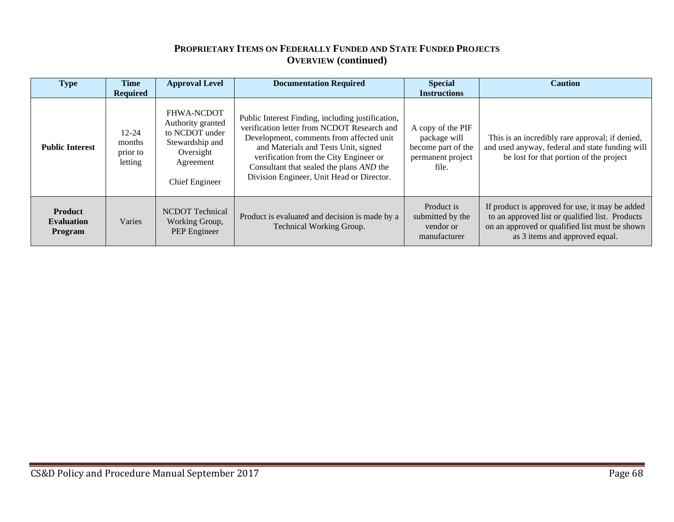# **PROPRIETARY ITEMS ON FEDERALLY FUNDED AND STATE FUNDED PROJECTS OVERVIEW (continued)**

| <b>Type</b>                                    | <b>Time</b><br><b>Required</b>             | <b>Approval Level</b>                                                                                            | <b>Documentation Required</b>                                                                                                                                                                                                                                                                                           | <b>Special</b><br><b>Instructions</b>                                                 | <b>Caution</b>                                                                                                                                                                         |
|------------------------------------------------|--------------------------------------------|------------------------------------------------------------------------------------------------------------------|-------------------------------------------------------------------------------------------------------------------------------------------------------------------------------------------------------------------------------------------------------------------------------------------------------------------------|---------------------------------------------------------------------------------------|----------------------------------------------------------------------------------------------------------------------------------------------------------------------------------------|
| <b>Public Interest</b>                         | $12 - 24$<br>months<br>prior to<br>letting | FHWA-NCDOT<br>Authority granted<br>to NCDOT under<br>Stewardship and<br>Oversight<br>Agreement<br>Chief Engineer | Public Interest Finding, including justification,<br>verification letter from NCDOT Research and<br>Development, comments from affected unit<br>and Materials and Tests Unit, signed<br>verification from the City Engineer or<br>Consultant that sealed the plans AND the<br>Division Engineer, Unit Head or Director. | A copy of the PIF<br>package will<br>become part of the<br>permanent project<br>file. | This is an incredibly rare approval; if denied,<br>and used anyway, federal and state funding will<br>be lost for that portion of the project                                          |
| <b>Product</b><br><b>Evaluation</b><br>Program | Varies                                     | <b>NCDOT</b> Technical<br>Working Group,<br>PEP Engineer                                                         | Product is evaluated and decision is made by a<br>Technical Working Group.                                                                                                                                                                                                                                              | Product is<br>submitted by the<br>vendor or<br>manufacturer                           | If product is approved for use, it may be added<br>to an approved list or qualified list. Products<br>on an approved or qualified list must be shown<br>as 3 items and approved equal. |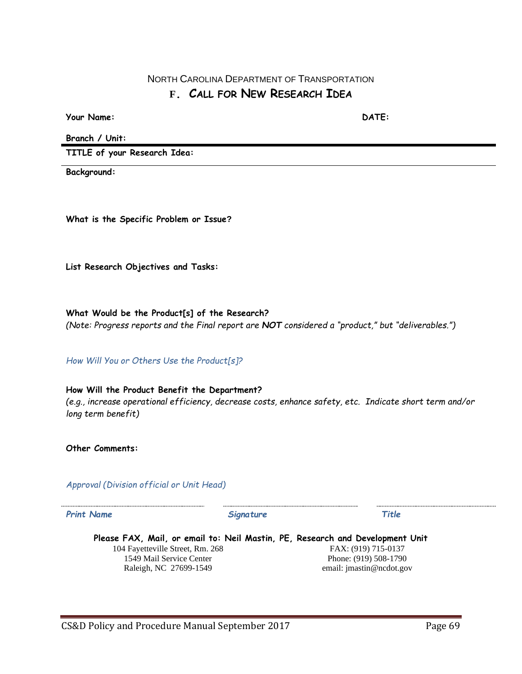# NORTH CAROLINA DEPARTMENT OF TRANSPORTATION **F. CALL FOR NEW RESEARCH IDEA**

**Your Name: DATE:**

**Branch / Unit:**

**TITLE of your Research Idea:**

**Background:**

**What is the Specific Problem or Issue?**

**List Research Objectives and Tasks:**

**What Would be the Product[s] of the Research?** *(Note: Progress reports and the Final report are NOT considered a "product," but "deliverables.")*

*How Will You or Others Use the Product[s]?*

**How Will the Product Benefit the Department?** *(e.g., increase operational efficiency, decrease costs, enhance safety, etc. Indicate short term and/or long term benefit)*

**Other Comments:**

*Approval (Division official or Unit Head)*

*Print Name Signature Title*

**Please FAX, Mail, or email to: Neil Mastin, PE, Research and Development Unit** 104 Fayetteville Street, Rm. 268 1549 Mail Service Center Raleigh, NC 27699-1549 FAX: (919) 715-0137 Phone: (919) 508-1790 email: jmastin@ncdot.gov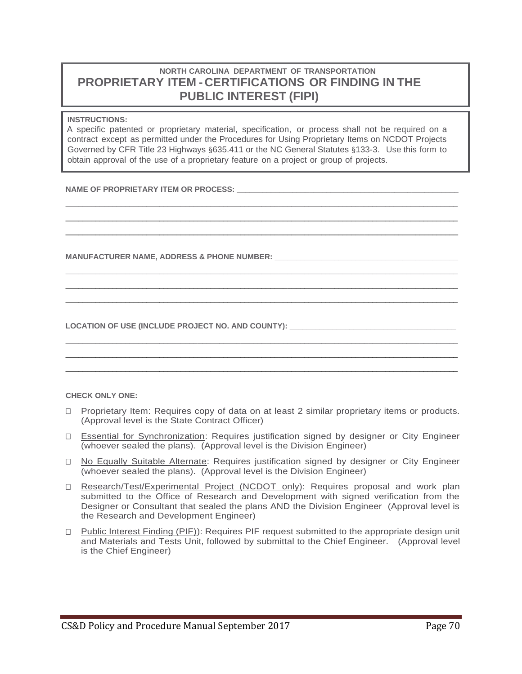# **NORTH CAROLINA DEPARTMENT OF TRANSPORTATION PROPRIETARY ITEM - CERTIFICATIONS OR FINDING IN THE PUBLIC INTEREST (FIPI)**

#### **INSTRUCTIONS:**

A specific patented or proprietary material, specification, or process shall not be required on a contract except as permitted under the Procedures for Using Proprietary Items on NCDOT Projects Governed by CFR Title 23 Highways §635.411 or the NC General Statutes §133-3. Use this form to obtain approval of the use of a proprietary feature on a project or group of projects.

**\_\_\_\_\_\_\_\_\_\_\_\_\_\_\_\_\_\_\_\_\_\_\_\_\_\_\_\_\_\_\_\_\_\_\_\_\_\_\_\_\_\_\_\_\_\_\_\_\_\_\_\_\_\_\_\_\_\_\_\_\_\_\_\_\_\_\_\_\_\_\_\_\_\_\_\_\_\_\_\_\_\_\_\_\_\_\_\_\_\_\_\_**  $\_$  ,  $\_$  ,  $\_$  ,  $\_$  ,  $\_$  ,  $\_$  ,  $\_$  ,  $\_$  ,  $\_$  ,  $\_$  ,  $\_$  ,  $\_$  ,  $\_$  ,  $\_$  ,  $\_$  ,  $\_$  ,  $\_$  ,  $\_$  ,  $\_$  ,  $\_$  ,  $\_$  ,  $\_$  ,  $\_$  ,  $\_$  ,  $\_$  ,  $\_$  ,  $\_$  ,  $\_$  ,  $\_$  ,  $\_$  ,  $\_$  ,  $\_$  ,  $\_$  ,  $\_$  ,  $\_$  ,  $\_$  ,  $\_$  ,  $\_$  ,  $\_$  ,  $\_$  ,  $\_$  ,  $\_$  ,  $\_$  ,  $\_$  ,  $\_$  ,  $\_$  ,  $\_$  ,  $\_$  ,  $\_$  ,  $\_$  ,  $\_$  ,  $\_$  ,  $\_$  ,  $\_$  ,  $\_$  ,  $\_$  ,  $\_$  ,  $\_$  ,  $\_$  ,  $\_$  ,  $\_$  ,  $\_$  ,  $\_$  ,  $\_$  ,  $\_$  ,  $\_$  ,  $\_$  ,  $\_$  ,  $\_$  ,  $\_$  ,  $\_$  ,  $\_$  ,  $\_$  ,  $\_$  ,

**\_\_\_\_\_\_\_\_\_\_\_\_\_\_\_\_\_\_\_\_\_\_\_\_\_\_\_\_\_\_\_\_\_\_\_\_\_\_\_\_\_\_\_\_\_\_\_\_\_\_\_\_\_\_\_\_\_\_\_\_\_\_\_\_\_\_\_\_\_\_\_\_\_\_\_\_\_\_\_\_\_\_\_\_\_\_\_\_\_\_\_\_**  $\_$  ,  $\_$  ,  $\_$  ,  $\_$  ,  $\_$  ,  $\_$  ,  $\_$  ,  $\_$  ,  $\_$  ,  $\_$  ,  $\_$  ,  $\_$  ,  $\_$  ,  $\_$  ,  $\_$  ,  $\_$  ,  $\_$  ,  $\_$  ,  $\_$  ,  $\_$  ,  $\_$  ,  $\_$  ,  $\_$  ,  $\_$  ,  $\_$  ,  $\_$  ,  $\_$  ,  $\_$  ,  $\_$  ,  $\_$  ,  $\_$  ,  $\_$  ,  $\_$  ,  $\_$  ,  $\_$  ,  $\_$  ,  $\_$  ,  $\_$  ,  $\_$  ,  $\_$  ,  $\_$  ,  $\_$  ,  $\_$  ,  $\_$  ,  $\_$  ,  $\_$  ,  $\_$  ,  $\_$  ,  $\_$  ,  $\_$  ,  $\_$  ,  $\_$  ,  $\_$  ,  $\_$  ,  $\_$  ,  $\_$  ,  $\_$  ,  $\_$  ,  $\_$  ,  $\_$  ,  $\_$  ,  $\_$  ,  $\_$  ,  $\_$  ,  $\_$  ,  $\_$  ,  $\_$  ,  $\_$  ,  $\_$  ,  $\_$  ,  $\_$  ,  $\_$  ,  $\_$  ,  $\_$  ,

**\_\_\_\_\_\_\_\_\_\_\_\_\_\_\_\_\_\_\_\_\_\_\_\_\_\_\_\_\_\_\_\_\_\_\_\_\_\_\_\_\_\_\_\_\_\_\_\_\_\_\_\_\_\_\_\_\_\_\_\_\_\_\_\_\_\_\_\_\_\_\_\_\_\_\_\_\_\_\_\_\_\_\_\_\_\_\_\_\_\_\_\_**  $\_$  ,  $\_$  ,  $\_$  ,  $\_$  ,  $\_$  ,  $\_$  ,  $\_$  ,  $\_$  ,  $\_$  ,  $\_$  ,  $\_$  ,  $\_$  ,  $\_$  ,  $\_$  ,  $\_$  ,  $\_$  ,  $\_$  ,  $\_$  ,  $\_$  ,  $\_$  ,  $\_$  ,  $\_$  ,  $\_$  ,  $\_$  ,  $\_$  ,  $\_$  ,  $\_$  ,  $\_$  ,  $\_$  ,  $\_$  ,  $\_$  ,  $\_$  ,  $\_$  ,  $\_$  ,  $\_$  ,  $\_$  ,  $\_$  ,  $\_$  ,  $\_$  ,  $\_$  ,  $\_$  ,  $\_$  ,  $\_$  ,  $\_$  ,  $\_$  ,  $\_$  ,  $\_$  ,  $\_$  ,  $\_$  ,  $\_$  ,  $\_$  ,  $\_$  ,  $\_$  ,  $\_$  ,  $\_$  ,  $\_$  ,  $\_$  ,  $\_$  ,  $\_$  ,  $\_$  ,  $\_$  ,  $\_$  ,  $\_$  ,  $\_$  ,  $\_$  ,  $\_$  ,  $\_$  ,  $\_$  ,  $\_$  ,  $\_$  ,  $\_$  ,  $\_$  ,  $\_$  ,  $\_$  ,

NAME OF PROPRIETARY ITEM OR PROCESS:

**MANUFACTURER NAME, ADDRESS & PHONE NUMBER: \_\_\_\_\_\_\_\_\_\_\_\_\_\_\_\_\_\_\_\_\_\_\_\_\_\_\_\_\_\_\_\_\_\_\_\_\_\_\_\_\_\_\_**

LOCATION OF USE (INCLUDE PROJECT NO. AND COUNTY):

#### **CHECK ONLY ONE:**

- $\Box$  Proprietary Item: Requires copy of data on at least 2 similar proprietary items or products. (Approval level is the State Contract Officer)
- Essential for Synchronization: Requires justification signed by designer or City Engineer (whoever sealed the plans). (Approval level is the Division Engineer)
- No Equally Suitable Alternate: Requires justification signed by designer or City Engineer (whoever sealed the plans). (Approval level is the Division Engineer)
- □ Research/Test/Experimental Project (NCDOT only): Requires proposal and work plan submitted to the Office of Research and Development with signed verification from the Designer or Consultant that sealed the plans AND the Division Engineer (Approval level is the Research and Development Engineer)
- $\Box$  Public Interest Finding (PIF)): Requires PIF request submitted to the appropriate design unit and Materials and Tests Unit, followed by submittal to the Chief Engineer. (Approval level is the Chief Engineer)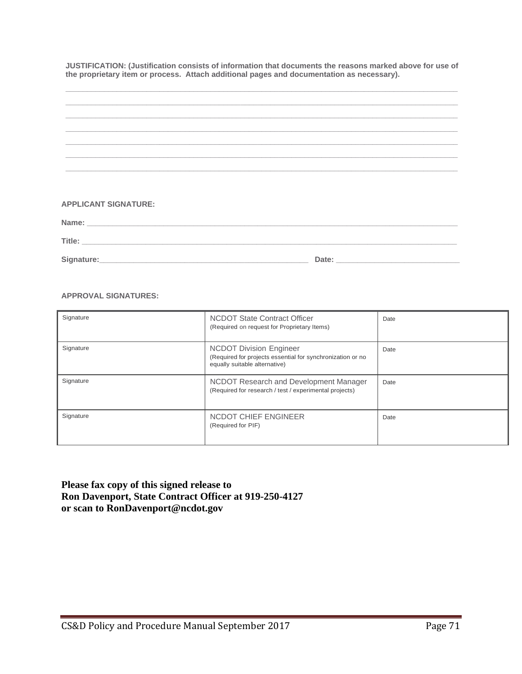**JUSTIFICATION: (Justification consists of information that documents the reasons marked above for use of the proprietary item or process. Attach additional pages and documentation as necessary).**

| ,我们也不能会在这里,我们也不能会在这里,我们也不能会在这里,我们也不能会不能会不能会不能会。""我们,我们也不能会不能会不能会不能会不能会不能会不能会不能会不 |       |  |
|----------------------------------------------------------------------------------|-------|--|
|                                                                                  |       |  |
|                                                                                  |       |  |
|                                                                                  |       |  |
|                                                                                  |       |  |
|                                                                                  |       |  |
| <b>APPLICANT SIGNATURE:</b>                                                      |       |  |
|                                                                                  |       |  |
|                                                                                  |       |  |
| Signature:                                                                       | Date: |  |

#### **APPROVAL SIGNATURES:**

| Signature | NCDOT State Contract Officer<br>(Required on request for Proprietary Items)                                                   | Date |
|-----------|-------------------------------------------------------------------------------------------------------------------------------|------|
| Signature | <b>NCDOT Division Engineer</b><br>(Required for projects essential for synchronization or no<br>equally suitable alternative) | Date |
| Signature | NCDOT Research and Development Manager<br>(Required for research / test / experimental projects)                              | Date |
| Signature | NCDOT CHIEF ENGINEER<br>(Required for PIF)                                                                                    | Date |

**Please fax copy of this signed release to Ron Davenport, State Contract Officer at 919-250-4127 or scan to RonDavenport@ncdot.gov**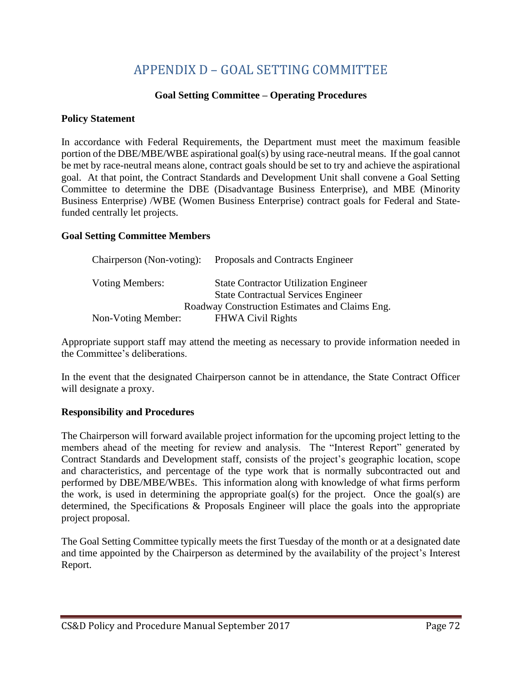# APPENDIX D – GOAL SETTING COMMITTEE

#### **Goal Setting Committee – Operating Procedures**

#### **Policy Statement**

In accordance with Federal Requirements, the Department must meet the maximum feasible portion of the DBE/MBE/WBE aspirational goal(s) by using race-neutral means. If the goal cannot be met by race-neutral means alone, contract goals should be set to try and achieve the aspirational goal. At that point, the Contract Standards and Development Unit shall convene a Goal Setting Committee to determine the DBE (Disadvantage Business Enterprise), and MBE (Minority Business Enterprise) /WBE (Women Business Enterprise) contract goals for Federal and Statefunded centrally let projects.

#### **Goal Setting Committee Members**

| Chairperson (Non-voting): | Proposals and Contracts Engineer               |
|---------------------------|------------------------------------------------|
| Voting Members:           | <b>State Contractor Utilization Engineer</b>   |
|                           | <b>State Contractual Services Engineer</b>     |
|                           | Roadway Construction Estimates and Claims Eng. |
| Non-Voting Member:        | <b>FHWA Civil Rights</b>                       |

Appropriate support staff may attend the meeting as necessary to provide information needed in the Committee's deliberations.

In the event that the designated Chairperson cannot be in attendance, the State Contract Officer will designate a proxy.

#### **Responsibility and Procedures**

The Chairperson will forward available project information for the upcoming project letting to the members ahead of the meeting for review and analysis. The "Interest Report" generated by Contract Standards and Development staff, consists of the project's geographic location, scope and characteristics, and percentage of the type work that is normally subcontracted out and performed by DBE/MBE/WBEs. This information along with knowledge of what firms perform the work, is used in determining the appropriate goal(s) for the project. Once the goal(s) are determined, the Specifications & Proposals Engineer will place the goals into the appropriate project proposal.

The Goal Setting Committee typically meets the first Tuesday of the month or at a designated date and time appointed by the Chairperson as determined by the availability of the project's Interest Report.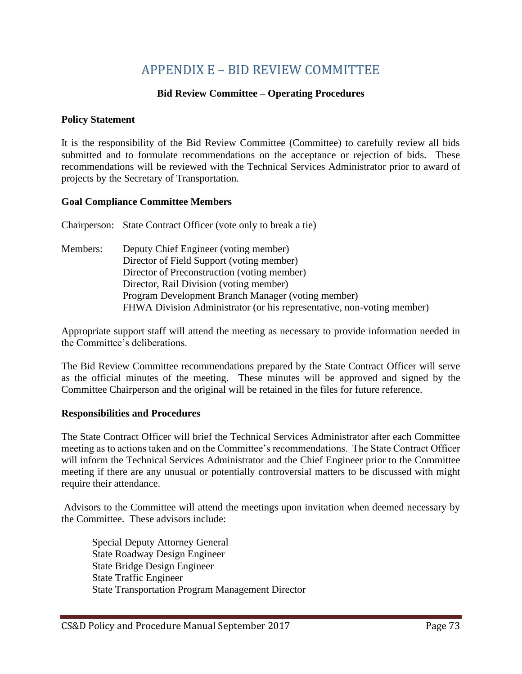## APPENDIX E – BID REVIEW COMMITTEE

### **Bid Review Committee – Operating Procedures**

#### **Policy Statement**

It is the responsibility of the Bid Review Committee (Committee) to carefully review all bids submitted and to formulate recommendations on the acceptance or rejection of bids. These recommendations will be reviewed with the Technical Services Administrator prior to award of projects by the Secretary of Transportation.

#### **Goal Compliance Committee Members**

Chairperson: State Contract Officer (vote only to break a tie) Members: Deputy Chief Engineer (voting member) Director of Field Support (voting member) Director of Preconstruction (voting member) Director, Rail Division (voting member) Program Development Branch Manager (voting member) FHWA Division Administrator (or his representative, non-voting member)

Appropriate support staff will attend the meeting as necessary to provide information needed in the Committee's deliberations.

The Bid Review Committee recommendations prepared by the State Contract Officer will serve as the official minutes of the meeting. These minutes will be approved and signed by the Committee Chairperson and the original will be retained in the files for future reference.

#### **Responsibilities and Procedures**

The State Contract Officer will brief the Technical Services Administrator after each Committee meeting as to actions taken and on the Committee's recommendations. The State Contract Officer will inform the Technical Services Administrator and the Chief Engineer prior to the Committee meeting if there are any unusual or potentially controversial matters to be discussed with might require their attendance.

Advisors to the Committee will attend the meetings upon invitation when deemed necessary by the Committee. These advisors include:

Special Deputy Attorney General State Roadway Design Engineer State Bridge Design Engineer State Traffic Engineer State Transportation Program Management Director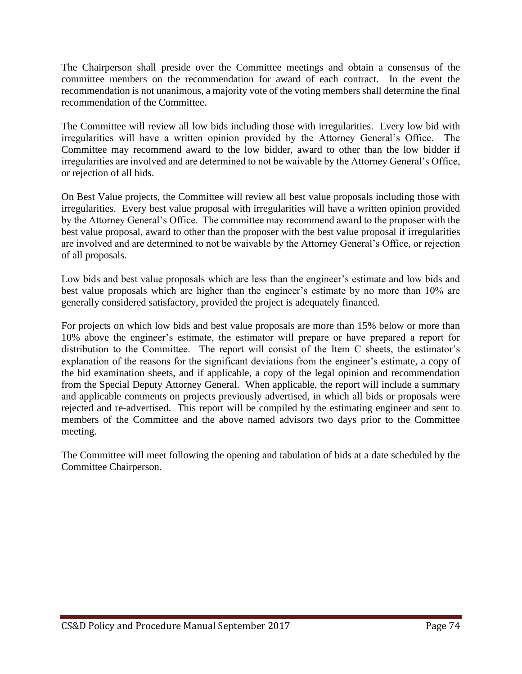The Chairperson shall preside over the Committee meetings and obtain a consensus of the committee members on the recommendation for award of each contract. In the event the recommendation is not unanimous, a majority vote of the voting members shall determine the final recommendation of the Committee.

The Committee will review all low bids including those with irregularities. Every low bid with irregularities will have a written opinion provided by the Attorney General's Office. The Committee may recommend award to the low bidder, award to other than the low bidder if irregularities are involved and are determined to not be waivable by the Attorney General's Office, or rejection of all bids.

On Best Value projects, the Committee will review all best value proposals including those with irregularities. Every best value proposal with irregularities will have a written opinion provided by the Attorney General's Office. The committee may recommend award to the proposer with the best value proposal, award to other than the proposer with the best value proposal if irregularities are involved and are determined to not be waivable by the Attorney General's Office, or rejection of all proposals.

Low bids and best value proposals which are less than the engineer's estimate and low bids and best value proposals which are higher than the engineer's estimate by no more than 10% are generally considered satisfactory, provided the project is adequately financed.

For projects on which low bids and best value proposals are more than 15% below or more than 10% above the engineer's estimate, the estimator will prepare or have prepared a report for distribution to the Committee. The report will consist of the Item C sheets, the estimator's explanation of the reasons for the significant deviations from the engineer's estimate, a copy of the bid examination sheets, and if applicable, a copy of the legal opinion and recommendation from the Special Deputy Attorney General. When applicable, the report will include a summary and applicable comments on projects previously advertised, in which all bids or proposals were rejected and re-advertised. This report will be compiled by the estimating engineer and sent to members of the Committee and the above named advisors two days prior to the Committee meeting.

The Committee will meet following the opening and tabulation of bids at a date scheduled by the Committee Chairperson.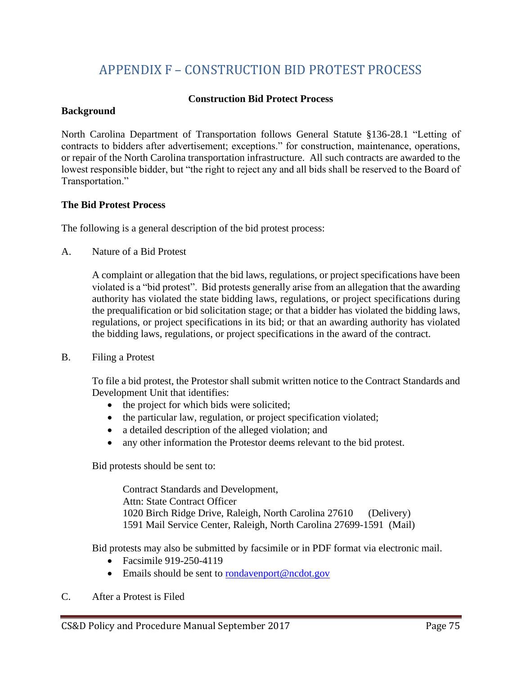## APPENDIX F – CONSTRUCTION BID PROTEST PROCESS

## **Construction Bid Protect Process**

#### **Background**

North Carolina Department of Transportation follows General Statute §136-28.1 "Letting of contracts to bidders after advertisement; exceptions." for construction, maintenance, operations, or repair of the North Carolina transportation infrastructure. All such contracts are awarded to the lowest responsible bidder, but "the right to reject any and all bids shall be reserved to the Board of Transportation."

#### **The Bid Protest Process**

The following is a general description of the bid protest process:

A. Nature of a Bid Protest

A complaint or allegation that the bid laws, regulations, or project specifications have been violated is a "bid protest". Bid protests generally arise from an allegation that the awarding authority has violated the state bidding laws, regulations, or project specifications during the prequalification or bid solicitation stage; or that a bidder has violated the bidding laws, regulations, or project specifications in its bid; or that an awarding authority has violated the bidding laws, regulations, or project specifications in the award of the contract.

B. Filing a Protest

To file a bid protest, the Protestor shall submit written notice to the Contract Standards and Development Unit that identifies:

- the project for which bids were solicited;
- the particular law, regulation, or project specification violated;
- a detailed description of the alleged violation; and
- any other information the Protestor deems relevant to the bid protest.

Bid protests should be sent to:

Contract Standards and Development, Attn: State Contract Officer 1020 Birch Ridge Drive, Raleigh, North Carolina 27610 (Delivery) 1591 Mail Service Center, Raleigh, North Carolina 27699-1591 (Mail)

Bid protests may also be submitted by facsimile or in PDF format via electronic mail.

- Facsimile 919-250-4119
- Emails should be sent to [rondavenport@ncdot.gov](mailto:rondavenport@ncdot.gov)
- C. After a Protest is Filed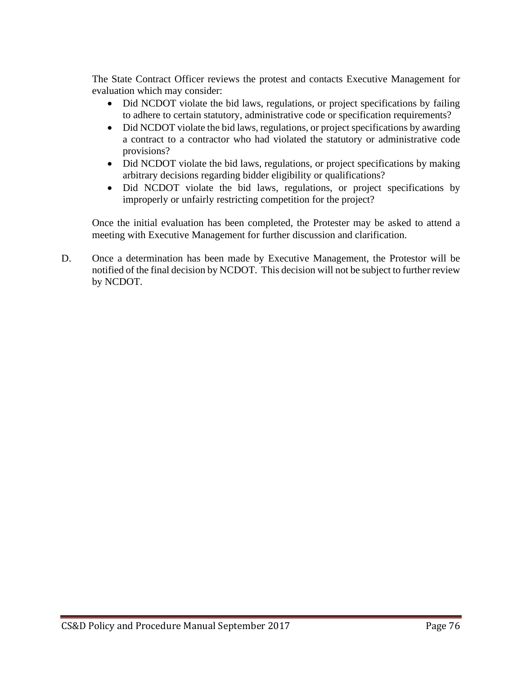The State Contract Officer reviews the protest and contacts Executive Management for evaluation which may consider:

- Did NCDOT violate the bid laws, regulations, or project specifications by failing to adhere to certain statutory, administrative code or specification requirements?
- Did NCDOT violate the bid laws, regulations, or project specifications by awarding a contract to a contractor who had violated the statutory or administrative code provisions?
- Did NCDOT violate the bid laws, regulations, or project specifications by making arbitrary decisions regarding bidder eligibility or qualifications?
- Did NCDOT violate the bid laws, regulations, or project specifications by improperly or unfairly restricting competition for the project?

Once the initial evaluation has been completed, the Protester may be asked to attend a meeting with Executive Management for further discussion and clarification.

D. Once a determination has been made by Executive Management, the Protestor will be notified of the final decision by NCDOT. This decision will not be subject to further review by NCDOT.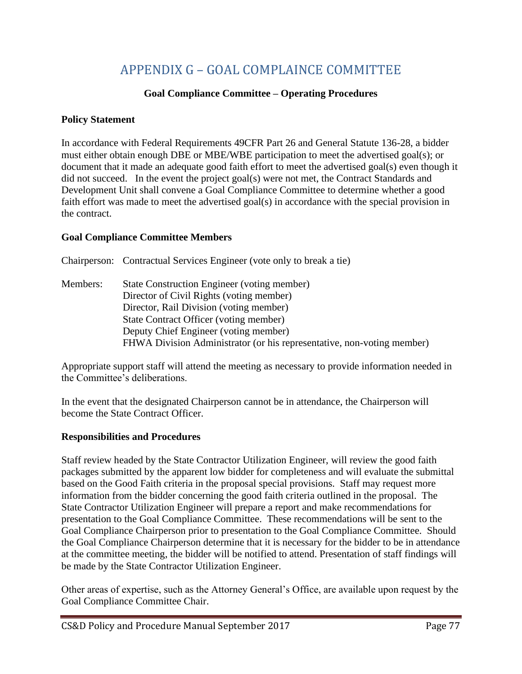# APPENDIX G – GOAL COMPLAINCE COMMITTEE

## **Goal Compliance Committee – Operating Procedures**

### **Policy Statement**

In accordance with Federal Requirements 49CFR Part 26 and General Statute 136-28, a bidder must either obtain enough DBE or MBE/WBE participation to meet the advertised goal(s); or document that it made an adequate good faith effort to meet the advertised goal(s) even though it did not succeed. In the event the project goal(s) were not met, the Contract Standards and Development Unit shall convene a Goal Compliance Committee to determine whether a good faith effort was made to meet the advertised goal(s) in accordance with the special provision in the contract.

## **Goal Compliance Committee Members**

Chairperson: Contractual Services Engineer (vote only to break a tie) Members: State Construction Engineer (voting member) Director of Civil Rights (voting member) Director, Rail Division (voting member) State Contract Officer (voting member) Deputy Chief Engineer (voting member) FHWA Division Administrator (or his representative, non-voting member)

Appropriate support staff will attend the meeting as necessary to provide information needed in the Committee's deliberations.

In the event that the designated Chairperson cannot be in attendance, the Chairperson will become the State Contract Officer.

## **Responsibilities and Procedures**

Staff review headed by the State Contractor Utilization Engineer, will review the good faith packages submitted by the apparent low bidder for completeness and will evaluate the submittal based on the Good Faith criteria in the proposal special provisions. Staff may request more information from the bidder concerning the good faith criteria outlined in the proposal. The State Contractor Utilization Engineer will prepare a report and make recommendations for presentation to the Goal Compliance Committee. These recommendations will be sent to the Goal Compliance Chairperson prior to presentation to the Goal Compliance Committee. Should the Goal Compliance Chairperson determine that it is necessary for the bidder to be in attendance at the committee meeting, the bidder will be notified to attend. Presentation of staff findings will be made by the State Contractor Utilization Engineer.

Other areas of expertise, such as the Attorney General's Office, are available upon request by the Goal Compliance Committee Chair.